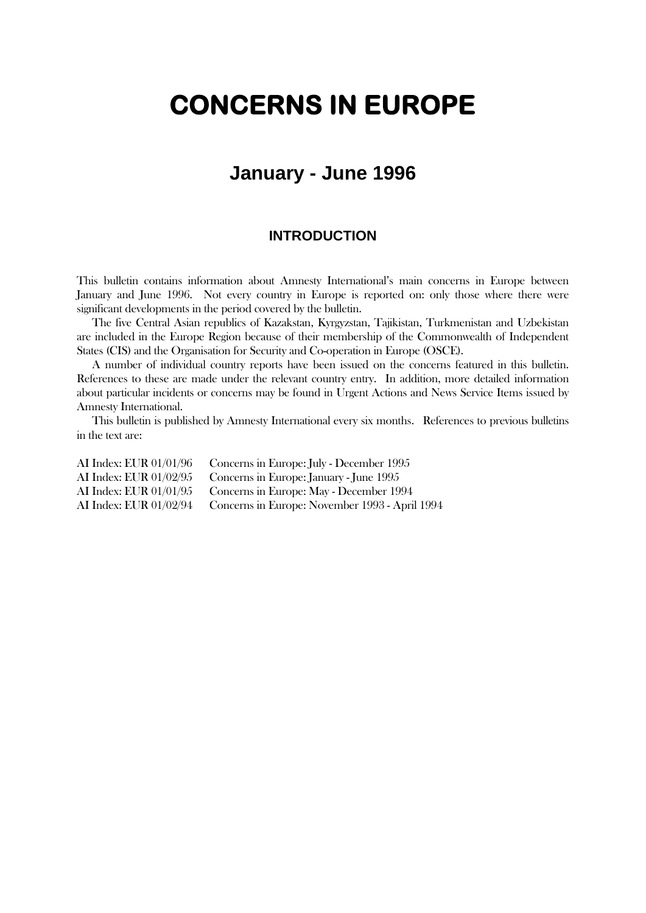# **CONCERNS IN EUROPE**

# **January - June 1996**

### **INTRODUCTION**

This bulletin contains information about Amnesty International's main concerns in Europe between January and June 1996. Not every country in Europe is reported on: only those where there were significant developments in the period covered by the bulletin.

The five Central Asian republics of Kazakstan, Kyrgyzstan, Tajikistan, Turkmenistan and Uzbekistan are included in the Europe Region because of their membership of the Commonwealth of Independent States (CIS) and the Organisation for Security and Co-operation in Europe (OSCE).

A number of individual country reports have been issued on the concerns featured in this bulletin. References to these are made under the relevant country entry. In addition, more detailed information about particular incidents or concerns may be found in Urgent Actions and News Service Items issued by Amnesty International.

This bulletin is published by Amnesty International every six months. References to previous bulletins in the text are:

AI Index: EUR 01/01/96 Concerns in Europe: July - December 1995 AI Index: EUR 01/02/95 Concerns in Europe: January - June 1995 AI Index: EUR 01/01/95 Concerns in Europe: May - December 1994 AI Index: EUR 01/02/94 Concerns in Europe: November 1993 - April 1994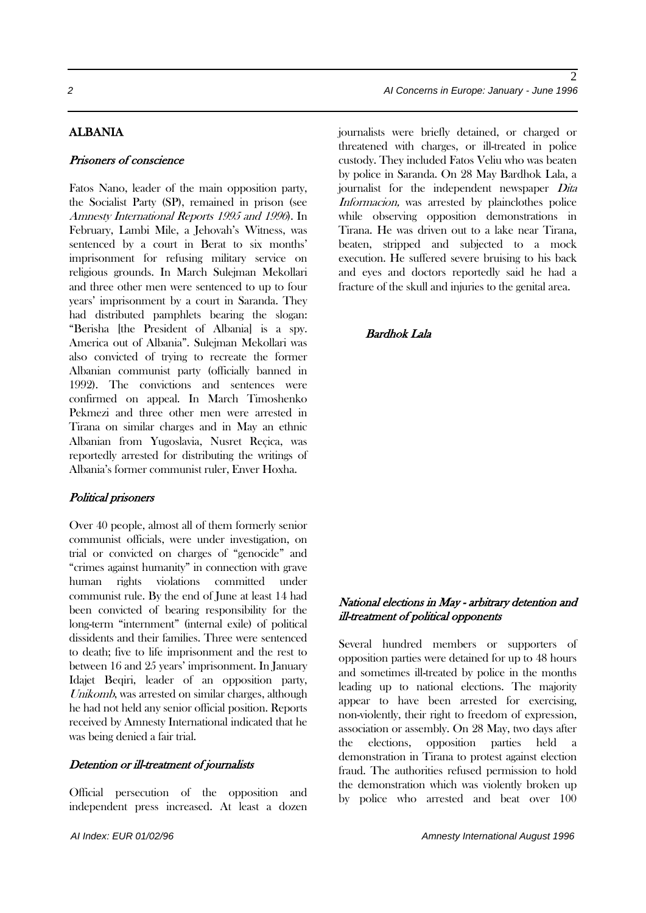#### ALBANIA

#### Prisoners of conscience

Fatos Nano, leader of the main opposition party, the Socialist Party (SP), remained in prison (see Amnesty International Reports 1995 and 1996). In February, Lambi Mile, a Jehovah's Witness, was sentenced by a court in Berat to six months' imprisonment for refusing military service on religious grounds. In March Sulejman Mekollari and three other men were sentenced to up to four years' imprisonment by a court in Saranda. They had distributed pamphlets bearing the slogan: "Berisha [the President of Albania] is a spy. America out of Albania". Sulejman Mekollari was also convicted of trying to recreate the former Albanian communist party (officially banned in 1992). The convictions and sentences were confirmed on appeal. In March Timoshenko Pekmezi and three other men were arrested in Tirana on similar charges and in May an ethnic Albanian from Yugoslavia, Nusret Reçica, was reportedly arrested for distributing the writings of Albania's former communist ruler, Enver Hoxha.

#### Political prisoners

Over 40 people, almost all of them formerly senior communist officials, were under investigation, on trial or convicted on charges of "genocide" and "crimes against humanity" in connection with grave human rights violations committed under communist rule. By the end of June at least 14 had been convicted of bearing responsibility for the long-term "internment" (internal exile) of political dissidents and their families. Three were sentenced to death; five to life imprisonment and the rest to between 16 and 25 years' imprisonment. In January Idajet Beqiri, leader of an opposition party, Unikomb, was arrested on similar charges, although he had not held any senior official position. Reports received by Amnesty International indicated that he was being denied a fair trial.

#### Detention or ill-treatment of journalists

Official persecution of the opposition and independent press increased. At least a dozen journalists were briefly detained, or charged or threatened with charges, or ill-treated in police custody. They included Fatos Veliu who was beaten by police in Saranda. On 28 May Bardhok Lala, a journalist for the independent newspaper Dita Informacion, was arrested by plainclothes police while observing opposition demonstrations in Tirana. He was driven out to a lake near Tirana, beaten, stripped and subjected to a mock execution. He suffered severe bruising to his back and eyes and doctors reportedly said he had a fracture of the skull and injuries to the genital area.

#### Bardhok Lala

#### National elections in May - arbitrary detention and ill-treatment of political opponents

Several hundred members or supporters of opposition parties were detained for up to 48 hours and sometimes ill-treated by police in the months leading up to national elections. The majority appear to have been arrested for exercising, non-violently, their right to freedom of expression, association or assembly. On 28 May, two days after the elections, opposition parties held a demonstration in Tirana to protest against election fraud. The authorities refused permission to hold the demonstration which was violently broken up by police who arrested and beat over 100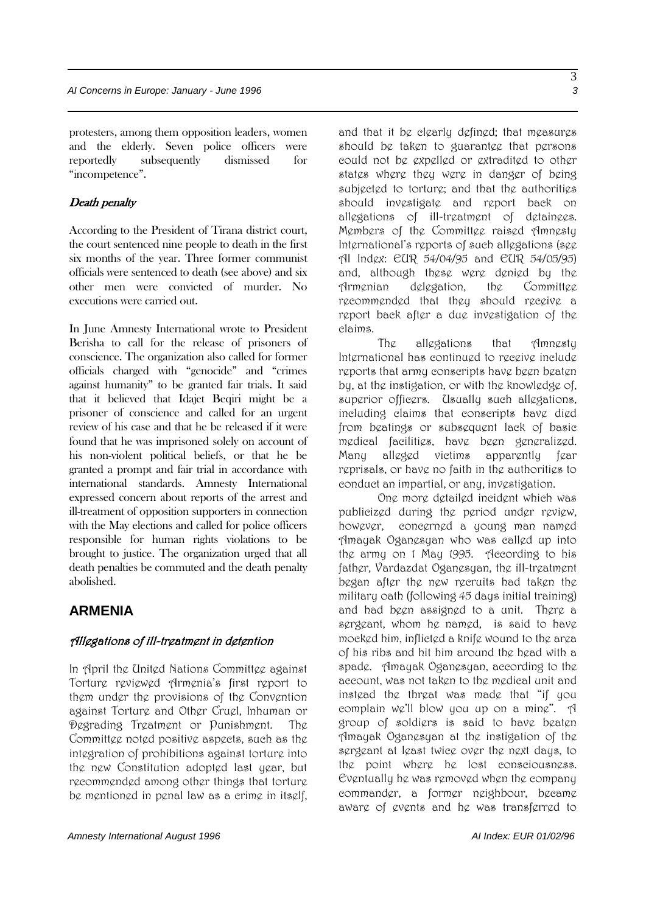protesters, among them opposition leaders, women and the elderly. Seven police officers were reportedly subsequently dismissed for "incompetence".

#### Death penalty

According to the President of Tirana district court, the court sentenced nine people to death in the first six months of the year. Three former communist officials were sentenced to death (see above) and six other men were convicted of murder. No executions were carried out.

In June Amnesty International wrote to President Berisha to call for the release of prisoners of conscience. The organization also called for former officials charged with "genocide" and "crimes against humanity" to be granted fair trials. It said that it believed that Idajet Beqiri might be a prisoner of conscience and called for an urgent review of his case and that he be released if it were found that he was imprisoned solely on account of his non-violent political beliefs, or that he be granted a prompt and fair trial in accordance with international standards. Amnesty International expressed concern about reports of the arrest and ill-treatment of opposition supporters in connection with the May elections and called for police officers responsible for human rights violations to be brought to justice. The organization urged that all death penalties be commuted and the death penalty abolished.

### **ARMENIA**

#### Allegations of ill-treatment in detention

In April the United Nations Committee against Torture reviewed Armenia's first report to them under the provisions of the Convention against Torture and Other Cruel, Inhuman or Degrading Treatment or Punishment. The Committee noted positive aspects, such as the integration of prohibitions against torture into the new Constitution adopted last year, but recommended among other things that torture be mentioned in penal law as a crime in itself,

and that it be clearly defined; that measures should be taken to guarantee that persons could not be expelled or extradited to other states where they were in danger of being subjected to torture; and that the authorities should investigate and report back on allggations of ill-treatment of detainges. Members of the Committee raised Amnesty International's reports of such allegations (see AI Index: EUR 54/04/95 and EUR 54/05/95) and, although these were denied by the Armenian delegation, the Committee recommended that they should receive a report back after a due investigation of the claims.

The allegations that Amnesty International has continued to receive include reports that army conscripts have been beaten by, at the instigation, or with the knowledge of, superior officers. Usually such allegations, including claims that conscripts have died from beatings or subsequent lack of basic medical facilities, have been generalized. Many alleged victims apparently fear reprisals, or have no faith in the authorities to conduct an impartial, or any, investigation.

One more detailed incident which was publicized during the period under review, however, concerned a young man named Amayak Oganesyan who was called up into the army on 1 May 1995. According to his father, Vardazdat Oganesyan, the ill-treatment began after the new recruits had taken the military oath (following 45 days initial training) and had been assigned to a unit. There a sergeant, whom he named, is said to have mocked him, inflicted a knife wound to the area of his ribs and hit him around the head with a spade. Amayak Oganesyan, according to the account, was not taken to the medical unit and instead the threat was made that "if you complain we'll blow you up on a mine". A group of soldiers is said to have beaten Amayak Oganesyan at the instigation of the sergeant at least twice over the next days, to the point where he lost consciousness. Eventually he was removed when the company commander, a former neighbour, became aware of events and he was transferred to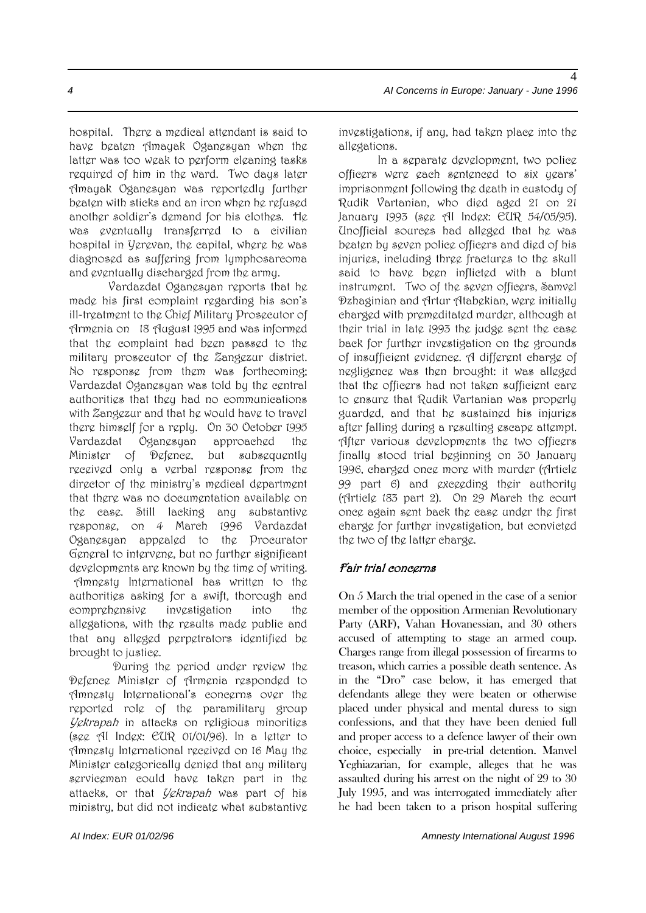4

hospital. There a medical attendant is said to have beaten Amayak Oganesyan when the latter was too weak to perform cleaning tasks required of him in the ward. Two days later Amayak Oganesyan was reportedly further beaten with sticks and an iron when he refused another soldier's demand for his clothes. He was eventually transferred to a civilian hospital in Yerevan, the capital, where he was diagnosed as suffering from lymphosarcoma and eventually discharged from the army.

Vardazdat Oganesyan reports that he made his first complaint regarding his son's ill-treatment to the Chief Military Prosecutor of Armenia on 18 August 1995 and was informed that the complaint had been passed to the military prosecutor of the Zangezur district. No response from them was forthcoming; Vardazdat Oganesyan was told by the central authorities that they had no communications with Zangezur and that he would have to travel there himself for a reply. On 30 October 1995 Vardazdat Oganesyan approached the Minister of Defence, but subsequently received only a verbal response from the director of the ministry's medical department that there was no documentation available on the case. Still lacking any substantive response, on 4 March 1996 Vardazdat Oganesyan appealed to the Procurator General to intervene, but no further significant developments are known by the time of writing. Amnesty International has written to the authorities asking for a swift, thorough and comprehensive investigation into the allegations, with the results made public and that any alleged perpetrators identified be brought to justice.

During the period under review the Defence Minister of Armenia responded to Amnesty International's concerns over the reported role of the paramilitary group Yekrapah in attacks on religious minorities (see AI Index: EUR 01/01/96). In a letter to Amnesty International received on 16 May the Minister categorically denied that any military serviceman could have taken part in the attacks, or that *Yekrapah* was part of his ministry, but did not indicate what substantive

investigations, if any, had taken place into the allegations.

In a separate development, two police officers were each sentenced to six years' imprisonment following the death in custody of Rudik Vartanian, who died aged 21 on 21 January 1993 (see AI Index: EUR 54/05/95). Unofficial sources had alleged that he was beaten by seven police officers and died of his injuries, including three fractures to the skull said to have been inflicted with a blunt instrument. Two of the seven officers, Samvel Dzhaginian and Artur Atabekian, were initially charged with premeditated murder, although at their trial in late 1993 the judge sent the case back for further investigation on the grounds of insufficient evidence. A different charge of negligence was then brought: it was alleged that the officers had not taken sufficient care to ensure that Rudik Vartanian was properly guarded, and that he sustained his injuries after falling during a resulting escape attempt. After various developments the two officers finally stood trial beginning on 30 January 1996, charged once more with murder (Article 99 part 6) and exceeding their authority (Article 183 part 2). On 29 March the court once again sent back the case under the first charge for further investigation, but convicted the two of the latter charge.

#### Fair trial concerns

On 5 March the trial opened in the case of a senior member of the opposition Armenian Revolutionary Party (ARF), Vahan Hovanessian, and 30 others accused of attempting to stage an armed coup. Charges range from illegal possession of firearms to treason, which carries a possible death sentence. As in the "Dro" case below, it has emerged that defendants allege they were beaten or otherwise placed under physical and mental duress to sign confessions, and that they have been denied full and proper access to a defence lawyer of their own choice, especially in pre-trial detention. Manvel Yeghiazarian, for example, alleges that he was assaulted during his arrest on the night of 29 to 30 July 1995, and was interrogated immediately after he had been taken to a prison hospital suffering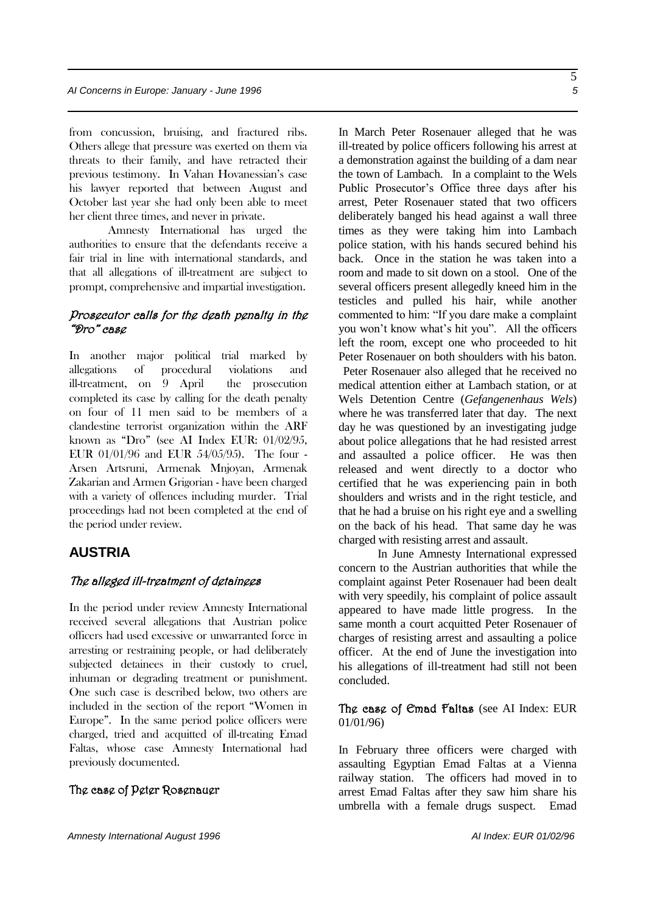from concussion, bruising, and fractured ribs. Others allege that pressure was exerted on them via threats to their family, and have retracted their previous testimony. In Vahan Hovanessian's case his lawyer reported that between August and October last year she had only been able to meet her client three times, and never in private.

Amnesty International has urged the authorities to ensure that the defendants receive a fair trial in line with international standards, and that all allegations of ill-treatment are subject to prompt, comprehensive and impartial investigation.

#### Prosecutor calls for the death penalty in the "Dro" case

In another major political trial marked by allegations of procedural violations and ill-treatment, on 9 April the prosecution completed its case by calling for the death penalty on four of 11 men said to be members of a clandestine terrorist organization within the ARF known as "Dro" (see AI Index EUR: 01/02/95, EUR 01/01/96 and EUR 54/05/95). The four - Arsen Artsruni, Armenak Mnjoyan, Armenak Zakarian and Armen Grigorian - have been charged with a variety of offences including murder. Trial proceedings had not been completed at the end of the period under review.

### **AUSTRIA**

#### The alleged ill-treatment of detainees

In the period under review Amnesty International received several allegations that Austrian police officers had used excessive or unwarranted force in arresting or restraining people, or had deliberately subjected detainees in their custody to cruel, inhuman or degrading treatment or punishment. One such case is described below, two others are included in the section of the report "Women in Europe". In the same period police officers were charged, tried and acquitted of ill-treating Emad Faltas, whose case Amnesty International had previously documented.

#### The case of Peter Rosenauer

In March Peter Rosenauer alleged that he was ill-treated by police officers following his arrest at a demonstration against the building of a dam near the town of Lambach. In a complaint to the Wels Public Prosecutor's Office three days after his arrest, Peter Rosenauer stated that two officers deliberately banged his head against a wall three times as they were taking him into Lambach police station, with his hands secured behind his back. Once in the station he was taken into a room and made to sit down on a stool. One of the several officers present allegedly kneed him in the testicles and pulled his hair, while another commented to him: "If you dare make a complaint you won't know what's hit you". All the officers left the room, except one who proceeded to hit Peter Rosenauer on both shoulders with his baton. Peter Rosenauer also alleged that he received no medical attention either at Lambach station, or at Wels Detention Centre (*Gefangenenhaus Wels*) where he was transferred later that day. The next day he was questioned by an investigating judge about police allegations that he had resisted arrest and assaulted a police officer. He was then released and went directly to a doctor who certified that he was experiencing pain in both shoulders and wrists and in the right testicle, and that he had a bruise on his right eye and a swelling on the back of his head. That same day he was charged with resisting arrest and assault.

In June Amnesty International expressed concern to the Austrian authorities that while the complaint against Peter Rosenauer had been dealt with very speedily, his complaint of police assault appeared to have made little progress. In the same month a court acquitted Peter Rosenauer of charges of resisting arrest and assaulting a police officer. At the end of June the investigation into his allegations of ill-treatment had still not been concluded.

#### The case of Emad Faltas (see AI Index: EUR 01/01/96)

In February three officers were charged with assaulting Egyptian Emad Faltas at a Vienna railway station. The officers had moved in to arrest Emad Faltas after they saw him share his umbrella with a female drugs suspect. Emad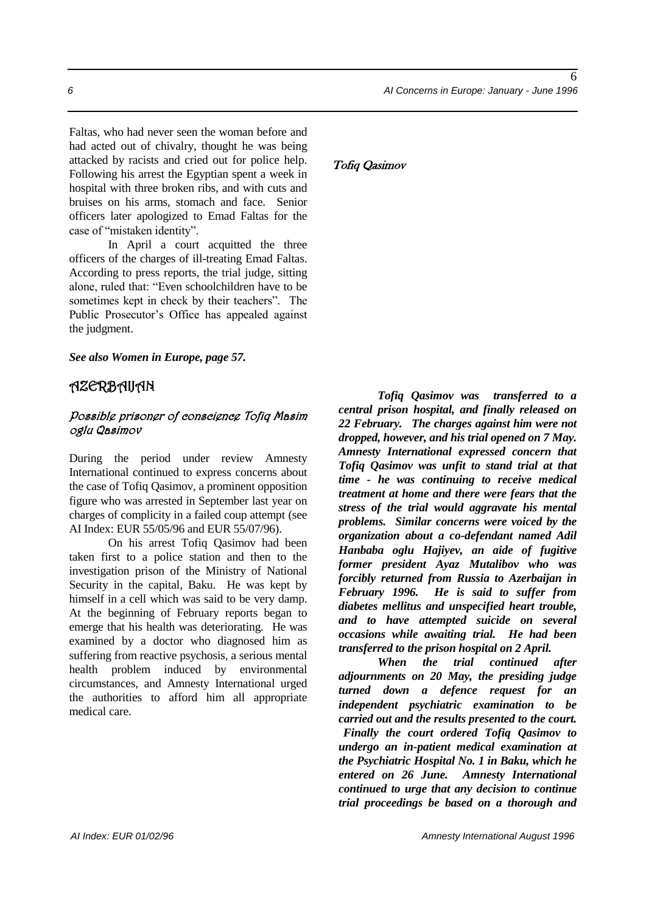Faltas, who had never seen the woman before and had acted out of chivalry, thought he was being attacked by racists and cried out for police help. Following his arrest the Egyptian spent a week in hospital with three broken ribs, and with cuts and bruises on his arms, stomach and face. Senior officers later apologized to Emad Faltas for the case of "mistaken identity".

In April a court acquitted the three officers of the charges of ill-treating Emad Faltas. According to press reports, the trial judge, sitting alone, ruled that: "Even schoolchildren have to be sometimes kept in check by their teachers". The Public Prosecutor's Office has appealed against the judgment.

*See also Women in Europe, page 57.*

### AZERBAIJAN

#### Possible prisoner of conscience Tofiq Masim oglu Qasimov

During the period under review Amnesty International continued to express concerns about the case of Tofiq Qasimov, a prominent opposition figure who was arrested in September last year on charges of complicity in a failed coup attempt (see AI Index: EUR 55/05/96 and EUR 55/07/96).

On his arrest Tofiq Qasimov had been taken first to a police station and then to the investigation prison of the Ministry of National Security in the capital, Baku. He was kept by himself in a cell which was said to be very damp. At the beginning of February reports began to emerge that his health was deteriorating. He was examined by a doctor who diagnosed him as suffering from reactive psychosis, a serious mental health problem induced by environmental circumstances, and Amnesty International urged the authorities to afford him all appropriate medical care.

#### Tofiq Qasimov

*Tofiq Qasimov was transferred to a central prison hospital, and finally released on 22 February. The charges against him were not dropped, however, and his trial opened on 7 May. Amnesty International expressed concern that Tofiq Qasimov was unfit to stand trial at that time - he was continuing to receive medical treatment at home and there were fears that the stress of the trial would aggravate his mental problems. Similar concerns were voiced by the organization about a co-defendant named Adil Hanbaba oglu Hajiyev, an aide of fugitive former president Ayaz Mutalibov who was forcibly returned from Russia to Azerbaijan in February 1996. He is said to suffer from diabetes mellitus and unspecified heart trouble, and to have attempted suicide on several occasions while awaiting trial. He had been transferred to the prison hospital on 2 April.*

*When the trial continued after adjournments on 20 May, the presiding judge turned down a defence request for an independent psychiatric examination to be carried out and the results presented to the court. Finally the court ordered Tofiq Qasimov to undergo an in-patient medical examination at the Psychiatric Hospital No. 1 in Baku, which he entered on 26 June. Amnesty International continued to urge that any decision to continue trial proceedings be based on a thorough and*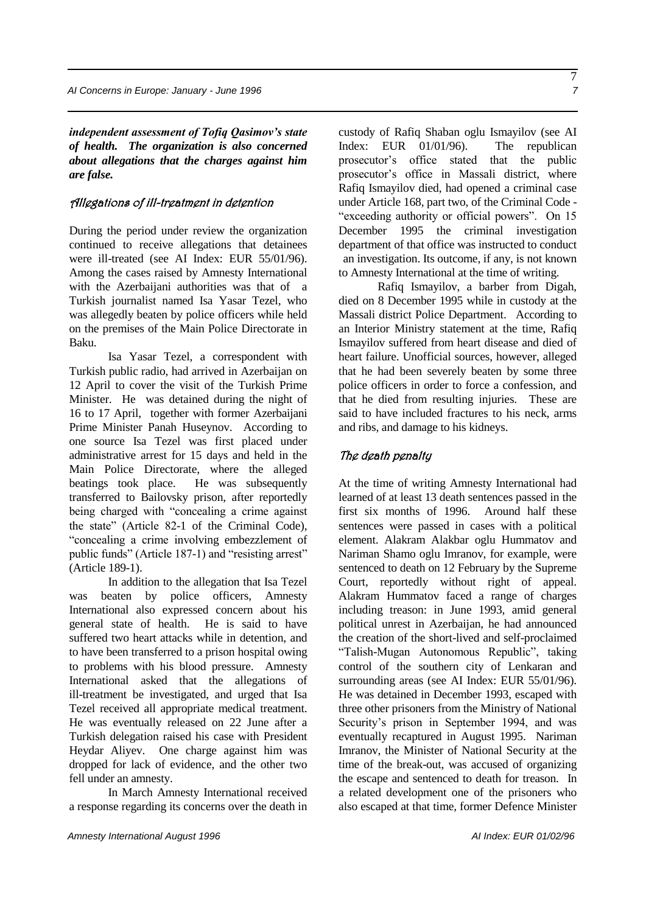*independent assessment of Tofiq Qasimov's state of health. The organization is also concerned about allegations that the charges against him are false.*

#### Allegations of ill-treatment in detention

During the period under review the organization continued to receive allegations that detainees were ill-treated (see AI Index: EUR 55/01/96). Among the cases raised by Amnesty International with the Azerbaijani authorities was that of a Turkish journalist named Isa Yasar Tezel, who was allegedly beaten by police officers while held on the premises of the Main Police Directorate in Baku.

Isa Yasar Tezel, a correspondent with Turkish public radio, had arrived in Azerbaijan on 12 April to cover the visit of the Turkish Prime Minister. He was detained during the night of 16 to 17 April, together with former Azerbaijani Prime Minister Panah Huseynov. According to one source Isa Tezel was first placed under administrative arrest for 15 days and held in the Main Police Directorate, where the alleged beatings took place. He was subsequently transferred to Bailovsky prison, after reportedly being charged with "concealing a crime against the state" (Article 82-1 of the Criminal Code), "concealing a crime involving embezzlement of public funds" (Article 187-1) and "resisting arrest" (Article 189-1).

In addition to the allegation that Isa Tezel was beaten by police officers, Amnesty International also expressed concern about his general state of health. He is said to have suffered two heart attacks while in detention, and to have been transferred to a prison hospital owing to problems with his blood pressure. Amnesty International asked that the allegations of ill-treatment be investigated, and urged that Isa Tezel received all appropriate medical treatment. He was eventually released on 22 June after a Turkish delegation raised his case with President Heydar Aliyev. One charge against him was dropped for lack of evidence, and the other two fell under an amnesty.

In March Amnesty International received a response regarding its concerns over the death in custody of Rafiq Shaban oglu Ismayilov (see AI Index: EUR 01/01/96). The republican prosecutor's office stated that the public prosecutor's office in Massali district, where Rafiq Ismayilov died, had opened a criminal case under Article 168, part two, of the Criminal Code - "exceeding authority or official powers". On 15 December 1995 the criminal investigation department of that office was instructed to conduct an investigation. Its outcome, if any, is not known to Amnesty International at the time of writing.

Rafiq Ismayilov, a barber from Digah, died on 8 December 1995 while in custody at the Massali district Police Department. According to an Interior Ministry statement at the time, Rafiq Ismayilov suffered from heart disease and died of heart failure. Unofficial sources, however, alleged that he had been severely beaten by some three police officers in order to force a confession, and that he died from resulting injuries.These are said to have included fractures to his neck, arms and ribs, and damage to his kidneys.

### The death penalty

At the time of writing Amnesty International had learned of at least 13 death sentences passed in the first six months of 1996. Around half these sentences were passed in cases with a political element. Alakram Alakbar oglu Hummatov and Nariman Shamo oglu Imranov, for example, were sentenced to death on 12 February by the Supreme Court, reportedly without right of appeal. Alakram Hummatov faced a range of charges including treason: in June 1993, amid general political unrest in Azerbaijan, he had announced the creation of the short-lived and self-proclaimed "Talish-Mugan Autonomous Republic", taking control of the southern city of Lenkaran and surrounding areas (see AI Index: EUR 55/01/96). He was detained in December 1993, escaped with three other prisoners from the Ministry of National Security's prison in September 1994, and was eventually recaptured in August 1995. Nariman Imranov, the Minister of National Security at the time of the break-out, was accused of organizing the escape and sentenced to death for treason. In a related development one of the prisoners who also escaped at that time, former Defence Minister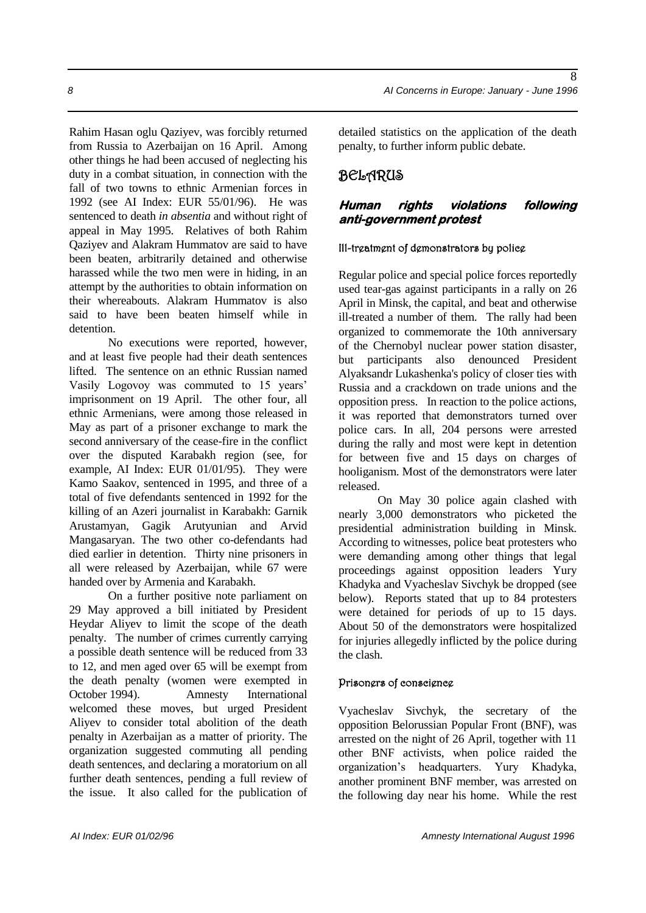Rahim Hasan oglu Qaziyev, was forcibly returned from Russia to Azerbaijan on 16 April. Among other things he had been accused of neglecting his duty in a combat situation, in connection with the fall of two towns to ethnic Armenian forces in 1992 (see AI Index: EUR 55/01/96). He was sentenced to death *in absentia* and without right of appeal in May 1995. Relatives of both Rahim Qaziyev and Alakram Hummatov are said to have been beaten, arbitrarily detained and otherwise harassed while the two men were in hiding, in an attempt by the authorities to obtain information on their whereabouts. Alakram Hummatov is also said to have been beaten himself while in detention.

No executions were reported, however, and at least five people had their death sentences lifted. The sentence on an ethnic Russian named Vasily Logovoy was commuted to 15 years' imprisonment on 19 April. The other four, all ethnic Armenians, were among those released in May as part of a prisoner exchange to mark the second anniversary of the cease-fire in the conflict over the disputed Karabakh region (see, for example, AI Index: EUR 01/01/95). They were Kamo Saakov, sentenced in 1995, and three of a total of five defendants sentenced in 1992 for the killing of an Azeri journalist in Karabakh: Garnik Arustamyan, Gagik Arutyunian and Arvid Mangasaryan. The two other co-defendants had died earlier in detention. Thirty nine prisoners in all were released by Azerbaijan, while 67 were handed over by Armenia and Karabakh.

On a further positive note parliament on 29 May approved a bill initiated by President Heydar Aliyev to limit the scope of the death penalty. The number of crimes currently carrying a possible death sentence will be reduced from 33 to 12, and men aged over 65 will be exempt from the death penalty (women were exempted in October 1994). Amnesty International welcomed these moves, but urged President Aliyev to consider total abolition of the death penalty in Azerbaijan as a matter of priority. The organization suggested commuting all pending death sentences, and declaring a moratorium on all further death sentences, pending a full review of the issue. It also called for the publication of detailed statistics on the application of the death penalty, to further inform public debate.

# BELARUS

#### **Human rights violations following anti-government protest**

#### Ill-treatment of demonstrators by police

Regular police and special police forces reportedly used tear-gas against participants in a rally on 26 April in Minsk, the capital, and beat and otherwise ill-treated a number of them. The rally had been organized to commemorate the 10th anniversary of the Chernobyl nuclear power station disaster, but participants also denounced President Alyaksandr Lukashenka's policy of closer ties with Russia and a crackdown on trade unions and the opposition press. In reaction to the police actions, it was reported that demonstrators turned over police cars. In all, 204 persons were arrested during the rally and most were kept in detention for between five and 15 days on charges of hooliganism. Most of the demonstrators were later released.

On May 30 police again clashed with nearly 3,000 demonstrators who picketed the presidential administration building in Minsk. According to witnesses, police beat protesters who were demanding among other things that legal proceedings against opposition leaders Yury Khadyka and Vyacheslav Sivchyk be dropped (see below). Reports stated that up to 84 protesters were detained for periods of up to 15 days. About 50 of the demonstrators were hospitalized for injuries allegedly inflicted by the police during the clash.

#### Prisoners of conscience

Vyacheslav Sivchyk, the secretary of the opposition Belorussian Popular Front (BNF), was arrested on the night of 26 April, together with 11 other BNF activists, when police raided the organization's headquarters. Yury Khadyka, another prominent BNF member, was arrested on the following day near his home. While the rest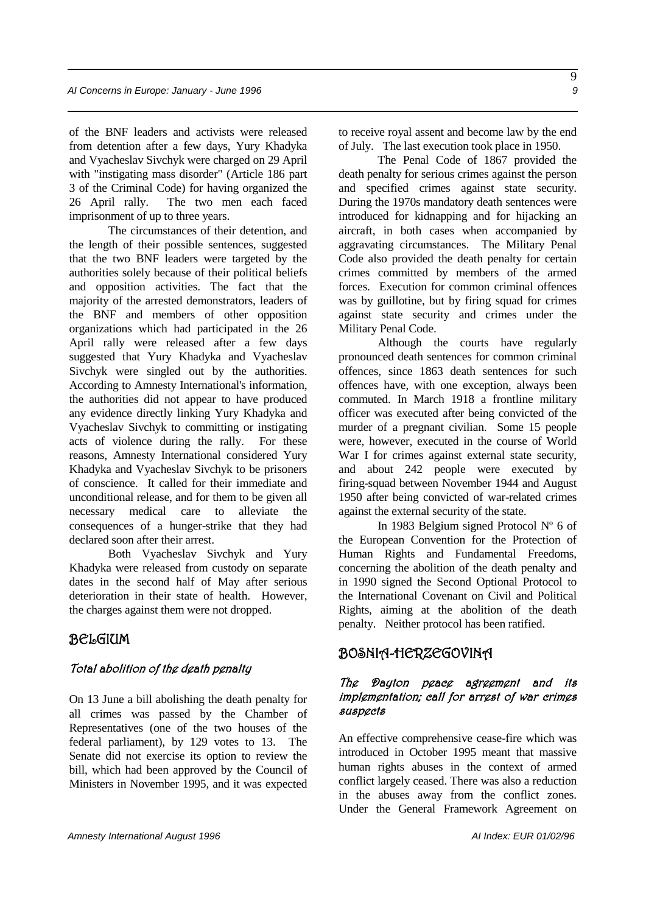of the BNF leaders and activists were released from detention after a few days, Yury Khadyka and Vyacheslav Sivchyk were charged on 29 April with "instigating mass disorder" (Article 186 part 3 of the Criminal Code) for having organized the 26 April rally. The two men each faced imprisonment of up to three years.

The circumstances of their detention, and the length of their possible sentences, suggested that the two BNF leaders were targeted by the authorities solely because of their political beliefs and opposition activities. The fact that the majority of the arrested demonstrators, leaders of the BNF and members of other opposition organizations which had participated in the 26 April rally were released after a few days suggested that Yury Khadyka and Vyacheslav Sivchyk were singled out by the authorities. According to Amnesty International's information, the authorities did not appear to have produced any evidence directly linking Yury Khadyka and Vyacheslav Sivchyk to committing or instigating acts of violence during the rally. For these reasons, Amnesty International considered Yury Khadyka and Vyacheslav Sivchyk to be prisoners of conscience. It called for their immediate and unconditional release, and for them to be given all necessary medical care to alleviate the consequences of a hunger-strike that they had declared soon after their arrest.

Both Vyacheslav Sivchyk and Yury Khadyka were released from custody on separate dates in the second half of May after serious deterioration in their state of health. However, the charges against them were not dropped.

### BELGIUM

#### Total abolition of the death penalty

On 13 June a bill abolishing the death penalty for all crimes was passed by the Chamber of Representatives (one of the two houses of the federal parliament), by 129 votes to 13. The Senate did not exercise its option to review the bill, which had been approved by the Council of Ministers in November 1995, and it was expected to receive royal assent and become law by the end of July. The last execution took place in 1950.

The Penal Code of 1867 provided the death penalty for serious crimes against the person and specified crimes against state security. During the 1970s mandatory death sentences were introduced for kidnapping and for hijacking an aircraft, in both cases when accompanied by aggravating circumstances. The Military Penal Code also provided the death penalty for certain crimes committed by members of the armed forces. Execution for common criminal offences was by guillotine, but by firing squad for crimes against state security and crimes under the Military Penal Code.

Although the courts have regularly pronounced death sentences for common criminal offences, since 1863 death sentences for such offences have, with one exception, always been commuted. In March 1918 a frontline military officer was executed after being convicted of the murder of a pregnant civilian. Some 15 people were, however, executed in the course of World War I for crimes against external state security, and about 242 people were executed by firing-squad between November 1944 and August 1950 after being convicted of war-related crimes against the external security of the state.

In 1983 Belgium signed Protocol Nº 6 of the European Convention for the Protection of Human Rights and Fundamental Freedoms, concerning the abolition of the death penalty and in 1990 signed the Second Optional Protocol to the International Covenant on Civil and Political Rights, aiming at the abolition of the death penalty. Neither protocol has been ratified.

### BOSNIA-HERZEGOVINA

#### The Dayton peace agreement and its implementation; call for arrest of war crimes suspects

An effective comprehensive cease-fire which was introduced in October 1995 meant that massive human rights abuses in the context of armed conflict largely ceased. There was also a reduction in the abuses away from the conflict zones. Under the General Framework Agreement on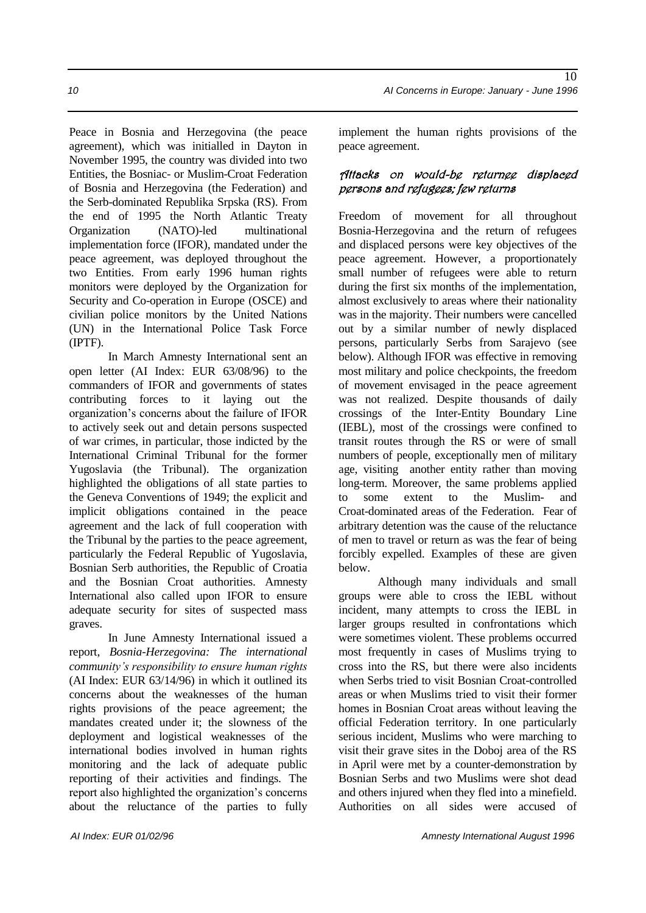Peace in Bosnia and Herzegovina (the peace agreement), which was initialled in Dayton in November 1995, the country was divided into two Entities, the Bosniac- or Muslim-Croat Federation of Bosnia and Herzegovina (the Federation) and the Serb-dominated Republika Srpska (RS). From the end of 1995 the North Atlantic Treaty Organization (NATO)-led multinational implementation force (IFOR), mandated under the peace agreement, was deployed throughout the two Entities. From early 1996 human rights monitors were deployed by the Organization for Security and Co-operation in Europe (OSCE) and civilian police monitors by the United Nations (UN) in the International Police Task Force (IPTF).

In March Amnesty International sent an open letter (AI Index: EUR 63/08/96) to the commanders of IFOR and governments of states contributing forces to it laying out the organization's concerns about the failure of IFOR to actively seek out and detain persons suspected of war crimes, in particular, those indicted by the International Criminal Tribunal for the former Yugoslavia (the Tribunal). The organization highlighted the obligations of all state parties to the Geneva Conventions of 1949; the explicit and implicit obligations contained in the peace agreement and the lack of full cooperation with the Tribunal by the parties to the peace agreement, particularly the Federal Republic of Yugoslavia, Bosnian Serb authorities, the Republic of Croatia and the Bosnian Croat authorities. Amnesty International also called upon IFOR to ensure adequate security for sites of suspected mass graves.

In June Amnesty International issued a report, *Bosnia-Herzegovina: The international community's responsibility to ensure human rights*  (AI Index: EUR 63/14/96) in which it outlined its concerns about the weaknesses of the human rights provisions of the peace agreement; the mandates created under it; the slowness of the deployment and logistical weaknesses of the international bodies involved in human rights monitoring and the lack of adequate public reporting of their activities and findings. The report also highlighted the organization's concerns about the reluctance of the parties to fully

### Attacks on would-be returnee displaced persons and refugees; few returns

Freedom of movement for all throughout Bosnia-Herzegovina and the return of refugees and displaced persons were key objectives of the peace agreement. However, a proportionately small number of refugees were able to return during the first six months of the implementation, almost exclusively to areas where their nationality was in the majority. Their numbers were cancelled out by a similar number of newly displaced persons, particularly Serbs from Sarajevo (see below). Although IFOR was effective in removing most military and police checkpoints, the freedom of movement envisaged in the peace agreement was not realized. Despite thousands of daily crossings of the Inter-Entity Boundary Line (IEBL), most of the crossings were confined to transit routes through the RS or were of small numbers of people, exceptionally men of military age, visiting another entity rather than moving long-term. Moreover, the same problems applied to some extent to the Muslim- and Croat-dominated areas of the Federation. Fear of arbitrary detention was the cause of the reluctance of men to travel or return as was the fear of being forcibly expelled. Examples of these are given below.

Although many individuals and small groups were able to cross the IEBL without incident, many attempts to cross the IEBL in larger groups resulted in confrontations which were sometimes violent. These problems occurred most frequently in cases of Muslims trying to cross into the RS, but there were also incidents when Serbs tried to visit Bosnian Croat-controlled areas or when Muslims tried to visit their former homes in Bosnian Croat areas without leaving the official Federation territory. In one particularly serious incident, Muslims who were marching to visit their grave sites in the Doboj area of the RS in April were met by a counter-demonstration by Bosnian Serbs and two Muslims were shot dead and others injured when they fled into a minefield. Authorities on all sides were accused of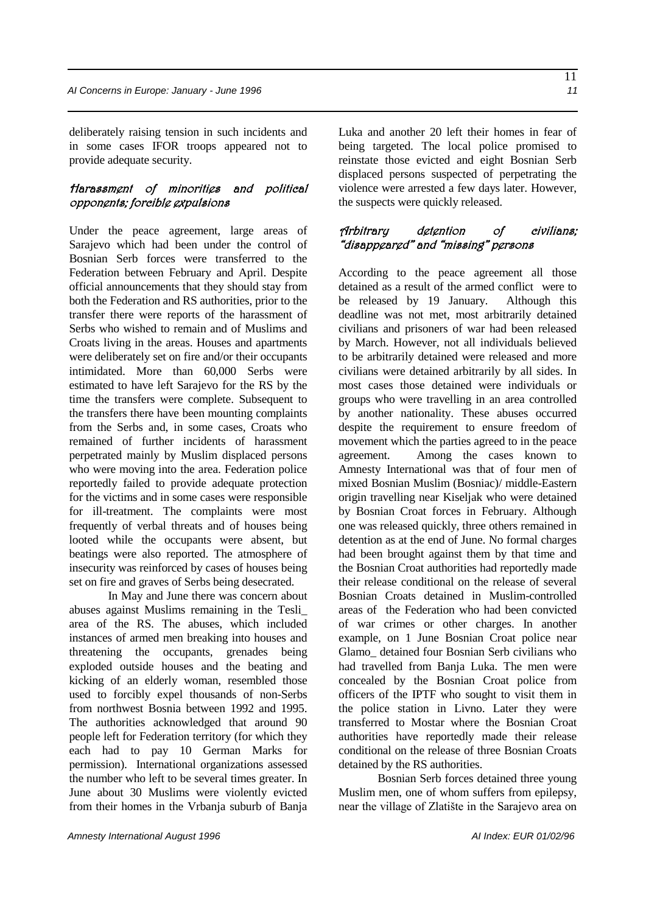deliberately raising tension in such incidents and in some cases IFOR troops appeared not to provide adequate security.

#### Harassment of minorities and political opponents; forcible expulsions

Under the peace agreement, large areas of Sarajevo which had been under the control of Bosnian Serb forces were transferred to the Federation between February and April. Despite official announcements that they should stay from both the Federation and RS authorities, prior to the transfer there were reports of the harassment of Serbs who wished to remain and of Muslims and Croats living in the areas. Houses and apartments were deliberately set on fire and/or their occupants intimidated. More than 60,000 Serbs were estimated to have left Sarajevo for the RS by the time the transfers were complete. Subsequent to the transfers there have been mounting complaints from the Serbs and, in some cases, Croats who remained of further incidents of harassment perpetrated mainly by Muslim displaced persons who were moving into the area. Federation police reportedly failed to provide adequate protection for the victims and in some cases were responsible for ill-treatment. The complaints were most frequently of verbal threats and of houses being looted while the occupants were absent, but beatings were also reported. The atmosphere of insecurity was reinforced by cases of houses being set on fire and graves of Serbs being desecrated.

In May and June there was concern about abuses against Muslims remaining in the Tesli\_ area of the RS. The abuses, which included instances of armed men breaking into houses and threatening the occupants, grenades being exploded outside houses and the beating and kicking of an elderly woman, resembled those used to forcibly expel thousands of non-Serbs from northwest Bosnia between 1992 and 1995. The authorities acknowledged that around 90 people left for Federation territory (for which they each had to pay 10 German Marks for permission). International organizations assessed the number who left to be several times greater. In June about 30 Muslims were violently evicted from their homes in the Vrbanja suburb of Banja Luka and another 20 left their homes in fear of being targeted. The local police promised to reinstate those evicted and eight Bosnian Serb displaced persons suspected of perpetrating the violence were arrested a few days later. However, the suspects were quickly released.

#### Arbitrary detention of civilians; "disappeared" and "missing" persons

According to the peace agreement all those detained as a result of the armed conflict were to be released by 19 January. Although this deadline was not met, most arbitrarily detained civilians and prisoners of war had been released by March. However, not all individuals believed to be arbitrarily detained were released and more civilians were detained arbitrarily by all sides. In most cases those detained were individuals or groups who were travelling in an area controlled by another nationality. These abuses occurred despite the requirement to ensure freedom of movement which the parties agreed to in the peace agreement. Among the cases known to Amnesty International was that of four men of mixed Bosnian Muslim (Bosniac)/ middle-Eastern origin travelling near Kiseljak who were detained by Bosnian Croat forces in February. Although one was released quickly, three others remained in detention as at the end of June. No formal charges had been brought against them by that time and the Bosnian Croat authorities had reportedly made their release conditional on the release of several Bosnian Croats detained in Muslim-controlled areas of the Federation who had been convicted of war crimes or other charges. In another example, on 1 June Bosnian Croat police near Glamo\_ detained four Bosnian Serb civilians who had travelled from Banja Luka. The men were concealed by the Bosnian Croat police from officers of the IPTF who sought to visit them in the police station in Livno. Later they were transferred to Mostar where the Bosnian Croat authorities have reportedly made their release conditional on the release of three Bosnian Croats detained by the RS authorities.

Bosnian Serb forces detained three young Muslim men, one of whom suffers from epilepsy, near the village of Zlatište in the Sarajevo area on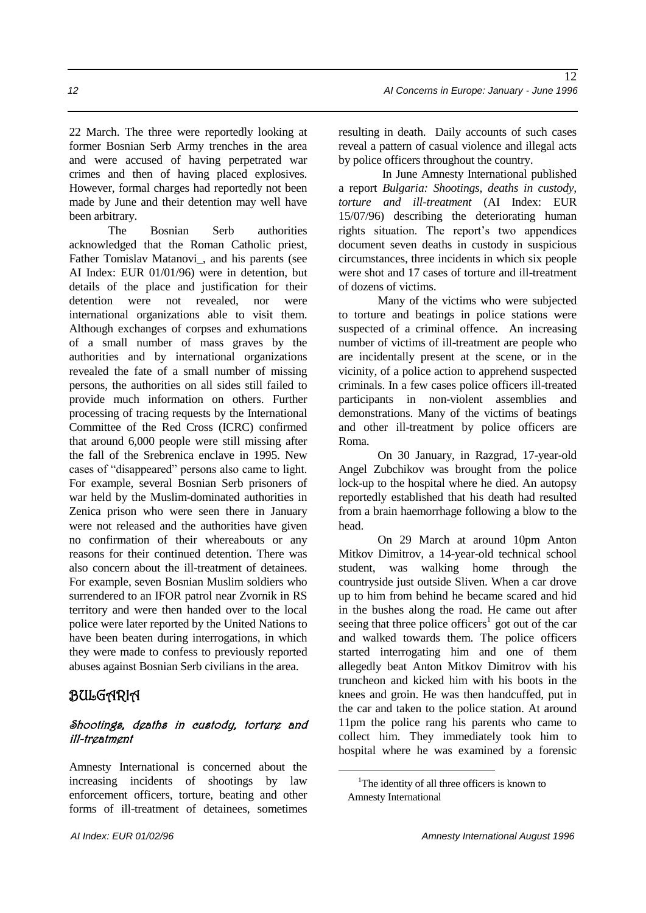22 March. The three were reportedly looking at former Bosnian Serb Army trenches in the area and were accused of having perpetrated war crimes and then of having placed explosives. However, formal charges had reportedly not been made by June and their detention may well have been arbitrary.

The Bosnian Serb authorities acknowledged that the Roman Catholic priest, Father Tomislav Matanovi\_, and his parents (see AI Index: EUR 01/01/96) were in detention, but details of the place and justification for their detention were not revealed, nor were international organizations able to visit them. Although exchanges of corpses and exhumations of a small number of mass graves by the authorities and by international organizations revealed the fate of a small number of missing persons, the authorities on all sides still failed to provide much information on others. Further processing of tracing requests by the International Committee of the Red Cross (ICRC) confirmed that around 6,000 people were still missing after the fall of the Srebrenica enclave in 1995. New cases of "disappeared" persons also came to light. For example, several Bosnian Serb prisoners of war held by the Muslim-dominated authorities in Zenica prison who were seen there in January were not released and the authorities have given no confirmation of their whereabouts or any reasons for their continued detention. There was also concern about the ill-treatment of detainees. For example, seven Bosnian Muslim soldiers who surrendered to an IFOR patrol near Zvornik in RS territory and were then handed over to the local police were later reported by the United Nations to have been beaten during interrogations, in which they were made to confess to previously reported abuses against Bosnian Serb civilians in the area.

# BULGARIA

### Shootings, deaths in custody, torture and ill-treatment

Amnesty International is concerned about the increasing incidents of shootings by law enforcement officers, torture, beating and other forms of ill-treatment of detainees, sometimes

resulting in death. Daily accounts of such cases reveal a pattern of casual violence and illegal acts by police officers throughout the country.

In June Amnesty International published a report *Bulgaria: Shootings, deaths in custody, torture and ill-treatment* (AI Index: EUR 15/07/96) describing the deteriorating human rights situation. The report's two appendices document seven deaths in custody in suspicious circumstances, three incidents in which six people were shot and 17 cases of torture and ill-treatment of dozens of victims.

Many of the victims who were subjected to torture and beatings in police stations were suspected of a criminal offence. An increasing number of victims of ill-treatment are people who are incidentally present at the scene, or in the vicinity, of a police action to apprehend suspected criminals. In a few cases police officers ill-treated participants in non-violent assemblies and demonstrations. Many of the victims of beatings and other ill-treatment by police officers are Roma.

On 30 January, in Razgrad, 17-year-old Angel Zubchikov was brought from the police lock-up to the hospital where he died. An autopsy reportedly established that his death had resulted from a brain haemorrhage following a blow to the head.

On 29 March at around 10pm Anton Mitkov Dimitrov, a 14-year-old technical school student, was walking home through the countryside just outside Sliven. When a car drove up to him from behind he became scared and hid in the bushes along the road. He came out after seeing that three police officers<sup>1</sup> got out of the car and walked towards them. The police officers started interrogating him and one of them allegedly beat Anton Mitkov Dimitrov with his truncheon and kicked him with his boots in the knees and groin. He was then handcuffed, put in the car and taken to the police station. At around 11pm the police rang his parents who came to collect him. They immediately took him to hospital where he was examined by a forensic

<u>.</u>

<sup>&</sup>lt;sup>1</sup>The identity of all three officers is known to Amnesty International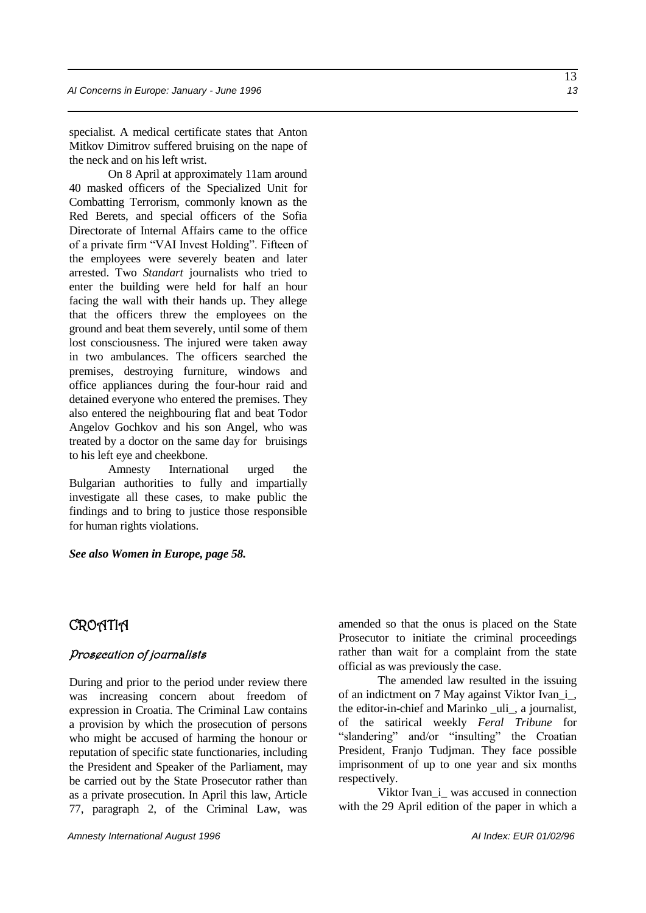specialist. A medical certificate states that Anton Mitkov Dimitrov suffered bruising on the nape of the neck and on his left wrist.

On 8 April at approximately 11am around 40 masked officers of the Specialized Unit for Combatting Terrorism, commonly known as the Red Berets, and special officers of the Sofia Directorate of Internal Affairs came to the office of a private firm "VAI Invest Holding". Fifteen of the employees were severely beaten and later arrested. Two *Standart* journalists who tried to enter the building were held for half an hour facing the wall with their hands up. They allege that the officers threw the employees on the ground and beat them severely, until some of them lost consciousness. The injured were taken away in two ambulances. The officers searched the premises, destroying furniture, windows and office appliances during the four-hour raid and detained everyone who entered the premises. They also entered the neighbouring flat and beat Todor Angelov Gochkov and his son Angel, who was treated by a doctor on the same day for bruisings to his left eye and cheekbone.

Amnesty International urged the Bulgarian authorities to fully and impartially investigate all these cases, to make public the findings and to bring to justice those responsible for human rights violations.

#### *See also Women in Europe, page 58.*

### CROATIA

#### Prosecution of journalists

During and prior to the period under review there was increasing concern about freedom of expression in Croatia. The Criminal Law contains a provision by which the prosecution of persons who might be accused of harming the honour or reputation of specific state functionaries, including the President and Speaker of the Parliament, may be carried out by the State Prosecutor rather than as a private prosecution. In April this law, Article 77, paragraph 2, of the Criminal Law, was amended so that the onus is placed on the State Prosecutor to initiate the criminal proceedings rather than wait for a complaint from the state official as was previously the case.

The amended law resulted in the issuing of an indictment on 7 May against Viktor Ivan\_i\_, the editor-in-chief and Marinko \_uli\_, a journalist, of the satirical weekly *Feral Tribune* for "slandering" and/or "insulting" the Croatian President, Franjo Tudjman. They face possible imprisonment of up to one year and six months respectively.

Viktor Ivan\_i\_ was accused in connection with the 29 April edition of the paper in which a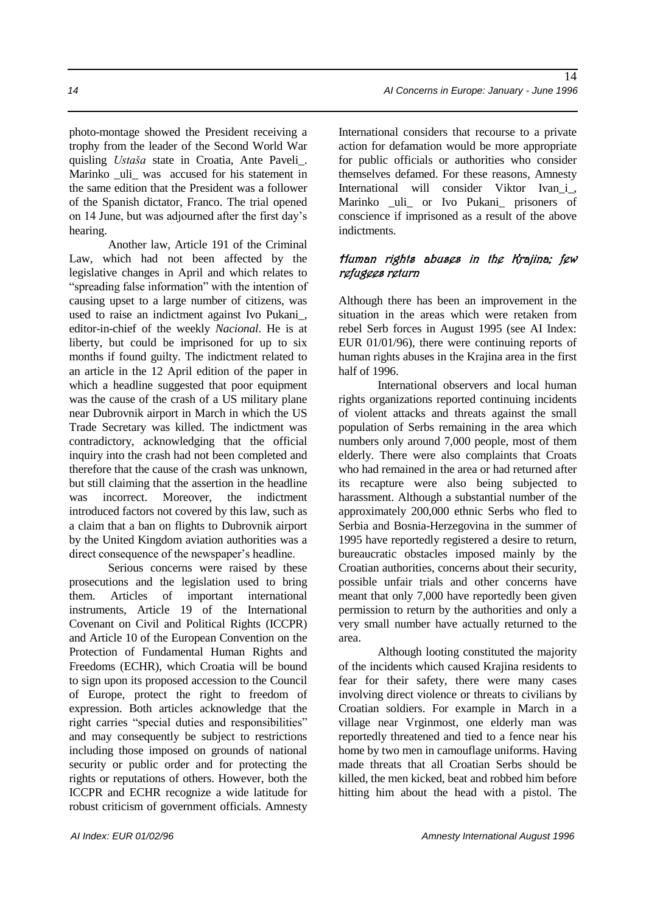photo-montage showed the President receiving a trophy from the leader of the Second World War quisling *Ustaša* state in Croatia, Ante Paveli\_. Marinko uli was accused for his statement in the same edition that the President was a follower of the Spanish dictator, Franco. The trial opened on 14 June, but was adjourned after the first day's hearing.

Another law, Article 191 of the Criminal Law, which had not been affected by the legislative changes in April and which relates to "spreading false information" with the intention of causing upset to a large number of citizens, was used to raise an indictment against Ivo Pukani\_, editor-in-chief of the weekly *Nacional*. He is at liberty, but could be imprisoned for up to six months if found guilty. The indictment related to an article in the 12 April edition of the paper in which a headline suggested that poor equipment was the cause of the crash of a US military plane near Dubrovnik airport in March in which the US Trade Secretary was killed. The indictment was contradictory, acknowledging that the official inquiry into the crash had not been completed and therefore that the cause of the crash was unknown, but still claiming that the assertion in the headline was incorrect. Moreover, the indictment introduced factors not covered by this law, such as a claim that a ban on flights to Dubrovnik airport by the United Kingdom aviation authorities was a direct consequence of the newspaper's headline.

Serious concerns were raised by these prosecutions and the legislation used to bring them. Articles of important international instruments, Article 19 of the International Covenant on Civil and Political Rights (ICCPR) and Article 10 of the European Convention on the Protection of Fundamental Human Rights and Freedoms (ECHR), which Croatia will be bound to sign upon its proposed accession to the Council of Europe, protect the right to freedom of expression. Both articles acknowledge that the right carries "special duties and responsibilities" and may consequently be subject to restrictions including those imposed on grounds of national security or public order and for protecting the rights or reputations of others. However, both the ICCPR and ECHR recognize a wide latitude for robust criticism of government officials. Amnesty

International considers that recourse to a private action for defamation would be more appropriate for public officials or authorities who consider themselves defamed. For these reasons, Amnesty International will consider Viktor Ivan\_i\_, Marinko \_uli\_ or Ivo Pukani\_ prisoners of conscience if imprisoned as a result of the above indictments.

#### Human rights abuses in the Krajina; few refugees return

Although there has been an improvement in the situation in the areas which were retaken from rebel Serb forces in August 1995 (see AI Index: EUR 01/01/96), there were continuing reports of human rights abuses in the Krajina area in the first half of 1996.

International observers and local human rights organizations reported continuing incidents of violent attacks and threats against the small population of Serbs remaining in the area which numbers only around 7,000 people, most of them elderly. There were also complaints that Croats who had remained in the area or had returned after its recapture were also being subjected to harassment. Although a substantial number of the approximately 200,000 ethnic Serbs who fled to Serbia and Bosnia-Herzegovina in the summer of 1995 have reportedly registered a desire to return, bureaucratic obstacles imposed mainly by the Croatian authorities, concerns about their security, possible unfair trials and other concerns have meant that only 7,000 have reportedly been given permission to return by the authorities and only a very small number have actually returned to the area.

Although looting constituted the majority of the incidents which caused Krajina residents to fear for their safety, there were many cases involving direct violence or threats to civilians by Croatian soldiers. For example in March in a village near Vrginmost, one elderly man was reportedly threatened and tied to a fence near his home by two men in camouflage uniforms. Having made threats that all Croatian Serbs should be killed, the men kicked, beat and robbed him before hitting him about the head with a pistol. The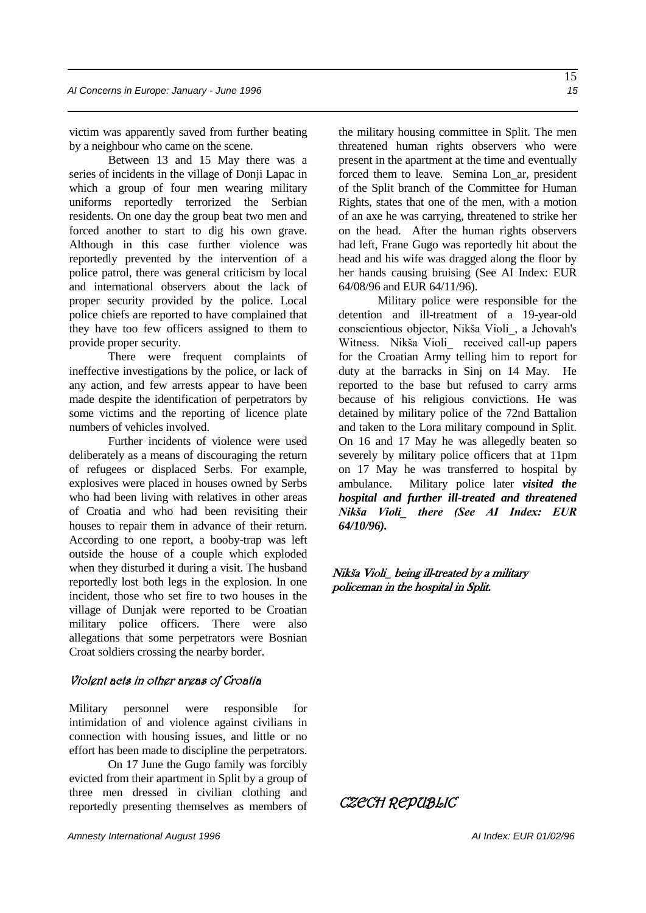victim was apparently saved from further beating by a neighbour who came on the scene.

Between 13 and 15 May there was a series of incidents in the village of Donji Lapac in which a group of four men wearing military uniforms reportedly terrorized the Serbian residents. On one day the group beat two men and forced another to start to dig his own grave. Although in this case further violence was reportedly prevented by the intervention of a police patrol, there was general criticism by local and international observers about the lack of proper security provided by the police. Local police chiefs are reported to have complained that they have too few officers assigned to them to provide proper security.

There were frequent complaints of ineffective investigations by the police, or lack of any action, and few arrests appear to have been made despite the identification of perpetrators by some victims and the reporting of licence plate numbers of vehicles involved.

Further incidents of violence were used deliberately as a means of discouraging the return of refugees or displaced Serbs. For example, explosives were placed in houses owned by Serbs who had been living with relatives in other areas of Croatia and who had been revisiting their houses to repair them in advance of their return. According to one report, a booby-trap was left outside the house of a couple which exploded when they disturbed it during a visit. The husband reportedly lost both legs in the explosion. In one incident, those who set fire to two houses in the village of Dunjak were reported to be Croatian military police officers. There were also allegations that some perpetrators were Bosnian Croat soldiers crossing the nearby border.

#### Violent acts in other areas of Croatia

Military personnel were responsible for intimidation of and violence against civilians in connection with housing issues, and little or no effort has been made to discipline the perpetrators.

On 17 June the Gugo family was forcibly evicted from their apartment in Split by a group of three men dressed in civilian clothing and reportedly presenting themselves as members of the military housing committee in Split. The men threatened human rights observers who were present in the apartment at the time and eventually forced them to leave. Semina Lon\_ar, president of the Split branch of the Committee for Human Rights, states that one of the men, with a motion of an axe he was carrying, threatened to strike her on the head. After the human rights observers had left, Frane Gugo was reportedly hit about the head and his wife was dragged along the floor by her hands causing bruising (See AI Index: EUR 64/08/96 and EUR 64/11/96).

 Military police were responsible for the detention and ill-treatment of a 19-year-old conscientious objector, Nikša Violi\_, a Jehovah's Witness. Nikša Violi received call-up papers for the Croatian Army telling him to report for duty at the barracks in Sinj on 14 May. He reported to the base but refused to carry arms because of his religious convictions. He was detained by military police of the 72nd Battalion and taken to the Lora military compound in Split. On 16 and 17 May he was allegedly beaten so severely by military police officers that at 11pm on 17 May he was transferred to hospital by ambulance. Military police later *visited the hospital and further ill-treated and threatened Nikša Violi\_ there (See AI Index: EUR 64/10/96).* 

#### Nikša Violi\_ being ill-treated by a military policeman in the hospital in Split.

CZECH REPUBLIC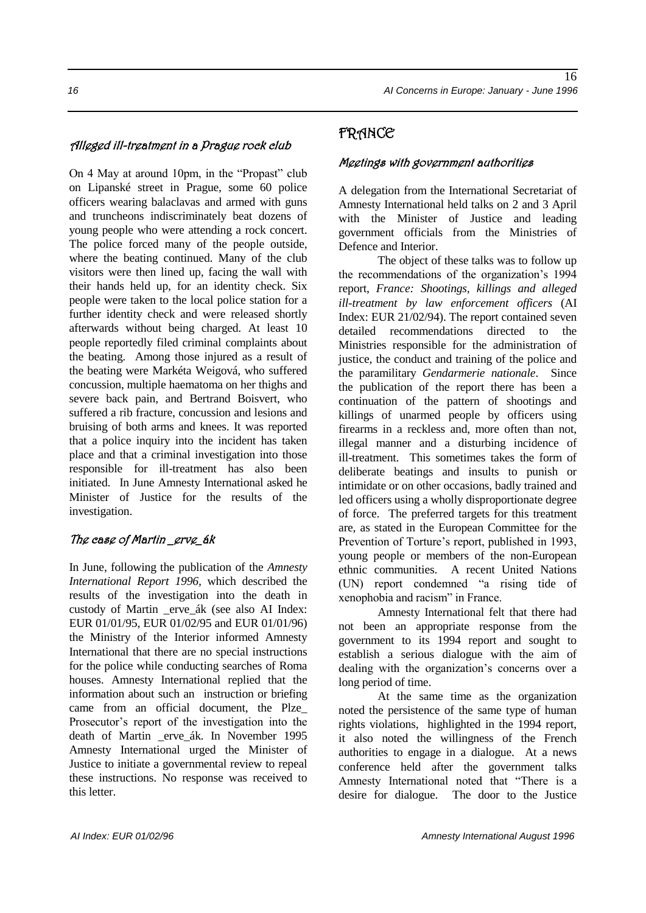### Alleged ill-treatment in a Prague rock club

On 4 May at around 10pm, in the "Propast" club on Lipanské street in Prague, some 60 police officers wearing balaclavas and armed with guns and truncheons indiscriminately beat dozens of young people who were attending a rock concert. The police forced many of the people outside, where the beating continued. Many of the club visitors were then lined up, facing the wall with their hands held up, for an identity check. Six people were taken to the local police station for a further identity check and were released shortly afterwards without being charged. At least 10 people reportedly filed criminal complaints about the beating. Among those injured as a result of the beating were Markéta Weigová, who suffered concussion, multiple haematoma on her thighs and severe back pain, and Bertrand Boisvert, who suffered a rib fracture, concussion and lesions and bruising of both arms and knees. It was reported that a police inquiry into the incident has taken place and that a criminal investigation into those responsible for ill-treatment has also been initiated. In June Amnesty International asked he Minister of Justice for the results of the investigation.

#### The case of Martin \_erve\_ák

In June, following the publication of the *Amnesty International Report 1996,* which described the results of the investigation into the death in custody of Martin \_erve\_ák (see also AI Index: EUR 01/01/95, EUR 01/02/95 and EUR 01/01/96) the Ministry of the Interior informed Amnesty International that there are no special instructions for the police while conducting searches of Roma houses. Amnesty International replied that the information about such an instruction or briefing came from an official document, the Plze\_ Prosecutor's report of the investigation into the death of Martin \_erve\_ák. In November 1995 Amnesty International urged the Minister of Justice to initiate a governmental review to repeal these instructions. No response was received to this letter.

### FRANCE

#### Meetings with government authorities

A delegation from the International Secretariat of Amnesty International held talks on 2 and 3 April with the Minister of Justice and leading government officials from the Ministries of Defence and Interior.

The object of these talks was to follow up the recommendations of the organization's 1994 report, *France: Shootings, killings and alleged ill-treatment by law enforcement officers* (AI Index: EUR 21/02/94). The report contained seven detailed recommendations directed to the Ministries responsible for the administration of justice, the conduct and training of the police and the paramilitary *Gendarmerie nationale*. Since the publication of the report there has been a continuation of the pattern of shootings and killings of unarmed people by officers using firearms in a reckless and, more often than not, illegal manner and a disturbing incidence of ill-treatment. This sometimes takes the form of deliberate beatings and insults to punish or intimidate or on other occasions, badly trained and led officers using a wholly disproportionate degree of force. The preferred targets for this treatment are, as stated in the European Committee for the Prevention of Torture's report, published in 1993, young people or members of the non-European ethnic communities. A recent United Nations (UN) report condemned "a rising tide of xenophobia and racism" in France.

Amnesty International felt that there had not been an appropriate response from the government to its 1994 report and sought to establish a serious dialogue with the aim of dealing with the organization's concerns over a long period of time.

At the same time as the organization noted the persistence of the same type of human rights violations, highlighted in the 1994 report, it also noted the willingness of the French authorities to engage in a dialogue. At a news conference held after the government talks Amnesty International noted that "There is a desire for dialogue. The door to the Justice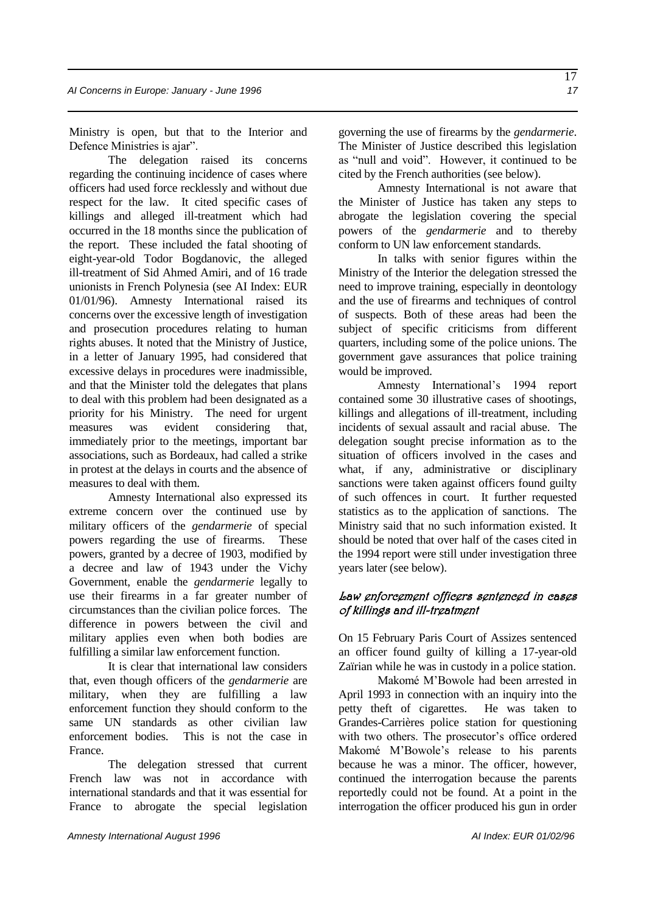Ministry is open, but that to the Interior and Defence Ministries is ajar".

The delegation raised its concerns regarding the continuing incidence of cases where officers had used force recklessly and without due respect for the law. It cited specific cases of killings and alleged ill-treatment which had occurred in the 18 months since the publication of the report. These included the fatal shooting of eight-year-old Todor Bogdanovic, the alleged ill-treatment of Sid Ahmed Amiri, and of 16 trade unionists in French Polynesia (see AI Index: EUR 01/01/96). Amnesty International raised its concerns over the excessive length of investigation and prosecution procedures relating to human rights abuses. It noted that the Ministry of Justice, in a letter of January 1995, had considered that excessive delays in procedures were inadmissible, and that the Minister told the delegates that plans to deal with this problem had been designated as a priority for his Ministry. The need for urgent measures was evident considering that, immediately prior to the meetings, important bar associations, such as Bordeaux, had called a strike in protest at the delays in courts and the absence of measures to deal with them.

Amnesty International also expressed its extreme concern over the continued use by military officers of the *gendarmerie* of special powers regarding the use of firearms. These powers, granted by a decree of 1903, modified by a decree and law of 1943 under the Vichy Government, enable the *gendarmerie* legally to use their firearms in a far greater number of circumstances than the civilian police forces. The difference in powers between the civil and military applies even when both bodies are fulfilling a similar law enforcement function.

It is clear that international law considers that, even though officers of the *gendarmerie* are military, when they are fulfilling a law enforcement function they should conform to the same UN standards as other civilian law enforcement bodies. This is not the case in France.

The delegation stressed that current French law was not in accordance with international standards and that it was essential for France to abrogate the special legislation governing the use of firearms by the *gendarmerie*. The Minister of Justice described this legislation as "null and void". However, it continued to be cited by the French authorities (see below).

Amnesty International is not aware that the Minister of Justice has taken any steps to abrogate the legislation covering the special powers of the *gendarmerie* and to thereby conform to UN law enforcement standards.

In talks with senior figures within the Ministry of the Interior the delegation stressed the need to improve training, especially in deontology and the use of firearms and techniques of control of suspects. Both of these areas had been the subject of specific criticisms from different quarters, including some of the police unions. The government gave assurances that police training would be improved.

Amnesty International's 1994 report contained some 30 illustrative cases of shootings, killings and allegations of ill-treatment, including incidents of sexual assault and racial abuse. The delegation sought precise information as to the situation of officers involved in the cases and what, if any, administrative or disciplinary sanctions were taken against officers found guilty of such offences in court. It further requested statistics as to the application of sanctions. The Ministry said that no such information existed. It should be noted that over half of the cases cited in the 1994 report were still under investigation three years later (see below).

#### Law enforcement officers sentenced in cases of killings and ill-treatment

On 15 February Paris Court of Assizes sentenced an officer found guilty of killing a 17-year-old Zaïrian while he was in custody in a police station.

Makomé M'Bowole had been arrested in April 1993 in connection with an inquiry into the petty theft of cigarettes. He was taken to Grandes-Carrières police station for questioning with two others. The prosecutor's office ordered Makomé M'Bowole's release to his parents because he was a minor. The officer, however, continued the interrogation because the parents reportedly could not be found. At a point in the interrogation the officer produced his gun in order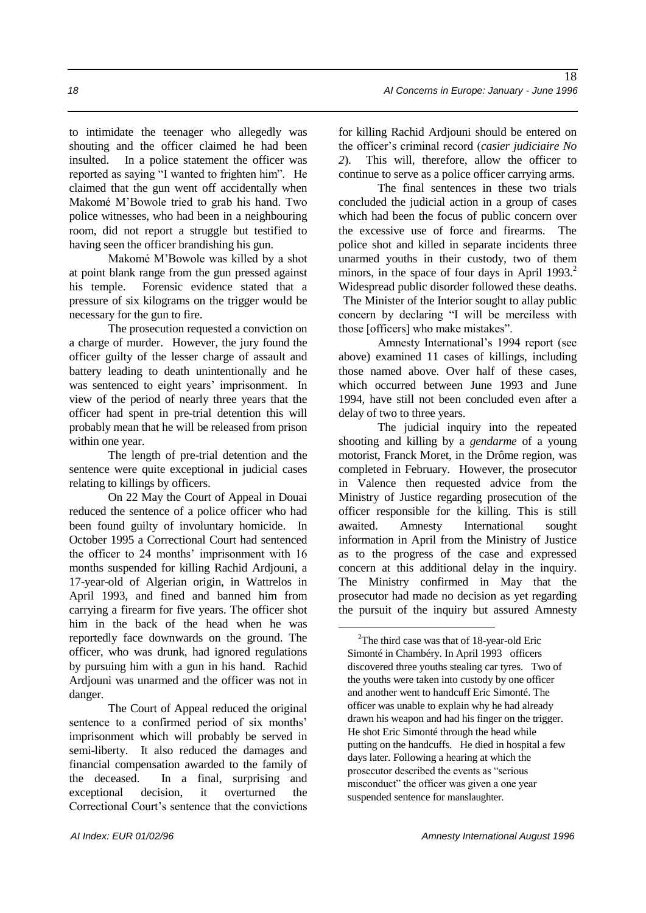to intimidate the teenager who allegedly was shouting and the officer claimed he had been insulted. In a police statement the officer was reported as saying "I wanted to frighten him". He claimed that the gun went off accidentally when Makomé M'Bowole tried to grab his hand. Two police witnesses, who had been in a neighbouring room, did not report a struggle but testified to having seen the officer brandishing his gun.

Makomé M'Bowole was killed by a shot at point blank range from the gun pressed against his temple. Forensic evidence stated that a pressure of six kilograms on the trigger would be necessary for the gun to fire.

The prosecution requested a conviction on a charge of murder. However, the jury found the officer guilty of the lesser charge of assault and battery leading to death unintentionally and he was sentenced to eight years' imprisonment. In view of the period of nearly three years that the officer had spent in pre-trial detention this will probably mean that he will be released from prison within one year.

The length of pre-trial detention and the sentence were quite exceptional in judicial cases relating to killings by officers.

On 22 May the Court of Appeal in Douai reduced the sentence of a police officer who had been found guilty of involuntary homicide. In October 1995 a Correctional Court had sentenced the officer to 24 months' imprisonment with 16 months suspended for killing Rachid Ardjouni, a 17-year-old of Algerian origin, in Wattrelos in April 1993, and fined and banned him from carrying a firearm for five years. The officer shot him in the back of the head when he was reportedly face downwards on the ground. The officer, who was drunk, had ignored regulations by pursuing him with a gun in his hand. Rachid Ardjouni was unarmed and the officer was not in danger.

The Court of Appeal reduced the original sentence to a confirmed period of six months' imprisonment which will probably be served in semi-liberty. It also reduced the damages and financial compensation awarded to the family of the deceased. In a final, surprising and exceptional decision, it overturned the Correctional Court's sentence that the convictions

for killing Rachid Ardjouni should be entered on the officer's criminal record (*casier judiciaire No 2*). This will, therefore, allow the officer to continue to serve as a police officer carrying arms.

The final sentences in these two trials concluded the judicial action in a group of cases which had been the focus of public concern over the excessive use of force and firearms. The police shot and killed in separate incidents three unarmed youths in their custody, two of them minors, in the space of four days in April 1993.<sup>2</sup> Widespread public disorder followed these deaths. The Minister of the Interior sought to allay public concern by declaring "I will be merciless with those [officers] who make mistakes".

Amnesty International's 1994 report (see above) examined 11 cases of killings, including those named above. Over half of these cases, which occurred between June 1993 and June 1994, have still not been concluded even after a delay of two to three years.

The judicial inquiry into the repeated shooting and killing by a *gendarme* of a young motorist, Franck Moret, in the Drôme region, was completed in February. However, the prosecutor in Valence then requested advice from the Ministry of Justice regarding prosecution of the officer responsible for the killing. This is still awaited. Amnesty International sought information in April from the Ministry of Justice as to the progress of the case and expressed concern at this additional delay in the inquiry. The Ministry confirmed in May that the prosecutor had made no decision as yet regarding the pursuit of the inquiry but assured Amnesty

1

 $2$ The third case was that of 18-year-old Eric Simonté in Chambéry. In April 1993 officers discovered three youths stealing car tyres. Two of the youths were taken into custody by one officer and another went to handcuff Eric Simonté. The officer was unable to explain why he had already drawn his weapon and had his finger on the trigger. He shot Eric Simonté through the head while putting on the handcuffs. He died in hospital a few days later. Following a hearing at which the prosecutor described the events as "serious misconduct" the officer was given a one year suspended sentence for manslaughter.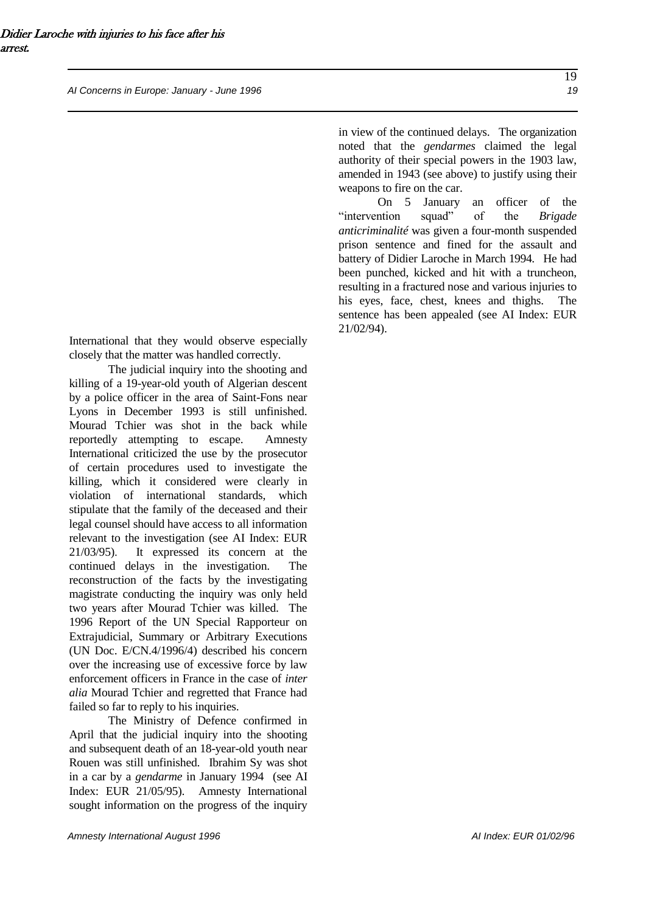*AI Concerns in Europe: January - June 1996 19*

in view of the continued delays. The organization noted that the *gendarmes* claimed the legal authority of their special powers in the 1903 law, amended in 1943 (see above) to justify using their weapons to fire on the car.

On 5 January an officer of the "intervention squad" of the *Brigade anticriminalité* was given a four-month suspended prison sentence and fined for the assault and battery of Didier Laroche in March 1994. He had been punched, kicked and hit with a truncheon, resulting in a fractured nose and various injuries to his eyes, face, chest, knees and thighs. The sentence has been appealed (see AI Index: EUR 21/02/94).

International that they would observe especially closely that the matter was handled correctly.

The judicial inquiry into the shooting and killing of a 19-year-old youth of Algerian descent by a police officer in the area of Saint-Fons near Lyons in December 1993 is still unfinished. Mourad Tchier was shot in the back while reportedly attempting to escape. Amnesty International criticized the use by the prosecutor of certain procedures used to investigate the killing, which it considered were clearly in violation of international standards, which stipulate that the family of the deceased and their legal counsel should have access to all information relevant to the investigation (see AI Index: EUR 21/03/95). It expressed its concern at the continued delays in the investigation. The reconstruction of the facts by the investigating magistrate conducting the inquiry was only held two years after Mourad Tchier was killed. The 1996 Report of the UN Special Rapporteur on Extrajudicial, Summary or Arbitrary Executions (UN Doc. E/CN.4/1996/4) described his concern over the increasing use of excessive force by law enforcement officers in France in the case of *inter alia* Mourad Tchier and regretted that France had failed so far to reply to his inquiries.

The Ministry of Defence confirmed in April that the judicial inquiry into the shooting and subsequent death of an 18-year-old youth near Rouen was still unfinished. Ibrahim Sy was shot in a car by a *gendarme* in January 1994 (see AI Index: EUR 21/05/95). Amnesty International sought information on the progress of the inquiry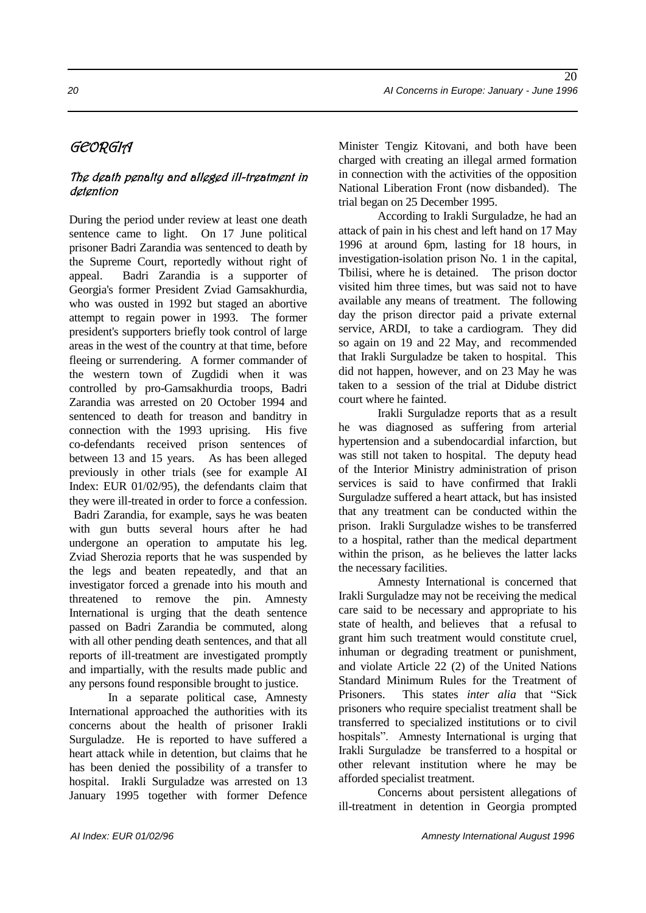# GEORGIA

### The death penalty and alleged ill-treatment in detention

During the period under review at least one death sentence came to light. On 17 June political prisoner Badri Zarandia was sentenced to death by the Supreme Court, reportedly without right of appeal. Badri Zarandia is a supporter of Georgia's former President Zviad Gamsakhurdia, who was ousted in 1992 but staged an abortive attempt to regain power in 1993. The former president's supporters briefly took control of large areas in the west of the country at that time, before fleeing or surrendering. A former commander of the western town of Zugdidi when it was controlled by pro-Gamsakhurdia troops, Badri Zarandia was arrested on 20 October 1994 and sentenced to death for treason and banditry in connection with the 1993 uprising. His five co-defendants received prison sentences of between 13 and 15 years. As has been alleged previously in other trials (see for example AI Index: EUR 01/02/95), the defendants claim that they were ill-treated in order to force a confession. Badri Zarandia, for example, says he was beaten with gun butts several hours after he had undergone an operation to amputate his leg. Zviad Sherozia reports that he was suspended by the legs and beaten repeatedly, and that an investigator forced a grenade into his mouth and threatened to remove the pin. Amnesty International is urging that the death sentence passed on Badri Zarandia be commuted, along with all other pending death sentences, and that all reports of ill-treatment are investigated promptly and impartially, with the results made public and any persons found responsible brought to justice.

In a separate political case, Amnesty International approached the authorities with its concerns about the health of prisoner Irakli Surguladze. He is reported to have suffered a heart attack while in detention, but claims that he has been denied the possibility of a transfer to hospital. Irakli Surguladze was arrested on 13 January 1995 together with former Defence Minister Tengiz Kitovani, and both have been charged with creating an illegal armed formation in connection with the activities of the opposition National Liberation Front (now disbanded). The trial began on 25 December 1995.

According to Irakli Surguladze, he had an attack of pain in his chest and left hand on 17 May 1996 at around 6pm, lasting for 18 hours, in investigation-isolation prison No. 1 in the capital, Tbilisi, where he is detained. The prison doctor visited him three times, but was said not to have available any means of treatment. The following day the prison director paid a private external service, ARDI, to take a cardiogram. They did so again on 19 and 22 May, and recommended that Irakli Surguladze be taken to hospital. This did not happen, however, and on 23 May he was taken to a session of the trial at Didube district court where he fainted.

Irakli Surguladze reports that as a result he was diagnosed as suffering from arterial hypertension and a subendocardial infarction, but was still not taken to hospital. The deputy head of the Interior Ministry administration of prison services is said to have confirmed that Irakli Surguladze suffered a heart attack, but has insisted that any treatment can be conducted within the prison. Irakli Surguladze wishes to be transferred to a hospital, rather than the medical department within the prison, as he believes the latter lacks the necessary facilities.

Amnesty International is concerned that Irakli Surguladze may not be receiving the medical care said to be necessary and appropriate to his state of health, and believes that a refusal to grant him such treatment would constitute cruel, inhuman or degrading treatment or punishment, and violate Article 22 (2) of the United Nations Standard Minimum Rules for the Treatment of Prisoners. This states *inter alia* that "Sick prisoners who require specialist treatment shall be transferred to specialized institutions or to civil hospitals". Amnesty International is urging that Irakli Surguladze be transferred to a hospital or other relevant institution where he may be afforded specialist treatment.

Concerns about persistent allegations of ill-treatment in detention in Georgia prompted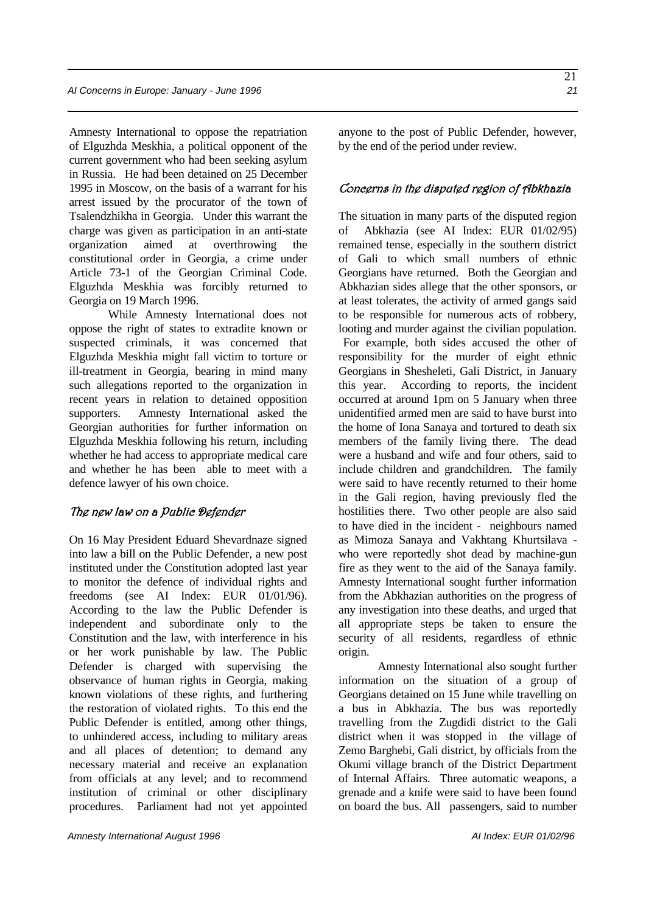Amnesty International to oppose the repatriation of Elguzhda Meskhia, a political opponent of the current government who had been seeking asylum in Russia. He had been detained on 25 December 1995 in Moscow, on the basis of a warrant for his arrest issued by the procurator of the town of Tsalendzhikha in Georgia. Under this warrant the charge was given as participation in an anti-state organization aimed at overthrowing the constitutional order in Georgia, a crime under Article 73-1 of the Georgian Criminal Code. Elguzhda Meskhia was forcibly returned to Georgia on 19 March 1996.

While Amnesty International does not oppose the right of states to extradite known or suspected criminals, it was concerned that Elguzhda Meskhia might fall victim to torture or ill-treatment in Georgia, bearing in mind many such allegations reported to the organization in recent years in relation to detained opposition supporters. Amnesty International asked the Georgian authorities for further information on Elguzhda Meskhia following his return, including whether he had access to appropriate medical care and whether he has been able to meet with a defence lawyer of his own choice.

#### The new law on a Public Defender

On 16 May President Eduard Shevardnaze signed into law a bill on the Public Defender, a new post instituted under the Constitution adopted last year to monitor the defence of individual rights and freedoms (see AI Index: EUR 01/01/96). According to the law the Public Defender is independent and subordinate only to the Constitution and the law, with interference in his or her work punishable by law. The Public Defender is charged with supervising the observance of human rights in Georgia, making known violations of these rights, and furthering the restoration of violated rights. To this end the Public Defender is entitled, among other things, to unhindered access, including to military areas and all places of detention; to demand any necessary material and receive an explanation from officials at any level; and to recommend institution of criminal or other disciplinary procedures. Parliament had not yet appointed anyone to the post of Public Defender, however, by the end of the period under review.

#### Concerns in the disputed region of Abkhazia

The situation in many parts of the disputed region of Abkhazia (see AI Index: EUR 01/02/95) remained tense, especially in the southern district of Gali to which small numbers of ethnic Georgians have returned. Both the Georgian and Abkhazian sides allege that the other sponsors, or at least tolerates, the activity of armed gangs said to be responsible for numerous acts of robbery, looting and murder against the civilian population. For example, both sides accused the other of responsibility for the murder of eight ethnic Georgians in Shesheleti, Gali District, in January this year. According to reports, the incident occurred at around 1pm on 5 January when three unidentified armed men are said to have burst into the home of Iona Sanaya and tortured to death six members of the family living there. The dead were a husband and wife and four others, said to include children and grandchildren. The family were said to have recently returned to their home in the Gali region, having previously fled the hostilities there. Two other people are also said to have died in the incident - neighbours named as Mimoza Sanaya and Vakhtang Khurtsilava who were reportedly shot dead by machine-gun fire as they went to the aid of the Sanaya family. Amnesty International sought further information from the Abkhazian authorities on the progress of any investigation into these deaths, and urged that all appropriate steps be taken to ensure the security of all residents, regardless of ethnic origin.

Amnesty International also sought further information on the situation of a group of Georgians detained on 15 June while travelling on a bus in Abkhazia. The bus was reportedly travelling from the Zugdidi district to the Gali district when it was stopped in the village of Zemo Barghebi, Gali district, by officials from the Okumi village branch of the District Department of Internal Affairs. Three automatic weapons, a grenade and a knife were said to have been found on board the bus. All passengers, said to number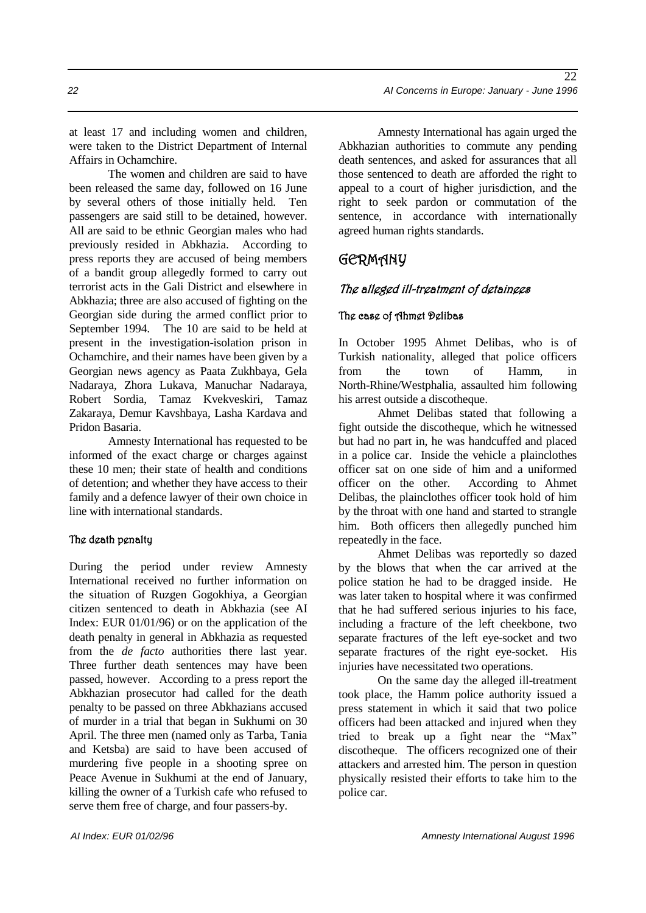at least 17 and including women and children, were taken to the District Department of Internal Affairs in Ochamchire.

The women and children are said to have been released the same day, followed on 16 June by several others of those initially held. Ten passengers are said still to be detained, however. All are said to be ethnic Georgian males who had previously resided in Abkhazia. According to press reports they are accused of being members of a bandit group allegedly formed to carry out terrorist acts in the Gali District and elsewhere in Abkhazia; three are also accused of fighting on the Georgian side during the armed conflict prior to September 1994. The 10 are said to be held at present in the investigation-isolation prison in Ochamchire, and their names have been given by a Georgian news agency as Paata Zukhbaya, Gela Nadaraya, Zhora Lukava, Manuchar Nadaraya, Robert Sordia, Tamaz Kvekveskiri, Tamaz Zakaraya, Demur Kavshbaya, Lasha Kardava and Pridon Basaria.

Amnesty International has requested to be informed of the exact charge or charges against these 10 men; their state of health and conditions of detention; and whether they have access to their family and a defence lawyer of their own choice in line with international standards.

#### The death penalty

During the period under review Amnesty International received no further information on the situation of Ruzgen Gogokhiya, a Georgian citizen sentenced to death in Abkhazia (see AI Index: EUR 01/01/96) or on the application of the death penalty in general in Abkhazia as requested from the *de facto* authorities there last year. Three further death sentences may have been passed, however. According to a press report the Abkhazian prosecutor had called for the death penalty to be passed on three Abkhazians accused of murder in a trial that began in Sukhumi on 30 April. The three men (named only as Tarba, Tania and Ketsba) are said to have been accused of murdering five people in a shooting spree on Peace Avenue in Sukhumi at the end of January, killing the owner of a Turkish cafe who refused to serve them free of charge, and four passers-by.

Amnesty International has again urged the Abkhazian authorities to commute any pending death sentences, and asked for assurances that all those sentenced to death are afforded the right to appeal to a court of higher jurisdiction, and the right to seek pardon or commutation of the sentence, in accordance with internationally agreed human rights standards.

# GERMANY

### The alleged ill-treatment of detainees

#### The case of Ahmet Delibas

In October 1995 Ahmet Delibas, who is of Turkish nationality, alleged that police officers from the town of Hamm, in North-Rhine/Westphalia, assaulted him following his arrest outside a discotheque.

Ahmet Delibas stated that following a fight outside the discotheque, which he witnessed but had no part in, he was handcuffed and placed in a police car. Inside the vehicle a plainclothes officer sat on one side of him and a uniformed officer on the other. According to Ahmet Delibas, the plainclothes officer took hold of him by the throat with one hand and started to strangle him. Both officers then allegedly punched him repeatedly in the face.

Ahmet Delibas was reportedly so dazed by the blows that when the car arrived at the police station he had to be dragged inside. He was later taken to hospital where it was confirmed that he had suffered serious injuries to his face, including a fracture of the left cheekbone, two separate fractures of the left eye-socket and two separate fractures of the right eye-socket. His injuries have necessitated two operations.

On the same day the alleged ill-treatment took place, the Hamm police authority issued a press statement in which it said that two police officers had been attacked and injured when they tried to break up a fight near the "Max" discotheque. The officers recognized one of their attackers and arrested him. The person in question physically resisted their efforts to take him to the police car.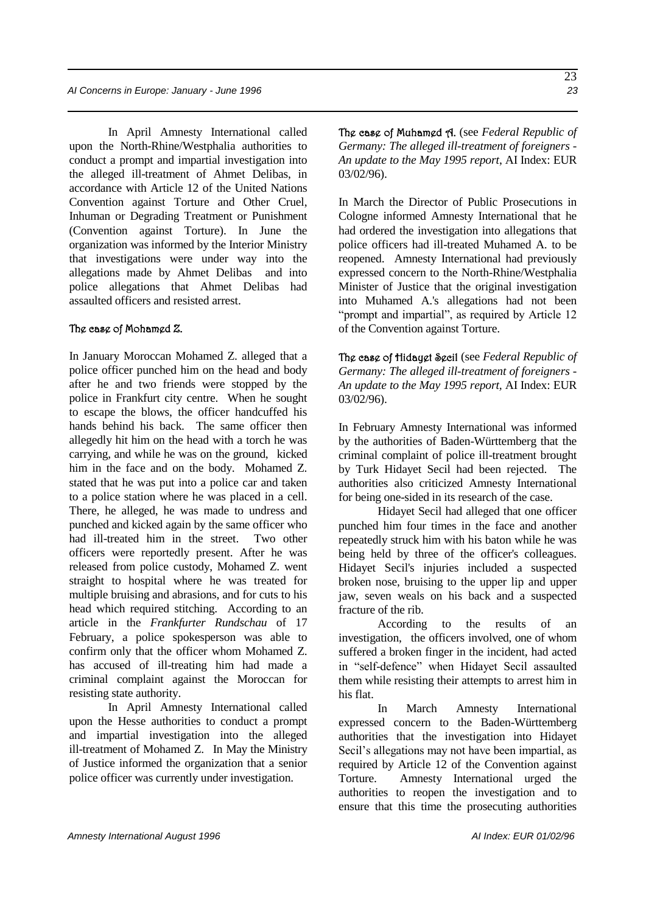*AI Concerns in Europe: January - June 1996 23*

In April Amnesty International called upon the North-Rhine/Westphalia authorities to conduct a prompt and impartial investigation into the alleged ill-treatment of Ahmet Delibas, in accordance with Article 12 of the United Nations Convention against Torture and Other Cruel, Inhuman or Degrading Treatment or Punishment (Convention against Torture). In June the organization was informed by the Interior Ministry that investigations were under way into the allegations made by Ahmet Delibas and into police allegations that Ahmet Delibas had assaulted officers and resisted arrest.

#### The case of Mohamed Z.

In January Moroccan Mohamed Z. alleged that a police officer punched him on the head and body after he and two friends were stopped by the police in Frankfurt city centre. When he sought to escape the blows, the officer handcuffed his hands behind his back. The same officer then allegedly hit him on the head with a torch he was carrying, and while he was on the ground, kicked him in the face and on the body. Mohamed Z. stated that he was put into a police car and taken to a police station where he was placed in a cell. There, he alleged, he was made to undress and punched and kicked again by the same officer who had ill-treated him in the street. Two other officers were reportedly present. After he was released from police custody, Mohamed Z. went straight to hospital where he was treated for multiple bruising and abrasions, and for cuts to his head which required stitching. According to an article in the *Frankfurter Rundschau* of 17 February, a police spokesperson was able to confirm only that the officer whom Mohamed Z. has accused of ill-treating him had made a criminal complaint against the Moroccan for resisting state authority.

In April Amnesty International called upon the Hesse authorities to conduct a prompt and impartial investigation into the alleged ill-treatment of Mohamed Z. In May the Ministry of Justice informed the organization that a senior police officer was currently under investigation.

The case of Muhamed A. (see *Federal Republic of Germany: The alleged ill-treatment of foreigners - An update to the May 1995 report*, AI Index: EUR 03/02/96).

In March the Director of Public Prosecutions in Cologne informed Amnesty International that he had ordered the investigation into allegations that police officers had ill-treated Muhamed A. to be reopened. Amnesty International had previously expressed concern to the North-Rhine/Westphalia Minister of Justice that the original investigation into Muhamed A.'s allegations had not been "prompt and impartial", as required by Article 12 of the Convention against Torture.

The case of Hidayet Secil (see *Federal Republic of Germany: The alleged ill-treatment of foreigners - An update to the May 1995 report,* AI Index: EUR 03/02/96).

In February Amnesty International was informed by the authorities of Baden-Württemberg that the criminal complaint of police ill-treatment brought by Turk Hidayet Secil had been rejected. The authorities also criticized Amnesty International for being one-sided in its research of the case.

Hidayet Secil had alleged that one officer punched him four times in the face and another repeatedly struck him with his baton while he was being held by three of the officer's colleagues. Hidayet Secil's injuries included a suspected broken nose, bruising to the upper lip and upper jaw, seven weals on his back and a suspected fracture of the rib.

According to the results of an investigation, the officers involved, one of whom suffered a broken finger in the incident, had acted in "self-defence" when Hidayet Secil assaulted them while resisting their attempts to arrest him in his flat.

In March Amnesty International expressed concern to the Baden-Württemberg authorities that the investigation into Hidayet Secil's allegations may not have been impartial, as required by Article 12 of the Convention against Torture. Amnesty International urged the authorities to reopen the investigation and to ensure that this time the prosecuting authorities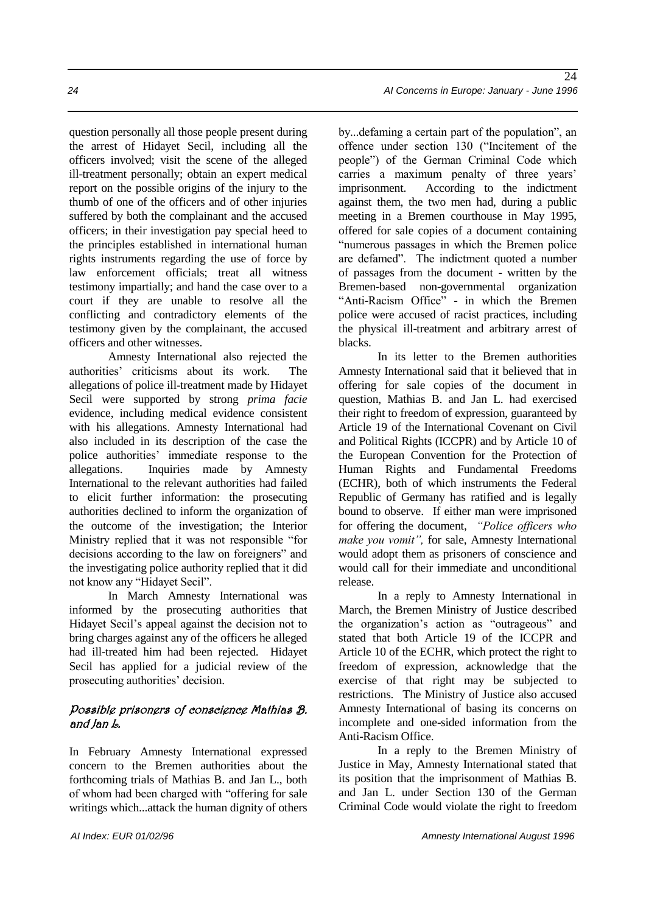question personally all those people present during the arrest of Hidayet Secil, including all the officers involved; visit the scene of the alleged ill-treatment personally; obtain an expert medical report on the possible origins of the injury to the thumb of one of the officers and of other injuries suffered by both the complainant and the accused officers; in their investigation pay special heed to the principles established in international human rights instruments regarding the use of force by law enforcement officials; treat all witness testimony impartially; and hand the case over to a court if they are unable to resolve all the conflicting and contradictory elements of the testimony given by the complainant, the accused officers and other witnesses.

Amnesty International also rejected the authorities' criticisms about its work. The allegations of police ill-treatment made by Hidayet Secil were supported by strong *prima facie* evidence, including medical evidence consistent with his allegations. Amnesty International had also included in its description of the case the police authorities' immediate response to the allegations. Inquiries made by Amnesty International to the relevant authorities had failed to elicit further information: the prosecuting authorities declined to inform the organization of the outcome of the investigation; the Interior Ministry replied that it was not responsible "for decisions according to the law on foreigners" and the investigating police authority replied that it did not know any "Hidayet Secil".

In March Amnesty International was informed by the prosecuting authorities that Hidayet Secil's appeal against the decision not to bring charges against any of the officers he alleged had ill-treated him had been rejected. Hidayet Secil has applied for a judicial review of the prosecuting authorities' decision.

#### Possible prisoners of conscience Mathias B. and Jan L.

In February Amnesty International expressed concern to the Bremen authorities about the forthcoming trials of Mathias B. and Jan L., both of whom had been charged with "offering for sale writings which...attack the human dignity of others

by...defaming a certain part of the population", an offence under section 130 ("Incitement of the people") of the German Criminal Code which carries a maximum penalty of three years' imprisonment. According to the indictment against them, the two men had, during a public meeting in a Bremen courthouse in May 1995, offered for sale copies of a document containing "numerous passages in which the Bremen police are defamed". The indictment quoted a number of passages from the document - written by the Bremen-based non-governmental organization "Anti-Racism Office" - in which the Bremen police were accused of racist practices, including the physical ill-treatment and arbitrary arrest of blacks.

In its letter to the Bremen authorities Amnesty International said that it believed that in offering for sale copies of the document in question, Mathias B. and Jan L. had exercised their right to freedom of expression, guaranteed by Article 19 of the International Covenant on Civil and Political Rights (ICCPR) and by Article 10 of the European Convention for the Protection of Human Rights and Fundamental Freedoms (ECHR), both of which instruments the Federal Republic of Germany has ratified and is legally bound to observe. If either man were imprisoned for offering the document, *"Police officers who make you vomit",* for sale, Amnesty International would adopt them as prisoners of conscience and would call for their immediate and unconditional release.

In a reply to Amnesty International in March, the Bremen Ministry of Justice described the organization's action as "outrageous" and stated that both Article 19 of the ICCPR and Article 10 of the ECHR, which protect the right to freedom of expression, acknowledge that the exercise of that right may be subjected to restrictions. The Ministry of Justice also accused Amnesty International of basing its concerns on incomplete and one-sided information from the Anti-Racism Office.

In a reply to the Bremen Ministry of Justice in May, Amnesty International stated that its position that the imprisonment of Mathias B. and Jan L. under Section 130 of the German Criminal Code would violate the right to freedom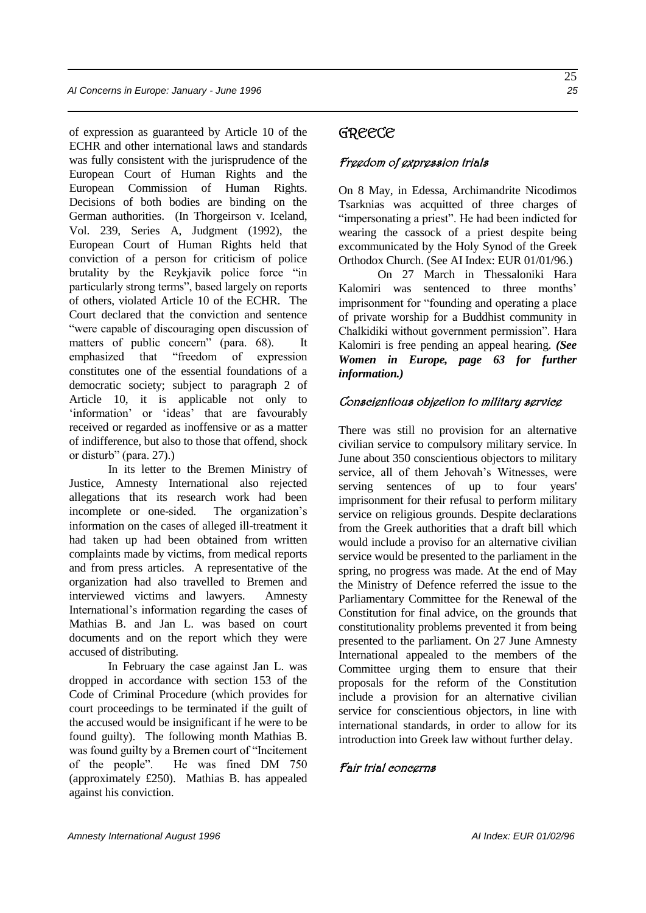of expression as guaranteed by Article 10 of the ECHR and other international laws and standards was fully consistent with the jurisprudence of the European Court of Human Rights and the European Commission of Human Rights. Decisions of both bodies are binding on the German authorities. (In Thorgeirson v. Iceland, Vol. 239, Series A, Judgment (1992), the European Court of Human Rights held that conviction of a person for criticism of police brutality by the Reykjavik police force "in particularly strong terms", based largely on reports of others, violated Article 10 of the ECHR. The Court declared that the conviction and sentence "were capable of discouraging open discussion of matters of public concern" (para. 68). It emphasized that "freedom of expression constitutes one of the essential foundations of a democratic society; subject to paragraph 2 of Article 10, it is applicable not only to 'information' or 'ideas' that are favourably received or regarded as inoffensive or as a matter of indifference, but also to those that offend, shock or disturb" (para. 27).)

In its letter to the Bremen Ministry of Justice, Amnesty International also rejected allegations that its research work had been incomplete or one-sided. The organization's information on the cases of alleged ill-treatment it had taken up had been obtained from written complaints made by victims, from medical reports and from press articles. A representative of the organization had also travelled to Bremen and interviewed victims and lawyers. Amnesty International's information regarding the cases of Mathias B. and Jan L. was based on court documents and on the report which they were accused of distributing.

In February the case against Jan L. was dropped in accordance with section 153 of the Code of Criminal Procedure (which provides for court proceedings to be terminated if the guilt of the accused would be insignificant if he were to be found guilty). The following month Mathias B. was found guilty by a Bremen court of "Incitement of the people". He was fined DM 750 (approximately £250). Mathias B. has appealed against his conviction.

### GREECE

#### Freedom of expression trials

On 8 May, in Edessa, Archimandrite Nicodimos Tsarknias was acquitted of three charges of "impersonating a priest". He had been indicted for wearing the cassock of a priest despite being excommunicated by the Holy Synod of the Greek Orthodox Church. (See AI Index: EUR 01/01/96.)

On 27 March in Thessaloniki Hara Kalomiri was sentenced to three months' imprisonment for "founding and operating a place of private worship for a Buddhist community in Chalkidiki without government permission". Hara Kalomiri is free pending an appeal hearing. *(See Women in Europe, page 63 for further information.)*

#### Conscientious objection to military service

There was still no provision for an alternative civilian service to compulsory military service. In June about 350 conscientious objectors to military service, all of them Jehovah's Witnesses, were serving sentences of up to four years' imprisonment for their refusal to perform military service on religious grounds. Despite declarations from the Greek authorities that a draft bill which would include a proviso for an alternative civilian service would be presented to the parliament in the spring, no progress was made. At the end of May the Ministry of Defence referred the issue to the Parliamentary Committee for the Renewal of the Constitution for final advice, on the grounds that constitutionality problems prevented it from being presented to the parliament. On 27 June Amnesty International appealed to the members of the Committee urging them to ensure that their proposals for the reform of the Constitution include a provision for an alternative civilian service for conscientious objectors, in line with international standards, in order to allow for its introduction into Greek law without further delay.

#### Fair trial concerns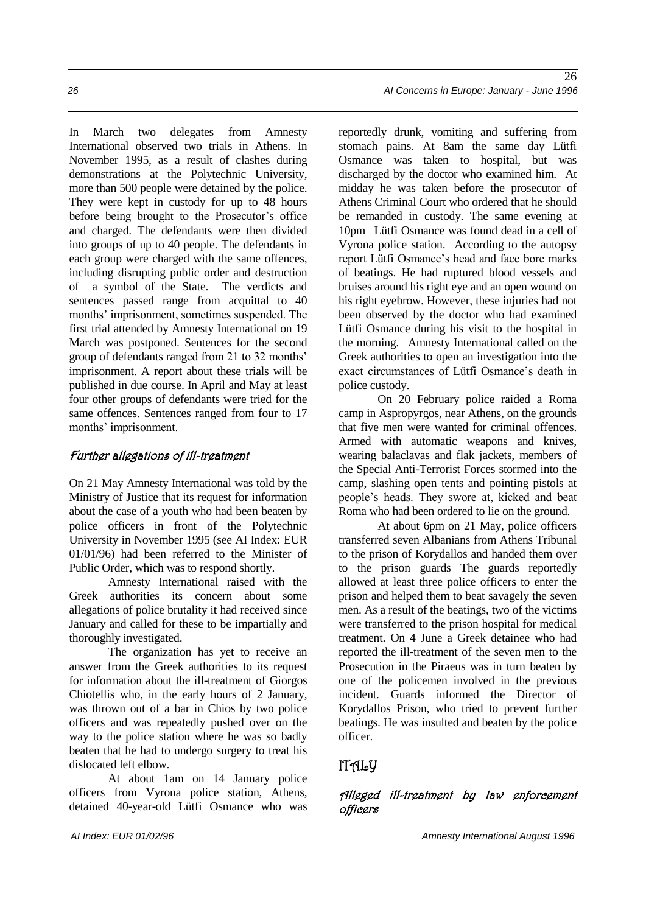In March two delegates from Amnesty International observed two trials in Athens. In November 1995, as a result of clashes during demonstrations at the Polytechnic University, more than 500 people were detained by the police. They were kept in custody for up to 48 hours before being brought to the Prosecutor's office and charged. The defendants were then divided into groups of up to 40 people. The defendants in each group were charged with the same offences, including disrupting public order and destruction of a symbol of the State. The verdicts and sentences passed range from acquittal to 40 months' imprisonment, sometimes suspended. The first trial attended by Amnesty International on 19 March was postponed. Sentences for the second group of defendants ranged from 21 to 32 months' imprisonment. A report about these trials will be published in due course. In April and May at least four other groups of defendants were tried for the same offences. Sentences ranged from four to 17 months' imprisonment.

#### Further allegations of ill-treatment

On 21 May Amnesty International was told by the Ministry of Justice that its request for information about the case of a youth who had been beaten by police officers in front of the Polytechnic University in November 1995 (see AI Index: EUR 01/01/96) had been referred to the Minister of Public Order, which was to respond shortly.

Amnesty International raised with the Greek authorities its concern about some allegations of police brutality it had received since January and called for these to be impartially and thoroughly investigated.

The organization has yet to receive an answer from the Greek authorities to its request for information about the ill-treatment of Giorgos Chiotellis who, in the early hours of 2 January, was thrown out of a bar in Chios by two police officers and was repeatedly pushed over on the way to the police station where he was so badly beaten that he had to undergo surgery to treat his dislocated left elbow.

At about 1am on 14 January police officers from Vyrona police station, Athens, detained 40-year-old Lütfi Osmance who was

reportedly drunk, vomiting and suffering from stomach pains. At 8am the same day Lütfi Osmance was taken to hospital, but was discharged by the doctor who examined him. At midday he was taken before the prosecutor of Athens Criminal Court who ordered that he should be remanded in custody. The same evening at 10pm Lütfi Osmance was found dead in a cell of Vyrona police station. According to the autopsy report Lütfi Osmance's head and face bore marks of beatings. He had ruptured blood vessels and bruises around his right eye and an open wound on his right eyebrow. However, these injuries had not been observed by the doctor who had examined Lütfi Osmance during his visit to the hospital in the morning. Amnesty International called on the Greek authorities to open an investigation into the exact circumstances of Lütfi Osmance's death in police custody.

On 20 February police raided a Roma camp in Aspropyrgos, near Athens, on the grounds that five men were wanted for criminal offences. Armed with automatic weapons and knives, wearing balaclavas and flak jackets, members of the Special Anti-Terrorist Forces stormed into the camp, slashing open tents and pointing pistols at people's heads. They swore at, kicked and beat Roma who had been ordered to lie on the ground.

At about 6pm on 21 May, police officers transferred seven Albanians from Athens Tribunal to the prison of Korydallos and handed them over to the prison guards The guards reportedly allowed at least three police officers to enter the prison and helped them to beat savagely the seven men. As a result of the beatings, two of the victims were transferred to the prison hospital for medical treatment. On 4 June a Greek detainee who had reported the ill-treatment of the seven men to the Prosecution in the Piraeus was in turn beaten by one of the policemen involved in the previous incident. Guards informed the Director of Korydallos Prison, who tried to prevent further beatings. He was insulted and beaten by the police officer.

# $ITAIJ$

#### Alleged ill-treatment by law enforcement **officers**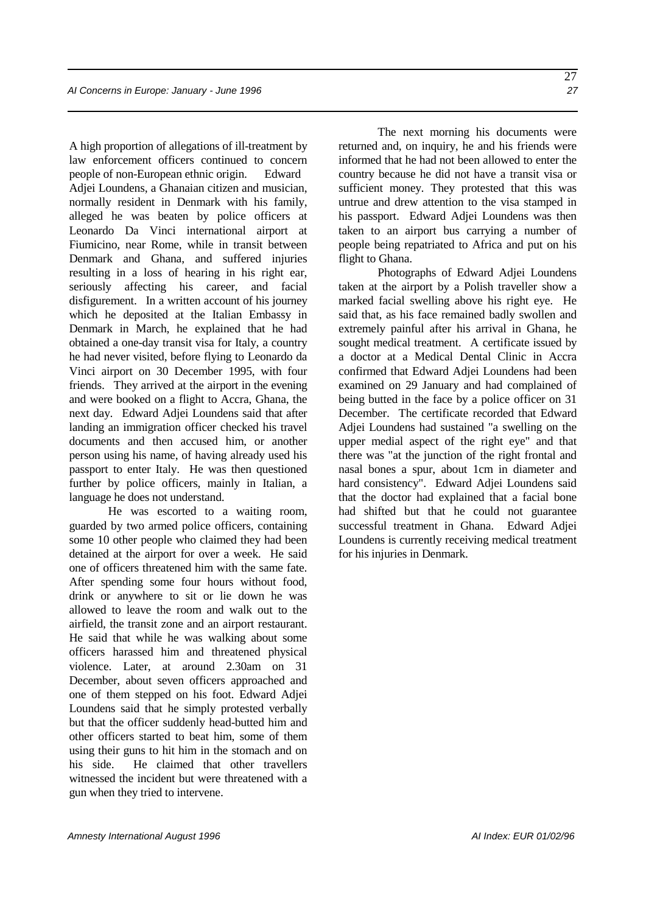A high proportion of allegations of ill-treatment by law enforcement officers continued to concern people of non-European ethnic origin. Edward Adjei Loundens, a Ghanaian citizen and musician, normally resident in Denmark with his family, alleged he was beaten by police officers at Leonardo Da Vinci international airport at Fiumicino, near Rome, while in transit between Denmark and Ghana, and suffered injuries resulting in a loss of hearing in his right ear, seriously affecting his career, and facial disfigurement. In a written account of his journey which he deposited at the Italian Embassy in Denmark in March, he explained that he had obtained a one-day transit visa for Italy, a country he had never visited, before flying to Leonardo da Vinci airport on 30 December 1995, with four friends. They arrived at the airport in the evening and were booked on a flight to Accra, Ghana, the next day. Edward Adjei Loundens said that after landing an immigration officer checked his travel documents and then accused him, or another person using his name, of having already used his passport to enter Italy. He was then questioned further by police officers, mainly in Italian, a language he does not understand.

He was escorted to a waiting room, guarded by two armed police officers, containing some 10 other people who claimed they had been detained at the airport for over a week. He said one of officers threatened him with the same fate. After spending some four hours without food, drink or anywhere to sit or lie down he was allowed to leave the room and walk out to the airfield, the transit zone and an airport restaurant. He said that while he was walking about some officers harassed him and threatened physical violence. Later, at around 2.30am on 31 December, about seven officers approached and one of them stepped on his foot. Edward Adjei Loundens said that he simply protested verbally but that the officer suddenly head-butted him and other officers started to beat him, some of them using their guns to hit him in the stomach and on his side. He claimed that other travellers witnessed the incident but were threatened with a gun when they tried to intervene.

The next morning his documents were returned and, on inquiry, he and his friends were informed that he had not been allowed to enter the country because he did not have a transit visa or sufficient money. They protested that this was untrue and drew attention to the visa stamped in his passport. Edward Adjei Loundens was then taken to an airport bus carrying a number of people being repatriated to Africa and put on his flight to Ghana.

Photographs of Edward Adjei Loundens taken at the airport by a Polish traveller show a marked facial swelling above his right eye. He said that, as his face remained badly swollen and extremely painful after his arrival in Ghana, he sought medical treatment. A certificate issued by a doctor at a Medical Dental Clinic in Accra confirmed that Edward Adjei Loundens had been examined on 29 January and had complained of being butted in the face by a police officer on 31 December. The certificate recorded that Edward Adjei Loundens had sustained "a swelling on the upper medial aspect of the right eye" and that there was "at the junction of the right frontal and nasal bones a spur, about 1cm in diameter and hard consistency". Edward Adjei Loundens said that the doctor had explained that a facial bone had shifted but that he could not guarantee successful treatment in Ghana. Edward Adjei Loundens is currently receiving medical treatment for his injuries in Denmark.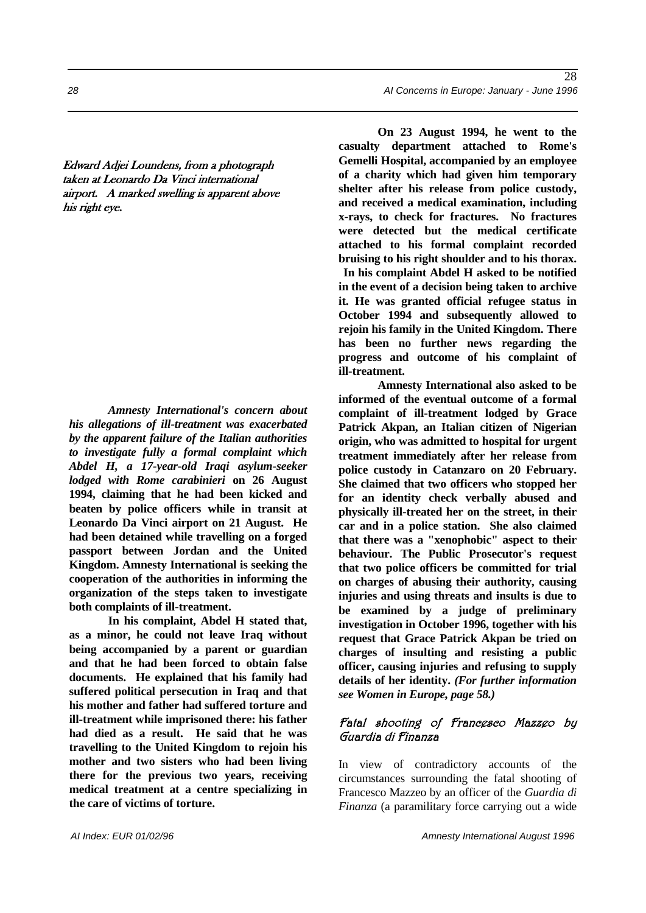Edward Adjei Loundens, from a photograph taken at Leonardo Da Vinci international airport. A marked swelling is apparent above his right eye.

*Amnesty International's concern about his allegations of ill-treatment was exacerbated by the apparent failure of the Italian authorities to investigate fully a formal complaint which Abdel H, a 17-year-old Iraqi asylum-seeker lodged with Rome carabinieri* **on 26 August 1994, claiming that he had been kicked and beaten by police officers while in transit at Leonardo Da Vinci airport on 21 August. He had been detained while travelling on a forged passport between Jordan and the United Kingdom. Amnesty International is seeking the cooperation of the authorities in informing the organization of the steps taken to investigate both complaints of ill-treatment.** 

**In his complaint, Abdel H stated that, as a minor, he could not leave Iraq without being accompanied by a parent or guardian and that he had been forced to obtain false documents. He explained that his family had suffered political persecution in Iraq and that his mother and father had suffered torture and ill-treatment while imprisoned there: his father had died as a result. He said that he was travelling to the United Kingdom to rejoin his mother and two sisters who had been living there for the previous two years, receiving medical treatment at a centre specializing in the care of victims of torture.** 

**On 23 August 1994, he went to the casualty department attached to Rome's Gemelli Hospital, accompanied by an employee of a charity which had given him temporary shelter after his release from police custody, and received a medical examination, including x-rays, to check for fractures. No fractures were detected but the medical certificate attached to his formal complaint recorded bruising to his right shoulder and to his thorax. In his complaint Abdel H asked to be notified in the event of a decision being taken to archive it. He was granted official refugee status in October 1994 and subsequently allowed to rejoin his family in the United Kingdom. There has been no further news regarding the progress and outcome of his complaint of ill-treatment.** 

**Amnesty International also asked to be informed of the eventual outcome of a formal complaint of ill-treatment lodged by Grace Patrick Akpan, an Italian citizen of Nigerian origin, who was admitted to hospital for urgent treatment immediately after her release from police custody in Catanzaro on 20 February. She claimed that two officers who stopped her for an identity check verbally abused and physically ill-treated her on the street, in their car and in a police station. She also claimed that there was a "xenophobic" aspect to their behaviour. The Public Prosecutor's request that two police officers be committed for trial on charges of abusing their authority, causing injuries and using threats and insults is due to be examined by a judge of preliminary investigation in October 1996, together with his request that Grace Patrick Akpan be tried on charges of insulting and resisting a public officer, causing injuries and refusing to supply details of her identity.** *(For further information see Women in Europe, page 58.)* 

#### Fatal shooting of Francesco Mazzeo by Guardia di Finanza

In view of contradictory accounts of the circumstances surrounding the fatal shooting of Francesco Mazzeo by an officer of the *Guardia di Finanza* (a paramilitary force carrying out a wide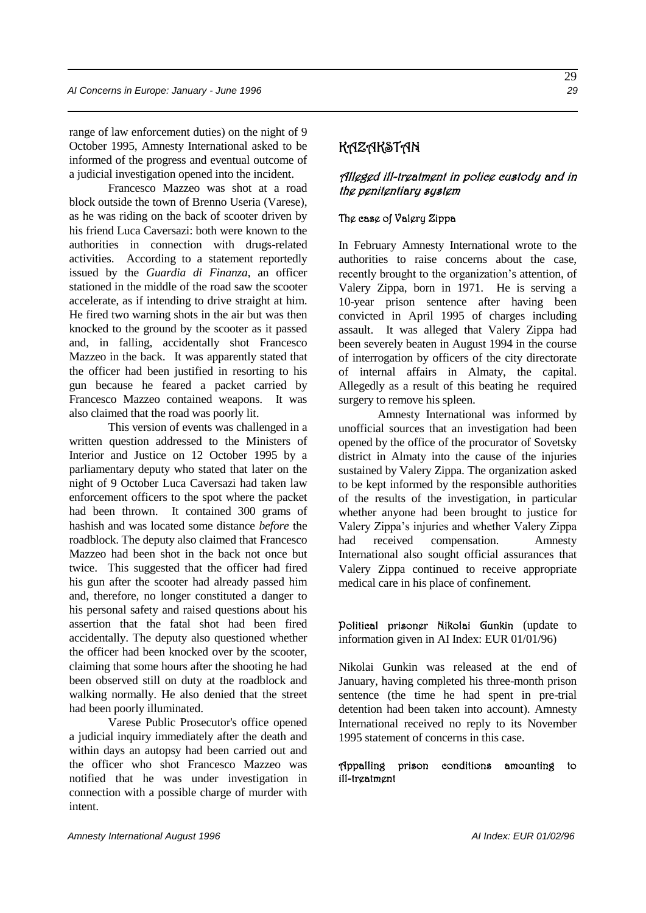range of law enforcement duties) on the night of 9 October 1995, Amnesty International asked to be informed of the progress and eventual outcome of a judicial investigation opened into the incident.

Francesco Mazzeo was shot at a road block outside the town of Brenno Useria (Varese), as he was riding on the back of scooter driven by his friend Luca Caversazi: both were known to the authorities in connection with drugs-related activities. According to a statement reportedly issued by the *Guardia di Finanza*, an officer stationed in the middle of the road saw the scooter accelerate, as if intending to drive straight at him. He fired two warning shots in the air but was then knocked to the ground by the scooter as it passed and, in falling, accidentally shot Francesco Mazzeo in the back. It was apparently stated that the officer had been justified in resorting to his gun because he feared a packet carried by Francesco Mazzeo contained weapons. It was also claimed that the road was poorly lit.

This version of events was challenged in a written question addressed to the Ministers of Interior and Justice on 12 October 1995 by a parliamentary deputy who stated that later on the night of 9 October Luca Caversazi had taken law enforcement officers to the spot where the packet had been thrown. It contained 300 grams of hashish and was located some distance *before* the roadblock. The deputy also claimed that Francesco Mazzeo had been shot in the back not once but twice. This suggested that the officer had fired his gun after the scooter had already passed him and, therefore, no longer constituted a danger to his personal safety and raised questions about his assertion that the fatal shot had been fired accidentally. The deputy also questioned whether the officer had been knocked over by the scooter, claiming that some hours after the shooting he had been observed still on duty at the roadblock and walking normally. He also denied that the street had been poorly illuminated.

Varese Public Prosecutor's office opened a judicial inquiry immediately after the death and within days an autopsy had been carried out and the officer who shot Francesco Mazzeo was notified that he was under investigation in connection with a possible charge of murder with intent.

### KAZAKSTAN

#### Alleged ill-treatment in police custody and in the penitentiary system

#### The case of Valery Zippa

In February Amnesty International wrote to the authorities to raise concerns about the case, recently brought to the organization's attention, of Valery Zippa, born in 1971. He is serving a 10-year prison sentence after having been convicted in April 1995 of charges including assault. It was alleged that Valery Zippa had been severely beaten in August 1994 in the course of interrogation by officers of the city directorate of internal affairs in Almaty, the capital. Allegedly as a result of this beating he required surgery to remove his spleen.

Amnesty International was informed by unofficial sources that an investigation had been opened by the office of the procurator of Sovetsky district in Almaty into the cause of the injuries sustained by Valery Zippa. The organization asked to be kept informed by the responsible authorities of the results of the investigation, in particular whether anyone had been brought to justice for Valery Zippa's injuries and whether Valery Zippa had received compensation. Amnesty International also sought official assurances that Valery Zippa continued to receive appropriate medical care in his place of confinement.

Political prisoner Nikolai Gunkin (update to information given in AI Index: EUR 01/01/96)

Nikolai Gunkin was released at the end of January, having completed his three-month prison sentence (the time he had spent in pre-trial detention had been taken into account). Amnesty International received no reply to its November 1995 statement of concerns in this case.

#### Appalling prison conditions amounting to ill-treatment

29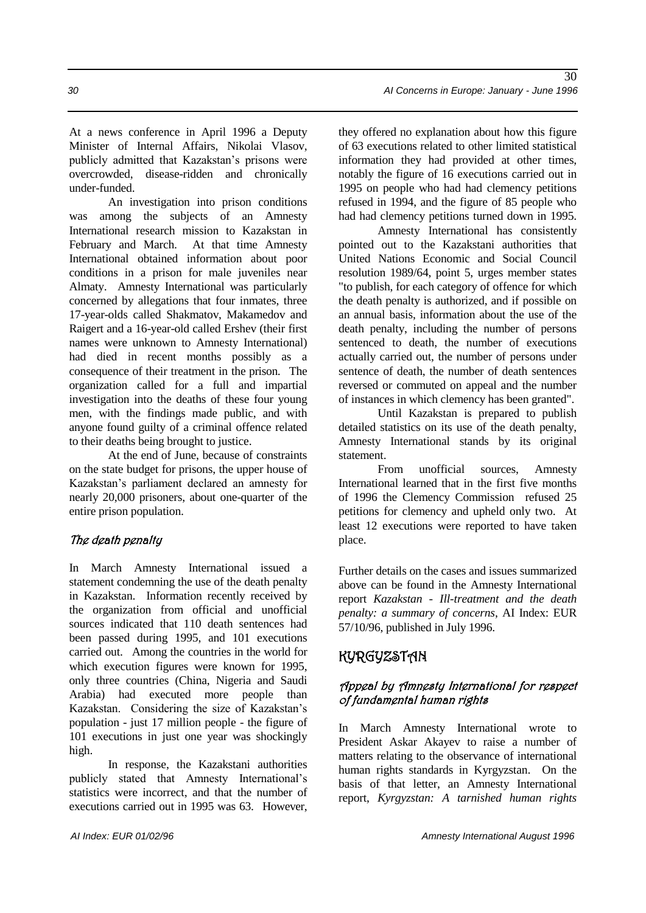At a news conference in April 1996 a Deputy Minister of Internal Affairs, Nikolai Vlasov, publicly admitted that Kazakstan's prisons were overcrowded, disease-ridden and chronically under-funded.

An investigation into prison conditions was among the subjects of an Amnesty International research mission to Kazakstan in February and March. At that time Amnesty International obtained information about poor conditions in a prison for male juveniles near Almaty. Amnesty International was particularly concerned by allegations that four inmates, three 17-year-olds called Shakmatov, Makamedov and Raigert and a 16-year-old called Ershev (their first names were unknown to Amnesty International) had died in recent months possibly as a consequence of their treatment in the prison. The organization called for a full and impartial investigation into the deaths of these four young men, with the findings made public, and with anyone found guilty of a criminal offence related to their deaths being brought to justice.

At the end of June, because of constraints on the state budget for prisons, the upper house of Kazakstan's parliament declared an amnesty for nearly 20,000 prisoners, about one-quarter of the entire prison population.

### The death penalty

In March Amnesty International issued a statement condemning the use of the death penalty in Kazakstan. Information recently received by the organization from official and unofficial sources indicated that 110 death sentences had been passed during 1995, and 101 executions carried out. Among the countries in the world for which execution figures were known for 1995. only three countries (China, Nigeria and Saudi Arabia) had executed more people than Kazakstan. Considering the size of Kazakstan's population - just 17 million people - the figure of 101 executions in just one year was shockingly high.

In response, the Kazakstani authorities publicly stated that Amnesty International's statistics were incorrect, and that the number of executions carried out in 1995 was 63. However, they offered no explanation about how this figure of 63 executions related to other limited statistical information they had provided at other times, notably the figure of 16 executions carried out in 1995 on people who had had clemency petitions refused in 1994, and the figure of 85 people who had had clemency petitions turned down in 1995.

Amnesty International has consistently pointed out to the Kazakstani authorities that United Nations Economic and Social Council resolution 1989/64, point 5, urges member states "to publish, for each category of offence for which the death penalty is authorized, and if possible on an annual basis, information about the use of the death penalty, including the number of persons sentenced to death, the number of executions actually carried out, the number of persons under sentence of death, the number of death sentences reversed or commuted on appeal and the number of instances in which clemency has been granted".

Until Kazakstan is prepared to publish detailed statistics on its use of the death penalty, Amnesty International stands by its original statement.

From unofficial sources, Amnesty International learned that in the first five months of 1996 the Clemency Commission refused 25 petitions for clemency and upheld only two. At least 12 executions were reported to have taken place.

Further details on the cases and issues summarized above can be found in the Amnesty International report *Kazakstan - Ill-treatment and the death penalty: a summary of concerns*, AI Index: EUR 57/10/96, published in July 1996.

# KYRGYZSTAN

### Appeal by Amnesty International for respect of fundamental human rights

In March Amnesty International wrote to President Askar Akayev to raise a number of matters relating to the observance of international human rights standards in Kyrgyzstan. On the basis of that letter, an Amnesty International report, *Kyrgyzstan: A tarnished human rights*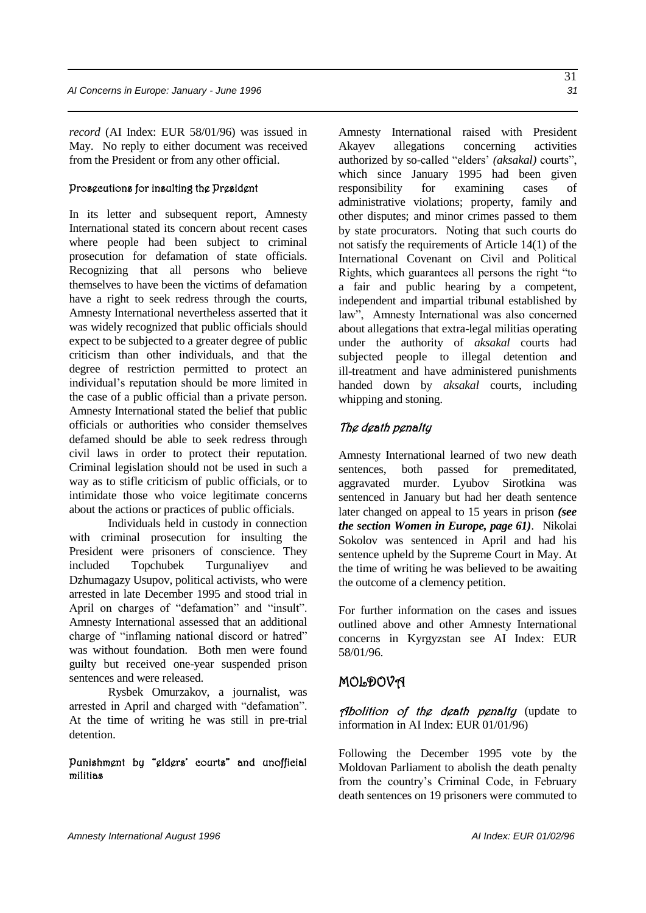*record* (AI Index: EUR 58/01/96) was issued in May. No reply to either document was received from the President or from any other official.

#### Prosecutions for insulting the President

In its letter and subsequent report, Amnesty International stated its concern about recent cases where people had been subject to criminal prosecution for defamation of state officials. Recognizing that all persons who believe themselves to have been the victims of defamation have a right to seek redress through the courts, Amnesty International nevertheless asserted that it was widely recognized that public officials should expect to be subjected to a greater degree of public criticism than other individuals, and that the degree of restriction permitted to protect an individual's reputation should be more limited in the case of a public official than a private person. Amnesty International stated the belief that public officials or authorities who consider themselves defamed should be able to seek redress through civil laws in order to protect their reputation. Criminal legislation should not be used in such a way as to stifle criticism of public officials, or to intimidate those who voice legitimate concerns about the actions or practices of public officials.

Individuals held in custody in connection with criminal prosecution for insulting the President were prisoners of conscience. They included Topchubek Turgunaliyev and Dzhumagazy Usupov, political activists, who were arrested in late December 1995 and stood trial in April on charges of "defamation" and "insult". Amnesty International assessed that an additional charge of "inflaming national discord or hatred" was without foundation. Both men were found guilty but received one-year suspended prison sentences and were released.

Rysbek Omurzakov, a journalist, was arrested in April and charged with "defamation". At the time of writing he was still in pre-trial detention.

#### Punishment by "elders' courts" and unofficial militias

Amnesty International raised with President Akayev allegations concerning activities authorized by so-called "elders' *(aksakal)* courts", which since January 1995 had been given responsibility for examining cases of administrative violations; property, family and other disputes; and minor crimes passed to them by state procurators. Noting that such courts do not satisfy the requirements of Article 14(1) of the International Covenant on Civil and Political Rights, which guarantees all persons the right "to a fair and public hearing by a competent, independent and impartial tribunal established by law", Amnesty International was also concerned about allegations that extra-legal militias operating under the authority of *aksakal* courts had subjected people to illegal detention and ill-treatment and have administered punishments handed down by *aksakal* courts, including whipping and stoning.

#### The death penalty

Amnesty International learned of two new death sentences, both passed for premeditated, aggravated murder. Lyubov Sirotkina was sentenced in January but had her death sentence later changed on appeal to 15 years in prison *(see the section Women in Europe, page 61)*. Nikolai Sokolov was sentenced in April and had his sentence upheld by the Supreme Court in May. At the time of writing he was believed to be awaiting the outcome of a clemency petition.

For further information on the cases and issues outlined above and other Amnesty International concerns in Kyrgyzstan see AI Index: EUR 58/01/96.

### MOLDOVA

Abolition of the death penalty (update to information in AI Index: EUR 01/01/96)

Following the December 1995 vote by the Moldovan Parliament to abolish the death penalty from the country's Criminal Code, in February death sentences on 19 prisoners were commuted to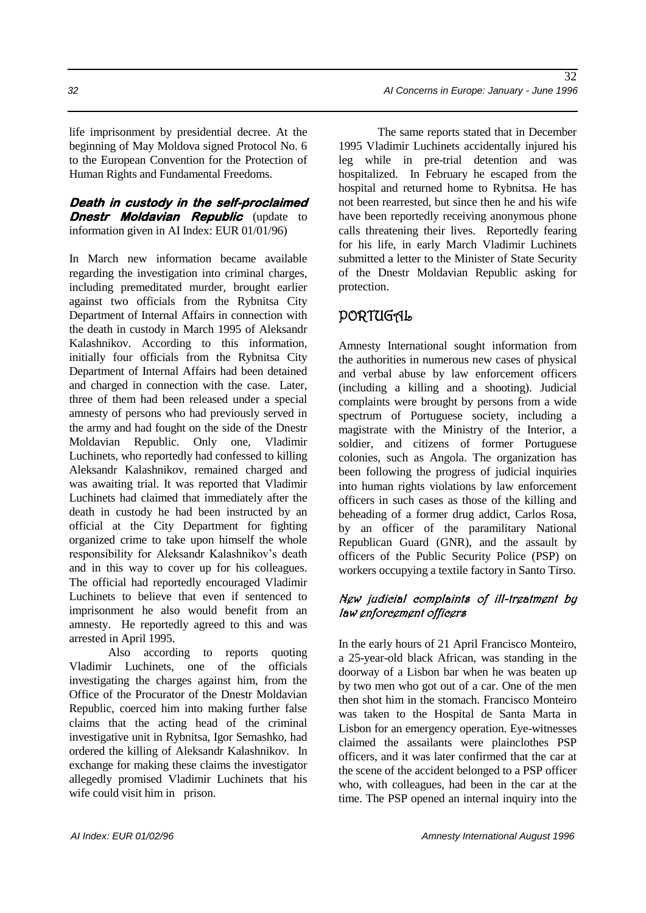life imprisonment by presidential decree. At the beginning of May Moldova signed Protocol No. 6 to the European Convention for the Protection of Human Rights and Fundamental Freedoms.

**Death in custody in the self-proclaimed Dnestr Moldavian Republic** (update to information given in AI Index: EUR 01/01/96)

In March new information became available regarding the investigation into criminal charges, including premeditated murder, brought earlier against two officials from the Rybnitsa City Department of Internal Affairs in connection with the death in custody in March 1995 of Aleksandr Kalashnikov. According to this information, initially four officials from the Rybnitsa City Department of Internal Affairs had been detained and charged in connection with the case. Later, three of them had been released under a special amnesty of persons who had previously served in the army and had fought on the side of the Dnestr Moldavian Republic. Only one, Vladimir Luchinets, who reportedly had confessed to killing Aleksandr Kalashnikov, remained charged and was awaiting trial. It was reported that Vladimir Luchinets had claimed that immediately after the death in custody he had been instructed by an official at the City Department for fighting organized crime to take upon himself the whole responsibility for Aleksandr Kalashnikov's death and in this way to cover up for his colleagues. The official had reportedly encouraged Vladimir Luchinets to believe that even if sentenced to imprisonment he also would benefit from an amnesty. He reportedly agreed to this and was arrested in April 1995.

Also according to reports quoting Vladimir Luchinets, one of the officials investigating the charges against him, from the Office of the Procurator of the Dnestr Moldavian Republic, coerced him into making further false claims that the acting head of the criminal investigative unit in Rybnitsa, Igor Semashko, had ordered the killing of Aleksandr Kalashnikov. In exchange for making these claims the investigator allegedly promised Vladimir Luchinets that his wife could visit him in prison.

*32 AI Concerns in Europe: January - June 1996*

The same reports stated that in December 1995 Vladimir Luchinets accidentally injured his leg while in pre-trial detention and was hospitalized. In February he escaped from the hospital and returned home to Rybnitsa. He has not been rearrested, but since then he and his wife have been reportedly receiving anonymous phone calls threatening their lives. Reportedly fearing for his life, in early March Vladimir Luchinets submitted a letter to the Minister of State Security of the Dnestr Moldavian Republic asking for protection.

### PORTUGAL

Amnesty International sought information from the authorities in numerous new cases of physical and verbal abuse by law enforcement officers (including a killing and a shooting). Judicial complaints were brought by persons from a wide spectrum of Portuguese society, including a magistrate with the Ministry of the Interior, a soldier, and citizens of former Portuguese colonies, such as Angola. The organization has been following the progress of judicial inquiries into human rights violations by law enforcement officers in such cases as those of the killing and beheading of a former drug addict, Carlos Rosa, by an officer of the paramilitary National Republican Guard (GNR), and the assault by officers of the Public Security Police (PSP) on workers occupying a textile factory in Santo Tirso.

#### New judicial complaints of ill-treatment by law enforcement officers

In the early hours of 21 April Francisco Monteiro, a 25-year-old black African, was standing in the doorway of a Lisbon bar when he was beaten up by two men who got out of a car. One of the men then shot him in the stomach. Francisco Monteiro was taken to the Hospital de Santa Marta in Lisbon for an emergency operation. Eye-witnesses claimed the assailants were plainclothes PSP officers, and it was later confirmed that the car at the scene of the accident belonged to a PSP officer who, with colleagues, had been in the car at the time. The PSP opened an internal inquiry into the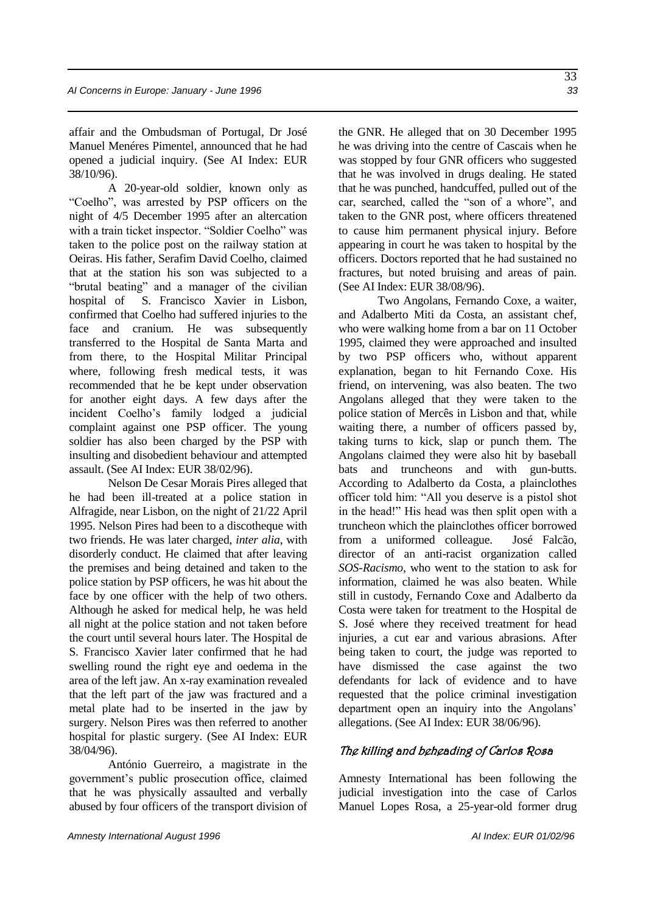affair and the Ombudsman of Portugal, Dr José Manuel Menéres Pimentel, announced that he had opened a judicial inquiry. (See AI Index: EUR 38/10/96).

A 20-year-old soldier, known only as "Coelho", was arrested by PSP officers on the night of 4/5 December 1995 after an altercation with a train ticket inspector. "Soldier Coelho" was taken to the police post on the railway station at Oeiras. His father, Serafim David Coelho, claimed that at the station his son was subjected to a "brutal beating" and a manager of the civilian hospital of S. Francisco Xavier in Lisbon, confirmed that Coelho had suffered injuries to the face and cranium. He was subsequently transferred to the Hospital de Santa Marta and from there, to the Hospital Militar Principal where, following fresh medical tests, it was recommended that he be kept under observation for another eight days. A few days after the incident Coelho's family lodged a judicial complaint against one PSP officer. The young soldier has also been charged by the PSP with insulting and disobedient behaviour and attempted assault. (See AI Index: EUR 38/02/96).

Nelson De Cesar Morais Pires alleged that he had been ill-treated at a police station in Alfragide, near Lisbon, on the night of 21/22 April 1995. Nelson Pires had been to a discotheque with two friends. He was later charged, *inter alia*, with disorderly conduct. He claimed that after leaving the premises and being detained and taken to the police station by PSP officers, he was hit about the face by one officer with the help of two others. Although he asked for medical help, he was held all night at the police station and not taken before the court until several hours later. The Hospital de S. Francisco Xavier later confirmed that he had swelling round the right eye and oedema in the area of the left jaw. An x-ray examination revealed that the left part of the jaw was fractured and a metal plate had to be inserted in the jaw by surgery. Nelson Pires was then referred to another hospital for plastic surgery. (See AI Index: EUR 38/04/96).

António Guerreiro, a magistrate in the government's public prosecution office, claimed that he was physically assaulted and verbally abused by four officers of the transport division of the GNR. He alleged that on 30 December 1995 he was driving into the centre of Cascais when he was stopped by four GNR officers who suggested that he was involved in drugs dealing. He stated that he was punched, handcuffed, pulled out of the car, searched, called the "son of a whore", and taken to the GNR post, where officers threatened to cause him permanent physical injury. Before appearing in court he was taken to hospital by the officers. Doctors reported that he had sustained no fractures, but noted bruising and areas of pain. (See AI Index: EUR 38/08/96).

Two Angolans, Fernando Coxe, a waiter, and Adalberto Miti da Costa, an assistant chef, who were walking home from a bar on 11 October 1995, claimed they were approached and insulted by two PSP officers who, without apparent explanation, began to hit Fernando Coxe. His friend, on intervening, was also beaten. The two Angolans alleged that they were taken to the police station of Mercês in Lisbon and that, while waiting there, a number of officers passed by, taking turns to kick, slap or punch them. The Angolans claimed they were also hit by baseball bats and truncheons and with gun-butts. According to Adalberto da Costa, a plainclothes officer told him: "All you deserve is a pistol shot in the head!" His head was then split open with a truncheon which the plainclothes officer borrowed from a uniformed colleague. José Falcão, director of an anti-racist organization called *SOS-Racismo*, who went to the station to ask for information, claimed he was also beaten. While still in custody, Fernando Coxe and Adalberto da Costa were taken for treatment to the Hospital de S. José where they received treatment for head injuries, a cut ear and various abrasions. After being taken to court, the judge was reported to have dismissed the case against the two defendants for lack of evidence and to have requested that the police criminal investigation department open an inquiry into the Angolans' allegations. (See AI Index: EUR 38/06/96).

#### The killing and beheading of Carlos Rosa

Amnesty International has been following the judicial investigation into the case of Carlos Manuel Lopes Rosa, a 25-year-old former drug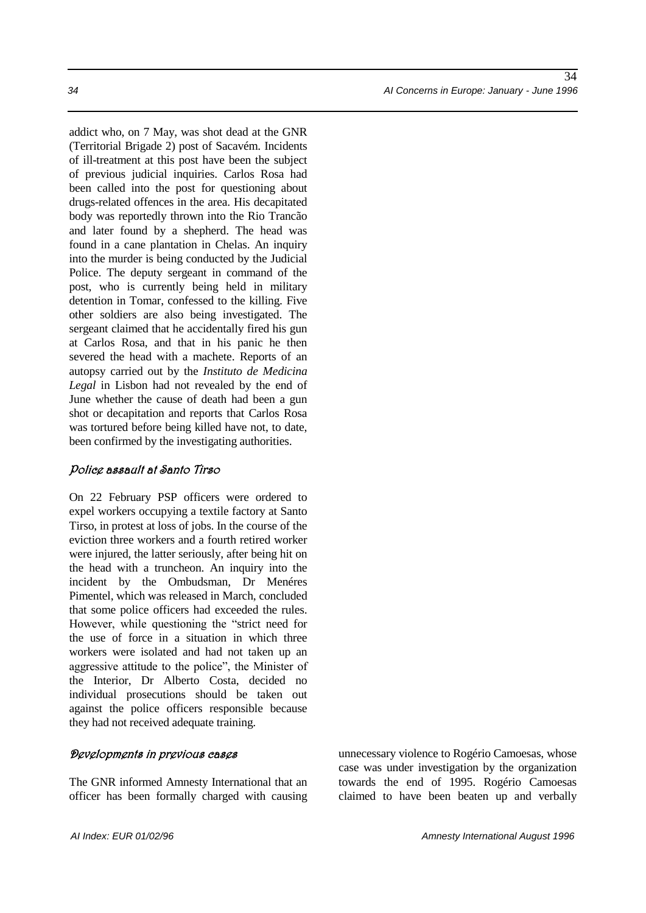addict who, on 7 May, was shot dead at the GNR (Territorial Brigade 2) post of Sacavém. Incidents of ill-treatment at this post have been the subject of previous judicial inquiries. Carlos Rosa had been called into the post for questioning about drugs-related offences in the area. His decapitated body was reportedly thrown into the Rio Trancão and later found by a shepherd. The head was found in a cane plantation in Chelas. An inquiry into the murder is being conducted by the Judicial Police. The deputy sergeant in command of the post, who is currently being held in military detention in Tomar, confessed to the killing. Five other soldiers are also being investigated. The sergeant claimed that he accidentally fired his gun at Carlos Rosa, and that in his panic he then severed the head with a machete. Reports of an autopsy carried out by the *Instituto de Medicina Legal* in Lisbon had not revealed by the end of

June whether the cause of death had been a gun shot or decapitation and reports that Carlos Rosa was tortured before being killed have not, to date, been confirmed by the investigating authorities.

#### Police assault at Santo Tirso

On 22 February PSP officers were ordered to expel workers occupying a textile factory at Santo Tirso, in protest at loss of jobs. In the course of the eviction three workers and a fourth retired worker were injured, the latter seriously, after being hit on the head with a truncheon. An inquiry into the incident by the Ombudsman, Dr Menéres Pimentel, which was released in March, concluded that some police officers had exceeded the rules. However, while questioning the "strict need for the use of force in a situation in which three workers were isolated and had not taken up an aggressive attitude to the police", the Minister of the Interior, Dr Alberto Costa, decided no individual prosecutions should be taken out against the police officers responsible because they had not received adequate training.

#### Developments in previous cases

The GNR informed Amnesty International that an officer has been formally charged with causing

unnecessary violence to Rogério Camoesas, whose case was under investigation by the organization towards the end of 1995. Rogério Camoesas claimed to have been beaten up and verbally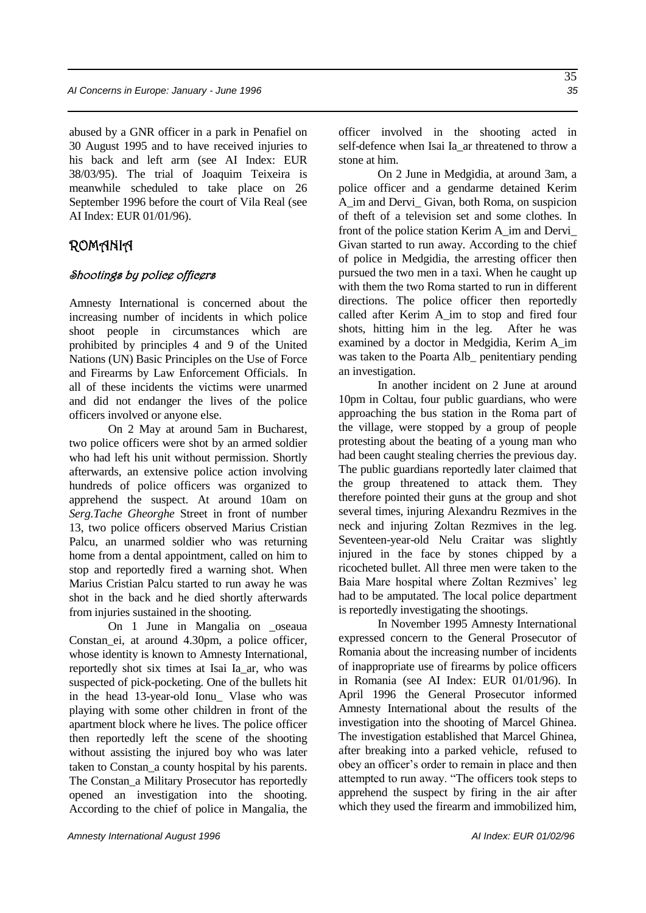abused by a GNR officer in a park in Penafiel on 30 August 1995 and to have received injuries to his back and left arm (see AI Index: EUR 38/03/95). The trial of Joaquim Teixeira is meanwhile scheduled to take place on 26 September 1996 before the court of Vila Real (see AI Index: EUR 01/01/96).

### ROMANIA

#### Shootings by police officers

Amnesty International is concerned about the increasing number of incidents in which police shoot people in circumstances which are prohibited by principles 4 and 9 of the United Nations (UN) Basic Principles on the Use of Force and Firearms by Law Enforcement Officials. In all of these incidents the victims were unarmed and did not endanger the lives of the police officers involved or anyone else.

On 2 May at around 5am in Bucharest, two police officers were shot by an armed soldier who had left his unit without permission. Shortly afterwards, an extensive police action involving hundreds of police officers was organized to apprehend the suspect. At around 10am on *Serg.Tache Gheorghe* Street in front of number 13, two police officers observed Marius Cristian Palcu, an unarmed soldier who was returning home from a dental appointment, called on him to stop and reportedly fired a warning shot. When Marius Cristian Palcu started to run away he was shot in the back and he died shortly afterwards from injuries sustained in the shooting.

On 1 June in Mangalia on \_oseaua Constan\_ei, at around 4.30pm, a police officer, whose identity is known to Amnesty International, reportedly shot six times at Isai Ia\_ar, who was suspected of pick-pocketing. One of the bullets hit in the head 13-year-old Ionu\_ Vlase who was playing with some other children in front of the apartment block where he lives. The police officer then reportedly left the scene of the shooting without assisting the injured boy who was later taken to Constan\_a county hospital by his parents. The Constan\_a Military Prosecutor has reportedly opened an investigation into the shooting. According to the chief of police in Mangalia, the

officer involved in the shooting acted in self-defence when Isai Ia\_ar threatened to throw a stone at him.

On 2 June in Medgidia, at around 3am, a police officer and a gendarme detained Kerim A\_im and Dervi\_ Givan, both Roma, on suspicion of theft of a television set and some clothes. In front of the police station Kerim A\_im and Dervi\_ Givan started to run away. According to the chief of police in Medgidia, the arresting officer then pursued the two men in a taxi. When he caught up with them the two Roma started to run in different directions. The police officer then reportedly called after Kerim A\_im to stop and fired four shots, hitting him in the leg. After he was examined by a doctor in Medgidia, Kerim A\_im was taken to the Poarta Alb\_ penitentiary pending an investigation.

In another incident on 2 June at around 10pm in Coltau, four public guardians, who were approaching the bus station in the Roma part of the village, were stopped by a group of people protesting about the beating of a young man who had been caught stealing cherries the previous day. The public guardians reportedly later claimed that the group threatened to attack them. They therefore pointed their guns at the group and shot several times, injuring Alexandru Rezmives in the neck and injuring Zoltan Rezmives in the leg. Seventeen-year-old Nelu Craitar was slightly injured in the face by stones chipped by a ricocheted bullet. All three men were taken to the Baia Mare hospital where Zoltan Rezmives' leg had to be amputated. The local police department is reportedly investigating the shootings.

In November 1995 Amnesty International expressed concern to the General Prosecutor of Romania about the increasing number of incidents of inappropriate use of firearms by police officers in Romania (see AI Index: EUR 01/01/96). In April 1996 the General Prosecutor informed Amnesty International about the results of the investigation into the shooting of Marcel Ghinea. The investigation established that Marcel Ghinea, after breaking into a parked vehicle, refused to obey an officer's order to remain in place and then attempted to run away. "The officers took steps to apprehend the suspect by firing in the air after which they used the firearm and immobilized him,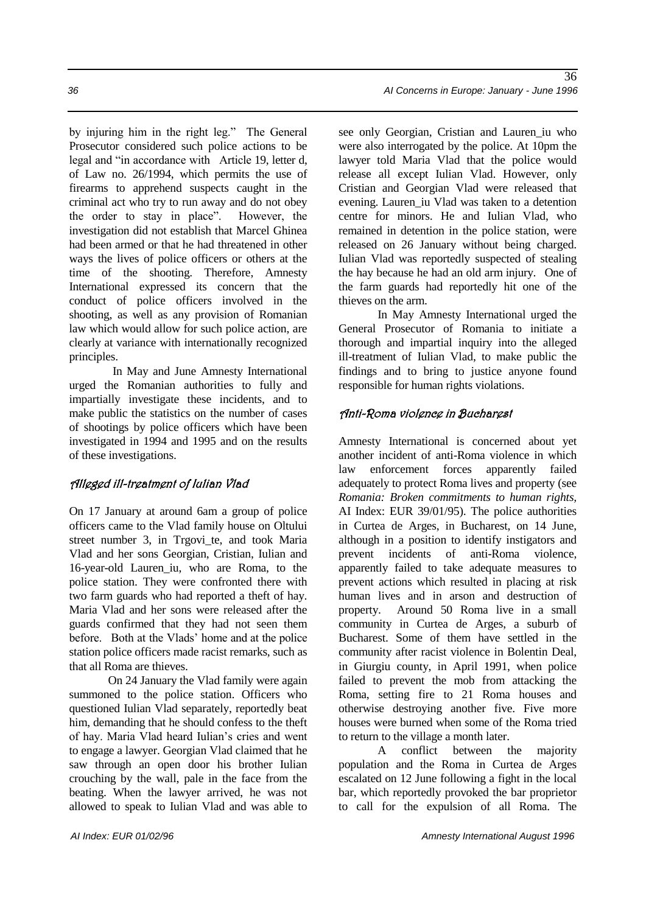by injuring him in the right leg." The General Prosecutor considered such police actions to be legal and "in accordance with Article 19, letter d, of Law no. 26/1994, which permits the use of firearms to apprehend suspects caught in the criminal act who try to run away and do not obey the order to stay in place". However, the investigation did not establish that Marcel Ghinea had been armed or that he had threatened in other ways the lives of police officers or others at the time of the shooting. Therefore, Amnesty International expressed its concern that the conduct of police officers involved in the shooting, as well as any provision of Romanian law which would allow for such police action, are clearly at variance with internationally recognized principles.

In May and June Amnesty International urged the Romanian authorities to fully and impartially investigate these incidents, and to make public the statistics on the number of cases of shootings by police officers which have been investigated in 1994 and 1995 and on the results of these investigations.

#### Alleged ill-treatment of Iulian Vlad

On 17 January at around 6am a group of police officers came to the Vlad family house on Oltului street number 3, in Trgovi\_te, and took Maria Vlad and her sons Georgian, Cristian, Iulian and 16-year-old Lauren\_iu, who are Roma, to the police station. They were confronted there with two farm guards who had reported a theft of hay. Maria Vlad and her sons were released after the guards confirmed that they had not seen them before. Both at the Vlads' home and at the police station police officers made racist remarks, such as that all Roma are thieves.

On 24 January the Vlad family were again summoned to the police station. Officers who questioned Iulian Vlad separately, reportedly beat him, demanding that he should confess to the theft of hay. Maria Vlad heard Iulian's cries and went to engage a lawyer. Georgian Vlad claimed that he saw through an open door his brother Iulian crouching by the wall, pale in the face from the beating. When the lawyer arrived, he was not allowed to speak to Iulian Vlad and was able to see only Georgian, Cristian and Lauren iu who were also interrogated by the police. At 10pm the lawyer told Maria Vlad that the police would release all except Iulian Vlad. However, only Cristian and Georgian Vlad were released that evening. Lauren\_iu Vlad was taken to a detention centre for minors. He and Iulian Vlad, who remained in detention in the police station, were released on 26 January without being charged. Iulian Vlad was reportedly suspected of stealing the hay because he had an old arm injury. One of the farm guards had reportedly hit one of the thieves on the arm.

In May Amnesty International urged the General Prosecutor of Romania to initiate a thorough and impartial inquiry into the alleged ill-treatment of Iulian Vlad, to make public the findings and to bring to justice anyone found responsible for human rights violations.

#### Anti-Roma violence in Bucharest

Amnesty International is concerned about yet another incident of anti-Roma violence in which law enforcement forces apparently failed adequately to protect Roma lives and property (see *Romania: Broken commitments to human rights,* AI Index: EUR 39/01/95). The police authorities in Curtea de Arges, in Bucharest, on 14 June, although in a position to identify instigators and prevent incidents of anti-Roma violence, apparently failed to take adequate measures to prevent actions which resulted in placing at risk human lives and in arson and destruction of property. Around 50 Roma live in a small community in Curtea de Arges, a suburb of Bucharest. Some of them have settled in the community after racist violence in Bolentin Deal, in Giurgiu county, in April 1991, when police failed to prevent the mob from attacking the Roma, setting fire to 21 Roma houses and otherwise destroying another five. Five more houses were burned when some of the Roma tried to return to the village a month later.

A conflict between the majority population and the Roma in Curtea de Arges escalated on 12 June following a fight in the local bar, which reportedly provoked the bar proprietor to call for the expulsion of all Roma. The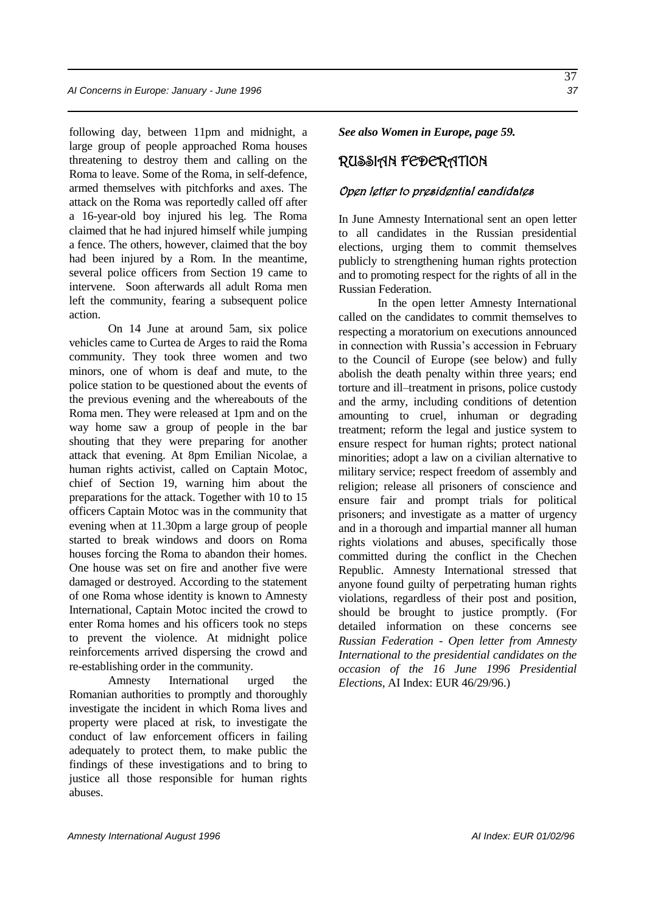following day, between 11pm and midnight, a large group of people approached Roma houses threatening to destroy them and calling on the Roma to leave. Some of the Roma, in self-defence, armed themselves with pitchforks and axes. The attack on the Roma was reportedly called off after a 16-year-old boy injured his leg. The Roma claimed that he had injured himself while jumping a fence. The others, however, claimed that the boy had been injured by a Rom. In the meantime, several police officers from Section 19 came to intervene. Soon afterwards all adult Roma men left the community, fearing a subsequent police action.

On 14 June at around 5am, six police vehicles came to Curtea de Arges to raid the Roma community. They took three women and two minors, one of whom is deaf and mute, to the police station to be questioned about the events of the previous evening and the whereabouts of the Roma men. They were released at 1pm and on the way home saw a group of people in the bar shouting that they were preparing for another attack that evening. At 8pm Emilian Nicolae, a human rights activist, called on Captain Motoc, chief of Section 19, warning him about the preparations for the attack. Together with 10 to 15 officers Captain Motoc was in the community that evening when at 11.30pm a large group of people started to break windows and doors on Roma houses forcing the Roma to abandon their homes. One house was set on fire and another five were damaged or destroyed. According to the statement of one Roma whose identity is known to Amnesty International, Captain Motoc incited the crowd to enter Roma homes and his officers took no steps to prevent the violence. At midnight police reinforcements arrived dispersing the crowd and re-establishing order in the community.

Amnesty International urged the Romanian authorities to promptly and thoroughly investigate the incident in which Roma lives and property were placed at risk, to investigate the conduct of law enforcement officers in failing adequately to protect them, to make public the findings of these investigations and to bring to justice all those responsible for human rights abuses.

*See also Women in Europe, page 59.*

### RUSSIAN FEDERATION

#### Open letter to presidential candidates

In June Amnesty International sent an open letter to all candidates in the Russian presidential elections, urging them to commit themselves publicly to strengthening human rights protection and to promoting respect for the rights of all in the Russian Federation.

In the open letter Amnesty International called on the candidates to commit themselves to respecting a moratorium on executions announced in connection with Russia's accession in February to the Council of Europe (see below) and fully abolish the death penalty within three years; end torture and ill–treatment in prisons, police custody and the army, including conditions of detention amounting to cruel, inhuman or degrading treatment; reform the legal and justice system to ensure respect for human rights; protect national minorities; adopt a law on a civilian alternative to military service; respect freedom of assembly and religion; release all prisoners of conscience and ensure fair and prompt trials for political prisoners; and investigate as a matter of urgency and in a thorough and impartial manner all human rights violations and abuses, specifically those committed during the conflict in the Chechen Republic. Amnesty International stressed that anyone found guilty of perpetrating human rights violations, regardless of their post and position, should be brought to justice promptly. (For detailed information on these concerns see *Russian Federation - Open letter from Amnesty International to the presidential candidates on the occasion of the 16 June 1996 Presidential Elections*, AI Index: EUR 46/29/96.)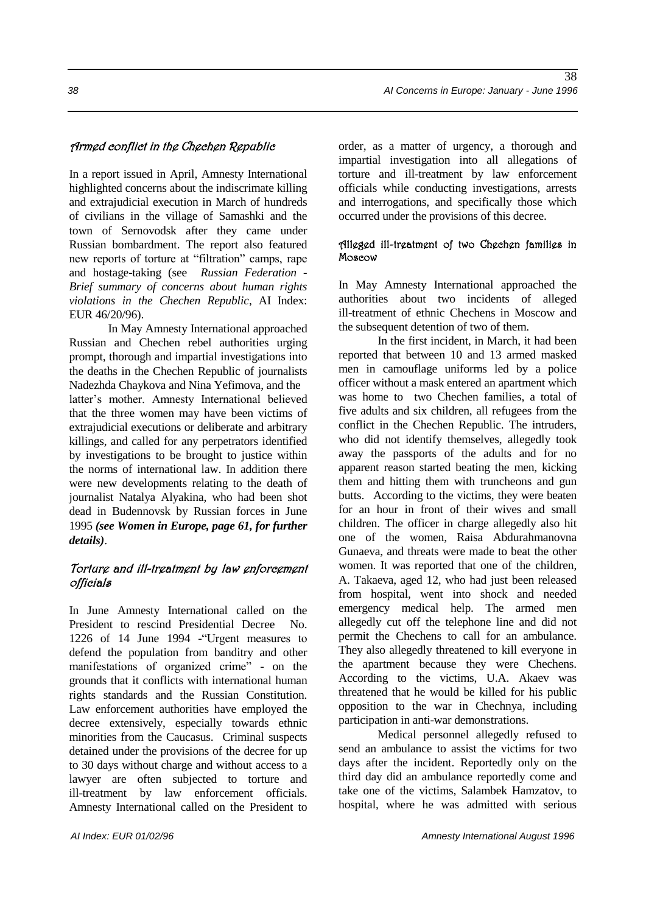#### Armed conflict in the Chechen Republic

In a report issued in April, Amnesty International highlighted concerns about the indiscrimate killing and extrajudicial execution in March of hundreds of civilians in the village of Samashki and the town of Sernovodsk after they came under Russian bombardment. The report also featured new reports of torture at "filtration" camps, rape and hostage-taking (see *Russian Federation - Brief summary of concerns about human rights violations in the Chechen Republic*, AI Index: EUR 46/20/96).

In May Amnesty International approached Russian and Chechen rebel authorities urging prompt, thorough and impartial investigations into the deaths in the Chechen Republic of journalists Nadezhda Chaykova and Nina Yefimova, and the latter's mother. Amnesty International believed that the three women may have been victims of extrajudicial executions or deliberate and arbitrary killings, and called for any perpetrators identified by investigations to be brought to justice within the norms of international law. In addition there were new developments relating to the death of journalist Natalya Alyakina, who had been shot dead in Budennovsk by Russian forces in June 1995 *(see Women in Europe, page 61, for further details)*.

#### Torture and ill-treatment by law enforcement officials

In June Amnesty International called on the President to rescind Presidential Decree No. 1226 of 14 June 1994 -"Urgent measures to defend the population from banditry and other manifestations of organized crime" - on the grounds that it conflicts with international human rights standards and the Russian Constitution. Law enforcement authorities have employed the decree extensively, especially towards ethnic minorities from the Caucasus. Criminal suspects detained under the provisions of the decree for up to 30 days without charge and without access to a lawyer are often subjected to torture and ill-treatment by law enforcement officials. Amnesty International called on the President to

order, as a matter of urgency, a thorough and impartial investigation into all allegations of torture and ill-treatment by law enforcement officials while conducting investigations, arrests and interrogations, and specifically those which occurred under the provisions of this decree.

#### Alleged ill-treatment of two Chechen families in Moscow

In May Amnesty International approached the authorities about two incidents of alleged ill-treatment of ethnic Chechens in Moscow and the subsequent detention of two of them.

In the first incident, in March, it had been reported that between 10 and 13 armed masked men in camouflage uniforms led by a police officer without a mask entered an apartment which was home to two Chechen families, a total of five adults and six children, all refugees from the conflict in the Chechen Republic. The intruders, who did not identify themselves, allegedly took away the passports of the adults and for no apparent reason started beating the men, kicking them and hitting them with truncheons and gun butts. According to the victims, they were beaten for an hour in front of their wives and small children. The officer in charge allegedly also hit one of the women, Raisa Abdurahmanovna Gunaeva, and threats were made to beat the other women. It was reported that one of the children, A. Takaeva, aged 12, who had just been released from hospital, went into shock and needed emergency medical help. The armed men allegedly cut off the telephone line and did not permit the Chechens to call for an ambulance. They also allegedly threatened to kill everyone in the apartment because they were Chechens. According to the victims, U.A. Akaev was threatened that he would be killed for his public opposition to the war in Chechnya, including participation in anti-war demonstrations.

Medical personnel allegedly refused to send an ambulance to assist the victims for two days after the incident. Reportedly only on the third day did an ambulance reportedly come and take one of the victims, Salambek Hamzatov, to hospital, where he was admitted with serious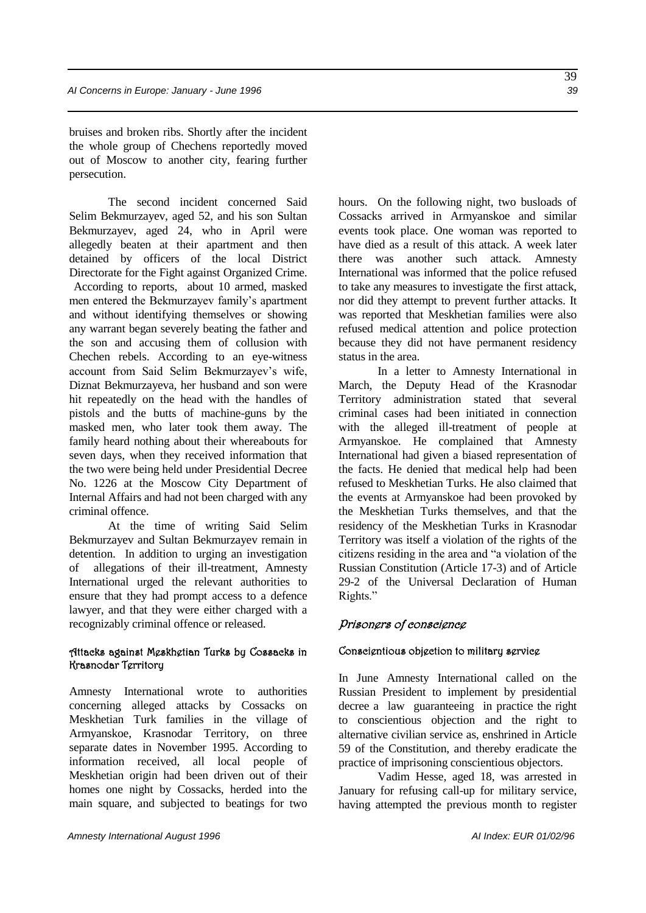bruises and broken ribs. Shortly after the incident the whole group of Chechens reportedly moved out of Moscow to another city, fearing further persecution.

The second incident concerned Said Selim Bekmurzayev, aged 52, and his son Sultan Bekmurzayev, aged 24, who in April were allegedly beaten at their apartment and then detained by officers of the local District Directorate for the Fight against Organized Crime. According to reports, about 10 armed, masked men entered the Bekmurzayev family's apartment and without identifying themselves or showing any warrant began severely beating the father and the son and accusing them of collusion with Chechen rebels. According to an eye-witness account from Said Selim Bekmurzayev's wife, Diznat Bekmurzayeva, her husband and son were hit repeatedly on the head with the handles of pistols and the butts of machine-guns by the masked men, who later took them away. The family heard nothing about their whereabouts for seven days, when they received information that the two were being held under Presidential Decree No. 1226 at the Moscow City Department of Internal Affairs and had not been charged with any criminal offence.

At the time of writing Said Selim Bekmurzayev and Sultan Bekmurzayev remain in detention. In addition to urging an investigation of allegations of their ill-treatment, Amnesty International urged the relevant authorities to ensure that they had prompt access to a defence lawyer, and that they were either charged with a recognizably criminal offence or released.

#### Attacks against Meskhetian Turks by Cossacks in Krasnodar Territory

Amnesty International wrote to authorities concerning alleged attacks by Cossacks on Meskhetian Turk families in the village of Armyanskoe, Krasnodar Territory, on three separate dates in November 1995. According to information received, all local people of Meskhetian origin had been driven out of their homes one night by Cossacks, herded into the main square, and subjected to beatings for two hours. On the following night, two busloads of Cossacks arrived in Armyanskoe and similar events took place. One woman was reported to have died as a result of this attack. A week later there was another such attack. Amnesty International was informed that the police refused to take any measures to investigate the first attack, nor did they attempt to prevent further attacks. It was reported that Meskhetian families were also refused medical attention and police protection because they did not have permanent residency status in the area.

In a letter to Amnesty International in March, the Deputy Head of the Krasnodar Territory administration stated that several criminal cases had been initiated in connection with the alleged ill-treatment of people at Armyanskoe. He complained that Amnesty International had given a biased representation of the facts. He denied that medical help had been refused to Meskhetian Turks. He also claimed that the events at Armyanskoe had been provoked by the Meskhetian Turks themselves, and that the residency of the Meskhetian Turks in Krasnodar Territory was itself a violation of the rights of the citizens residing in the area and "a violation of the Russian Constitution (Article 17-3) and of Article 29-2 of the Universal Declaration of Human Rights."

#### Prisoners of conscience

#### Conscientious objection to military service

In June Amnesty International called on the Russian President to implement by presidential decree a law guaranteeing in practice the right to conscientious objection and the right to alternative civilian service as, enshrined in Article 59 of the Constitution, and thereby eradicate the practice of imprisoning conscientious objectors.

Vadim Hesse, aged 18, was arrested in January for refusing call-up for military service, having attempted the previous month to register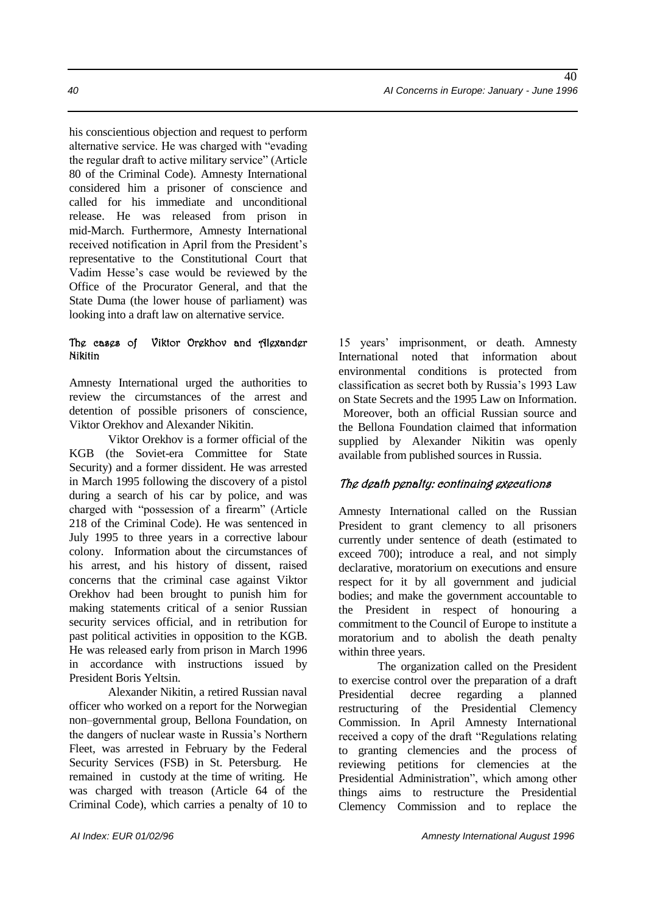his conscientious objection and request to perform alternative service. He was charged with "evading the regular draft to active military service" (Article 80 of the Criminal Code). Amnesty International considered him a prisoner of conscience and called for his immediate and unconditional release. He was released from prison in mid-March. Furthermore, Amnesty International received notification in April from the President's representative to the Constitutional Court that Vadim Hesse's case would be reviewed by the Office of the Procurator General, and that the State Duma (the lower house of parliament) was looking into a draft law on alternative service.

#### The cases of Viktor Orekhov and Alexander Nikitin

Amnesty International urged the authorities to review the circumstances of the arrest and detention of possible prisoners of conscience, Viktor Orekhov and Alexander Nikitin.

Viktor Orekhov is a former official of the KGB (the Soviet-era Committee for State Security) and a former dissident. He was arrested in March 1995 following the discovery of a pistol during a search of his car by police, and was charged with "possession of a firearm" (Article 218 of the Criminal Code). He was sentenced in July 1995 to three years in a corrective labour colony. Information about the circumstances of his arrest, and his history of dissent, raised concerns that the criminal case against Viktor Orekhov had been brought to punish him for making statements critical of a senior Russian security services official, and in retribution for past political activities in opposition to the KGB. He was released early from prison in March 1996 in accordance with instructions issued by President Boris Yeltsin.

Alexander Nikitin, a retired Russian naval officer who worked on a report for the Norwegian non–governmental group, Bellona Foundation, on the dangers of nuclear waste in Russia's Northern Fleet, was arrested in February by the Federal Security Services (FSB) in St. Petersburg. He remained in custody at the time of writing. He was charged with treason (Article 64 of the Criminal Code), which carries a penalty of 10 to

15 years' imprisonment, or death. Amnesty International noted that information about environmental conditions is protected from classification as secret both by Russia's 1993 Law on State Secrets and the 1995 Law on Information. Moreover, both an official Russian source and the Bellona Foundation claimed that information supplied by Alexander Nikitin was openly available from published sources in Russia.

#### The death penalty: continuing executions

Amnesty International called on the Russian President to grant clemency to all prisoners currently under sentence of death (estimated to exceed 700); introduce a real, and not simply declarative, moratorium on executions and ensure respect for it by all government and judicial bodies; and make the government accountable to the President in respect of honouring a commitment to the Council of Europe to institute a moratorium and to abolish the death penalty within three years.

The organization called on the President to exercise control over the preparation of a draft Presidential decree regarding a planned restructuring of the Presidential Clemency Commission. In April Amnesty International received a copy of the draft "Regulations relating to granting clemencies and the process of reviewing petitions for clemencies at the Presidential Administration", which among other things aims to restructure the Presidential Clemency Commission and to replace the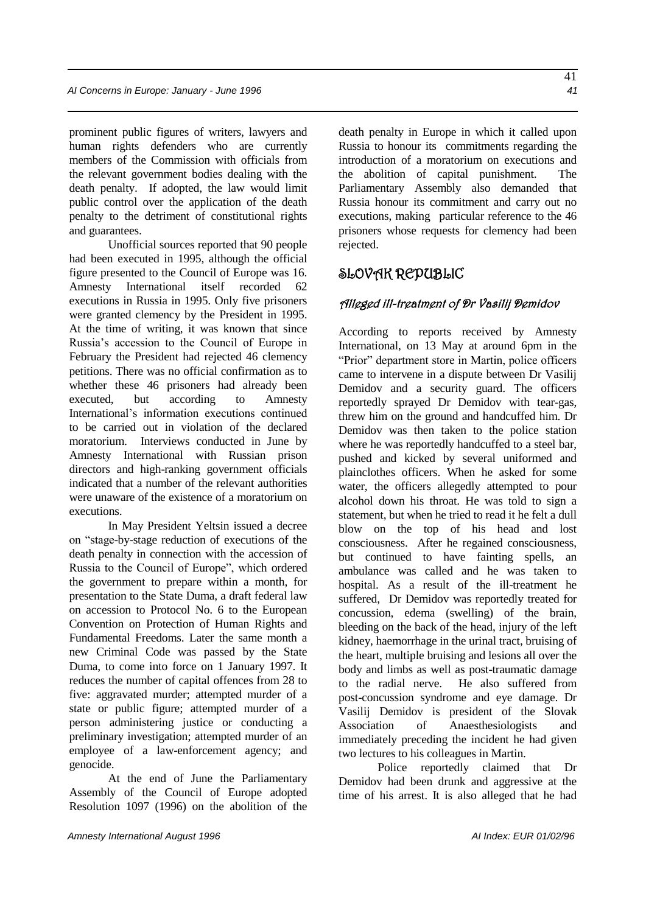prominent public figures of writers, lawyers and human rights defenders who are currently members of the Commission with officials from the relevant government bodies dealing with the death penalty. If adopted, the law would limit public control over the application of the death penalty to the detriment of constitutional rights and guarantees.

Unofficial sources reported that 90 people had been executed in 1995, although the official figure presented to the Council of Europe was 16. Amnesty International itself recorded 62 executions in Russia in 1995. Only five prisoners were granted clemency by the President in 1995. At the time of writing, it was known that since Russia's accession to the Council of Europe in February the President had rejected 46 clemency petitions. There was no official confirmation as to whether these 46 prisoners had already been executed, but according to Amnesty International's information executions continued to be carried out in violation of the declared moratorium. Interviews conducted in June by Amnesty International with Russian prison directors and high-ranking government officials indicated that a number of the relevant authorities were unaware of the existence of a moratorium on executions.

In May President Yeltsin issued a decree on "stage-by-stage reduction of executions of the death penalty in connection with the accession of Russia to the Council of Europe", which ordered the government to prepare within a month, for presentation to the State Duma, a draft federal law on accession to Protocol No. 6 to the European Convention on Protection of Human Rights and Fundamental Freedoms. Later the same month a new Criminal Code was passed by the State Duma, to come into force on 1 January 1997. It reduces the number of capital offences from 28 to five: aggravated murder; attempted murder of a state or public figure; attempted murder of a person administering justice or conducting a preliminary investigation; attempted murder of an employee of a law-enforcement agency; and genocide.

At the end of June the Parliamentary Assembly of the Council of Europe adopted Resolution 1097 (1996) on the abolition of the death penalty in Europe in which it called upon Russia to honour its commitments regarding the introduction of a moratorium on executions and the abolition of capital punishment. The Parliamentary Assembly also demanded that Russia honour its commitment and carry out no executions, making particular reference to the 46 prisoners whose requests for clemency had been rejected.

### SLOVAK REPUBLIC

#### Alleged ill-treatment of Dr Vasilij Demidov

According to reports received by Amnesty International, on 13 May at around 6pm in the "Prior" department store in Martin, police officers came to intervene in a dispute between Dr Vasilij Demidov and a security guard. The officers reportedly sprayed Dr Demidov with tear-gas, threw him on the ground and handcuffed him. Dr Demidov was then taken to the police station where he was reportedly handcuffed to a steel bar, pushed and kicked by several uniformed and plainclothes officers. When he asked for some water, the officers allegedly attempted to pour alcohol down his throat. He was told to sign a statement, but when he tried to read it he felt a dull blow on the top of his head and lost consciousness. After he regained consciousness, but continued to have fainting spells, an ambulance was called and he was taken to hospital. As a result of the ill-treatment he suffered, Dr Demidov was reportedly treated for concussion, edema (swelling) of the brain, bleeding on the back of the head, injury of the left kidney, haemorrhage in the urinal tract, bruising of the heart, multiple bruising and lesions all over the body and limbs as well as post-traumatic damage to the radial nerve. He also suffered from post-concussion syndrome and eye damage. Dr Vasilij Demidov is president of the Slovak Association of Anaesthesiologists and immediately preceding the incident he had given two lectures to his colleagues in Martin.

Police reportedly claimed that Dr Demidov had been drunk and aggressive at the time of his arrest. It is also alleged that he had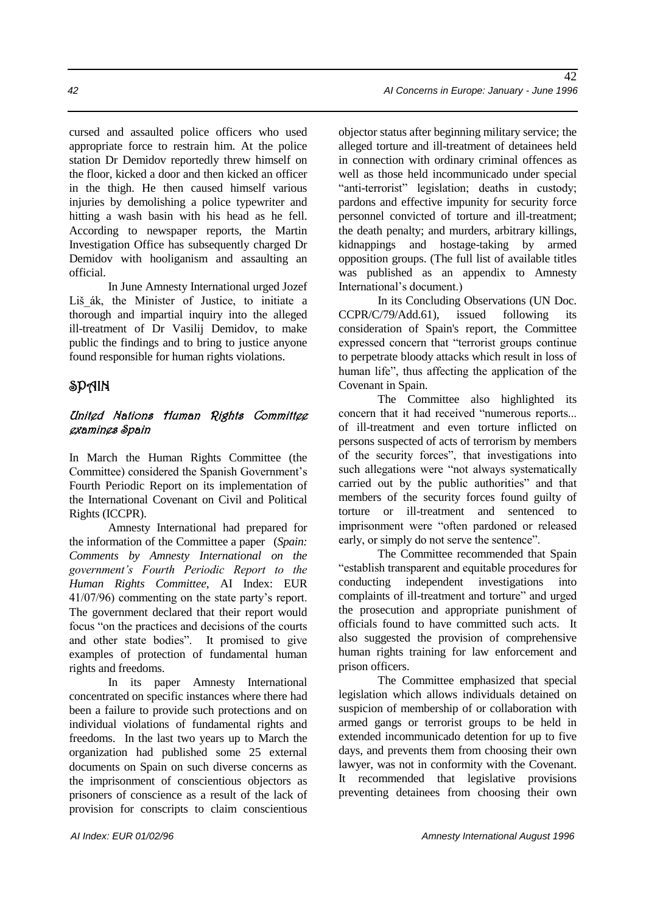cursed and assaulted police officers who used appropriate force to restrain him. At the police station Dr Demidov reportedly threw himself on the floor, kicked a door and then kicked an officer in the thigh. He then caused himself various

injuries by demolishing a police typewriter and hitting a wash basin with his head as he fell. According to newspaper reports, the Martin Investigation Office has subsequently charged Dr Demidov with hooliganism and assaulting an official.

In June Amnesty International urged Jozef Liš\_ák, the Minister of Justice, to initiate a thorough and impartial inquiry into the alleged ill-treatment of Dr Vasilij Demidov, to make public the findings and to bring to justice anyone found responsible for human rights violations.

### SPAIN

#### United Nations Human Rights Committee examines Spain

In March the Human Rights Committee (the Committee) considered the Spanish Government's Fourth Periodic Report on its implementation of the International Covenant on Civil and Political Rights (ICCPR).

Amnesty International had prepared for the information of the Committee a paper (*Spain: Comments by Amnesty International on the government's Fourth Periodic Report to the Human Rights Committee*, AI Index: EUR 41/07/96) commenting on the state party's report. The government declared that their report would focus "on the practices and decisions of the courts and other state bodies". It promised to give examples of protection of fundamental human rights and freedoms.

In its paper Amnesty International concentrated on specific instances where there had been a failure to provide such protections and on individual violations of fundamental rights and freedoms. In the last two years up to March the organization had published some 25 external documents on Spain on such diverse concerns as the imprisonment of conscientious objectors as prisoners of conscience as a result of the lack of provision for conscripts to claim conscientious objector status after beginning military service; the alleged torture and ill-treatment of detainees held in connection with ordinary criminal offences as well as those held incommunicado under special "anti-terrorist" legislation; deaths in custody: pardons and effective impunity for security force personnel convicted of torture and ill-treatment; the death penalty; and murders, arbitrary killings, kidnappings and hostage-taking by armed opposition groups. (The full list of available titles was published as an appendix to Amnesty International's document.)

In its Concluding Observations (UN Doc. CCPR/C/79/Add.61), issued following its consideration of Spain's report, the Committee expressed concern that "terrorist groups continue to perpetrate bloody attacks which result in loss of human life", thus affecting the application of the Covenant in Spain.

The Committee also highlighted its concern that it had received "numerous reports... of ill-treatment and even torture inflicted on persons suspected of acts of terrorism by members of the security forces", that investigations into such allegations were "not always systematically carried out by the public authorities" and that members of the security forces found guilty of torture or ill-treatment and sentenced to imprisonment were "often pardoned or released early, or simply do not serve the sentence".

The Committee recommended that Spain "establish transparent and equitable procedures for conducting independent investigations into complaints of ill-treatment and torture" and urged the prosecution and appropriate punishment of officials found to have committed such acts. It also suggested the provision of comprehensive human rights training for law enforcement and prison officers.

The Committee emphasized that special legislation which allows individuals detained on suspicion of membership of or collaboration with armed gangs or terrorist groups to be held in extended incommunicado detention for up to five days, and prevents them from choosing their own lawyer, was not in conformity with the Covenant. It recommended that legislative provisions preventing detainees from choosing their own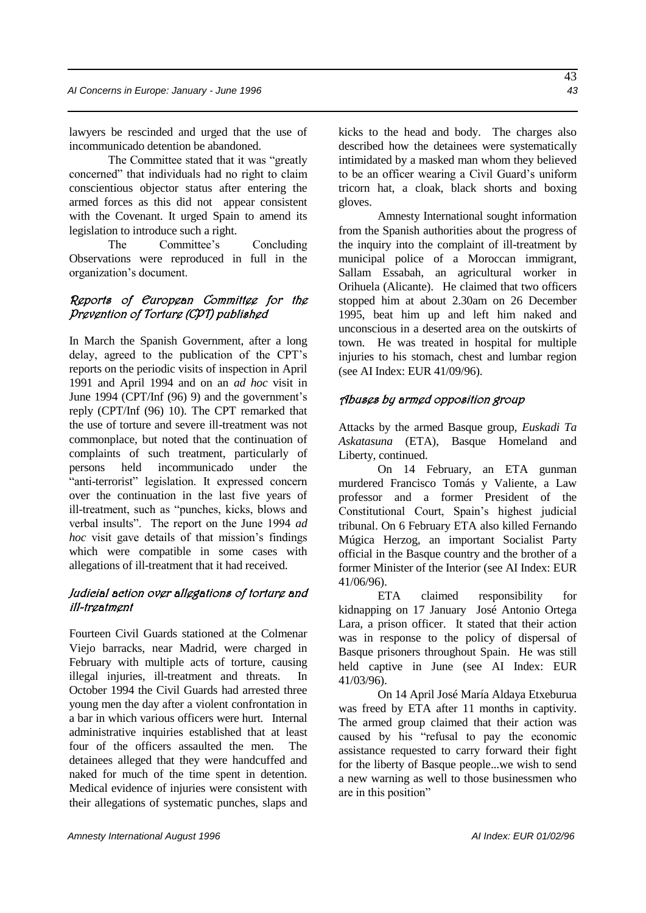lawyers be rescinded and urged that the use of incommunicado detention be abandoned.

The Committee stated that it was "greatly concerned" that individuals had no right to claim conscientious objector status after entering the armed forces as this did not appear consistent with the Covenant. It urged Spain to amend its legislation to introduce such a right.

The Committee's Concluding Observations were reproduced in full in the organization's document.

#### Reports of European Committee for the Prevention of Torture (CPT) published

In March the Spanish Government, after a long delay, agreed to the publication of the CPT's reports on the periodic visits of inspection in April 1991 and April 1994 and on an *ad hoc* visit in June 1994 (CPT/Inf (96) 9) and the government's reply (CPT/Inf (96) 10). The CPT remarked that the use of torture and severe ill-treatment was not commonplace, but noted that the continuation of complaints of such treatment, particularly of persons held incommunicado under the "anti-terrorist" legislation. It expressed concern over the continuation in the last five years of ill-treatment, such as "punches, kicks, blows and verbal insults". The report on the June 1994 *ad hoc* visit gave details of that mission's findings which were compatible in some cases with allegations of ill-treatment that it had received.

### Judicial action over allegations of torture and ill-treatment

Fourteen Civil Guards stationed at the Colmenar Viejo barracks, near Madrid, were charged in February with multiple acts of torture, causing illegal injuries, ill-treatment and threats. In October 1994 the Civil Guards had arrested three young men the day after a violent confrontation in a bar in which various officers were hurt. Internal administrative inquiries established that at least four of the officers assaulted the men. The detainees alleged that they were handcuffed and naked for much of the time spent in detention. Medical evidence of injuries were consistent with their allegations of systematic punches, slaps and kicks to the head and body. The charges also described how the detainees were systematically intimidated by a masked man whom they believed to be an officer wearing a Civil Guard's uniform tricorn hat, a cloak, black shorts and boxing gloves.

Amnesty International sought information from the Spanish authorities about the progress of the inquiry into the complaint of ill-treatment by municipal police of a Moroccan immigrant, Sallam Essabah, an agricultural worker in Orihuela (Alicante). He claimed that two officers stopped him at about 2.30am on 26 December 1995, beat him up and left him naked and unconscious in a deserted area on the outskirts of town. He was treated in hospital for multiple injuries to his stomach, chest and lumbar region (see AI Index: EUR 41/09/96).

#### Abuses by armed opposition group

Attacks by the armed Basque group, *Euskadi Ta Askatasuna* (ETA), Basque Homeland and Liberty, continued.

On 14 February, an ETA gunman murdered Francisco Tomás y Valiente, a Law professor and a former President of the Constitutional Court, Spain's highest judicial tribunal. On 6 February ETA also killed Fernando Múgica Herzog, an important Socialist Party official in the Basque country and the brother of a former Minister of the Interior (see AI Index: EUR 41/06/96).

ETA claimed responsibility for kidnapping on 17 January José Antonio Ortega Lara, a prison officer. It stated that their action was in response to the policy of dispersal of Basque prisoners throughout Spain. He was still held captive in June (see AI Index: EUR 41/03/96).

On 14 April José María Aldaya Etxeburua was freed by ETA after 11 months in captivity. The armed group claimed that their action was caused by his "refusal to pay the economic assistance requested to carry forward their fight for the liberty of Basque people...we wish to send a new warning as well to those businessmen who are in this position"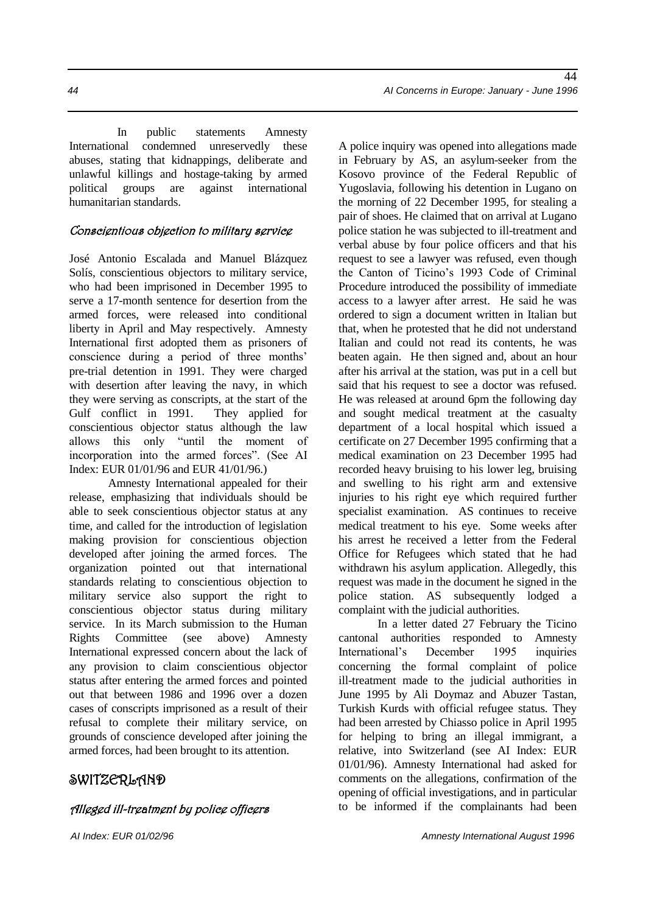In public statements Amnesty International condemned unreservedly these abuses, stating that kidnappings, deliberate and unlawful killings and hostage-taking by armed political groups are against international humanitarian standards.

#### Conscientious objection to military service

José Antonio Escalada and Manuel Blázquez Solís, conscientious objectors to military service, who had been imprisoned in December 1995 to serve a 17-month sentence for desertion from the armed forces, were released into conditional liberty in April and May respectively. Amnesty International first adopted them as prisoners of conscience during a period of three months' pre-trial detention in 1991. They were charged with desertion after leaving the navy, in which they were serving as conscripts, at the start of the Gulf conflict in 1991. They applied for conscientious objector status although the law allows this only "until the moment of incorporation into the armed forces". (See AI Index: EUR 01/01/96 and EUR 41/01/96.)

Amnesty International appealed for their release, emphasizing that individuals should be able to seek conscientious objector status at any time, and called for the introduction of legislation making provision for conscientious objection developed after joining the armed forces. The organization pointed out that international standards relating to conscientious objection to military service also support the right to conscientious objector status during military service. In its March submission to the Human Rights Committee (see above) Amnesty International expressed concern about the lack of any provision to claim conscientious objector status after entering the armed forces and pointed out that between 1986 and 1996 over a dozen cases of conscripts imprisoned as a result of their refusal to complete their military service, on grounds of conscience developed after joining the armed forces, had been brought to its attention.

### SWITZERLAND

#### Alleged ill-treatment by police officers

A police inquiry was opened into allegations made in February by AS, an asylum-seeker from the Kosovo province of the Federal Republic of Yugoslavia, following his detention in Lugano on the morning of 22 December 1995, for stealing a pair of shoes. He claimed that on arrival at Lugano police station he was subjected to ill-treatment and verbal abuse by four police officers and that his request to see a lawyer was refused, even though the Canton of Ticino's 1993 Code of Criminal Procedure introduced the possibility of immediate access to a lawyer after arrest. He said he was ordered to sign a document written in Italian but that, when he protested that he did not understand Italian and could not read its contents, he was beaten again. He then signed and, about an hour after his arrival at the station, was put in a cell but said that his request to see a doctor was refused. He was released at around 6pm the following day and sought medical treatment at the casualty department of a local hospital which issued a certificate on 27 December 1995 confirming that a medical examination on 23 December 1995 had recorded heavy bruising to his lower leg, bruising and swelling to his right arm and extensive injuries to his right eye which required further specialist examination. AS continues to receive medical treatment to his eye. Some weeks after his arrest he received a letter from the Federal Office for Refugees which stated that he had withdrawn his asylum application. Allegedly, this request was made in the document he signed in the police station. AS subsequently lodged a complaint with the judicial authorities.

In a letter dated 27 February the Ticino cantonal authorities responded to Amnesty International's December 1995 inquiries concerning the formal complaint of police ill-treatment made to the judicial authorities in June 1995 by Ali Doymaz and Abuzer Tastan, Turkish Kurds with official refugee status. They had been arrested by Chiasso police in April 1995 for helping to bring an illegal immigrant, a relative, into Switzerland (see AI Index: EUR 01/01/96). Amnesty International had asked for comments on the allegations, confirmation of the opening of official investigations, and in particular to be informed if the complainants had been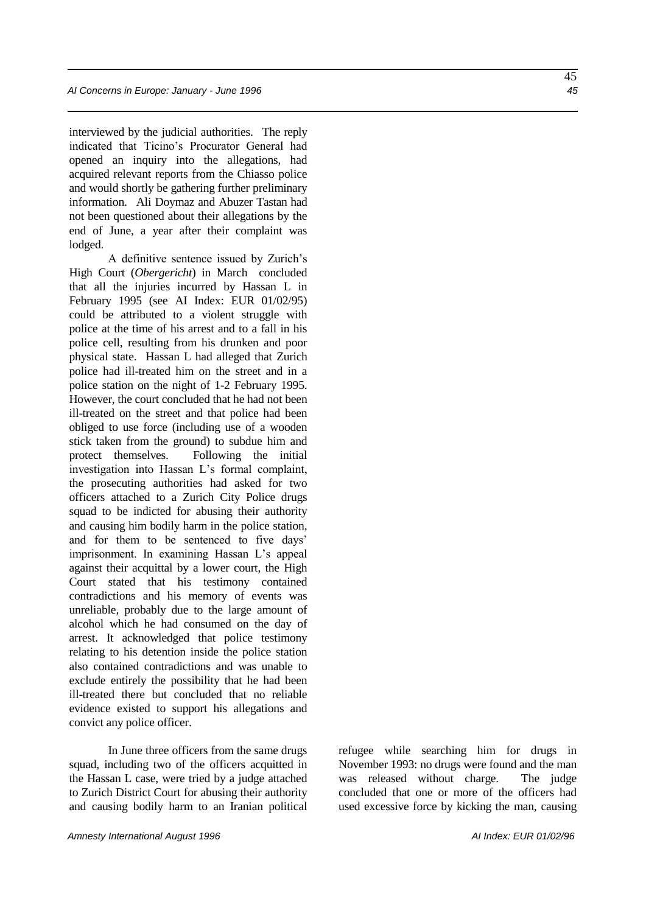interviewed by the judicial authorities. The reply indicated that Ticino's Procurator General had opened an inquiry into the allegations, had acquired relevant reports from the Chiasso police and would shortly be gathering further preliminary information. Ali Doymaz and Abuzer Tastan had not been questioned about their allegations by the end of June, a year after their complaint was lodged.

A definitive sentence issued by Zurich's High Court (*Obergericht*) in March concluded that all the injuries incurred by Hassan L in February 1995 (see AI Index: EUR 01/02/95) could be attributed to a violent struggle with police at the time of his arrest and to a fall in his police cell, resulting from his drunken and poor physical state. Hassan L had alleged that Zurich police had ill-treated him on the street and in a police station on the night of 1-2 February 1995. However, the court concluded that he had not been ill-treated on the street and that police had been obliged to use force (including use of a wooden stick taken from the ground) to subdue him and protect themselves. Following the initial investigation into Hassan L's formal complaint, the prosecuting authorities had asked for two officers attached to a Zurich City Police drugs squad to be indicted for abusing their authority and causing him bodily harm in the police station, and for them to be sentenced to five days' imprisonment. In examining Hassan L's appeal against their acquittal by a lower court, the High Court stated that his testimony contained contradictions and his memory of events was unreliable, probably due to the large amount of alcohol which he had consumed on the day of arrest. It acknowledged that police testimony relating to his detention inside the police station also contained contradictions and was unable to exclude entirely the possibility that he had been ill-treated there but concluded that no reliable evidence existed to support his allegations and convict any police officer.

In June three officers from the same drugs squad, including two of the officers acquitted in the Hassan L case, were tried by a judge attached to Zurich District Court for abusing their authority and causing bodily harm to an Iranian political refugee while searching him for drugs in November 1993: no drugs were found and the man was released without charge. The judge concluded that one or more of the officers had used excessive force by kicking the man, causing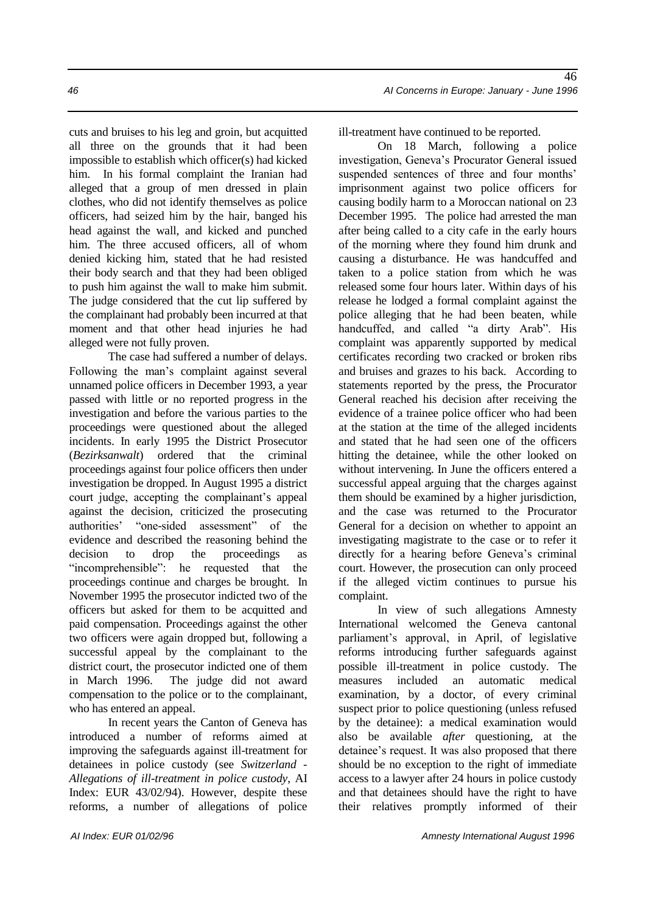cuts and bruises to his leg and groin, but acquitted all three on the grounds that it had been impossible to establish which officer(s) had kicked him. In his formal complaint the Iranian had alleged that a group of men dressed in plain clothes, who did not identify themselves as police officers, had seized him by the hair, banged his head against the wall, and kicked and punched him. The three accused officers, all of whom denied kicking him, stated that he had resisted their body search and that they had been obliged to push him against the wall to make him submit. The judge considered that the cut lip suffered by the complainant had probably been incurred at that moment and that other head injuries he had alleged were not fully proven.

The case had suffered a number of delays. Following the man's complaint against several unnamed police officers in December 1993, a year passed with little or no reported progress in the investigation and before the various parties to the proceedings were questioned about the alleged incidents. In early 1995 the District Prosecutor (*Bezirksanwalt*) ordered that the criminal proceedings against four police officers then under investigation be dropped. In August 1995 a district court judge, accepting the complainant's appeal against the decision, criticized the prosecuting authorities' "one-sided assessment" of the evidence and described the reasoning behind the decision to drop the proceedings as "incomprehensible": he requested that the proceedings continue and charges be brought. In November 1995 the prosecutor indicted two of the officers but asked for them to be acquitted and paid compensation. Proceedings against the other two officers were again dropped but, following a successful appeal by the complainant to the district court, the prosecutor indicted one of them in March 1996. The judge did not award compensation to the police or to the complainant, who has entered an appeal.

In recent years the Canton of Geneva has introduced a number of reforms aimed at improving the safeguards against ill-treatment for detainees in police custody (see *Switzerland - Allegations of ill-treatment in police custody*, AI Index: EUR 43/02/94). However, despite these reforms, a number of allegations of police

ill-treatment have continued to be reported.

On 18 March, following a police investigation, Geneva's Procurator General issued suspended sentences of three and four months' imprisonment against two police officers for causing bodily harm to a Moroccan national on 23 December 1995. The police had arrested the man after being called to a city cafe in the early hours of the morning where they found him drunk and causing a disturbance. He was handcuffed and taken to a police station from which he was released some four hours later. Within days of his release he lodged a formal complaint against the police alleging that he had been beaten, while handcuffed, and called "a dirty Arab". His complaint was apparently supported by medical certificates recording two cracked or broken ribs and bruises and grazes to his back. According to statements reported by the press, the Procurator General reached his decision after receiving the evidence of a trainee police officer who had been at the station at the time of the alleged incidents and stated that he had seen one of the officers hitting the detainee, while the other looked on without intervening. In June the officers entered a successful appeal arguing that the charges against them should be examined by a higher jurisdiction, and the case was returned to the Procurator General for a decision on whether to appoint an investigating magistrate to the case or to refer it directly for a hearing before Geneva's criminal court. However, the prosecution can only proceed if the alleged victim continues to pursue his complaint.

In view of such allegations Amnesty International welcomed the Geneva cantonal parliament's approval, in April, of legislative reforms introducing further safeguards against possible ill-treatment in police custody. The measures included an automatic medical examination, by a doctor, of every criminal suspect prior to police questioning (unless refused by the detainee): a medical examination would also be available *after* questioning, at the detainee's request. It was also proposed that there should be no exception to the right of immediate access to a lawyer after 24 hours in police custody and that detainees should have the right to have their relatives promptly informed of their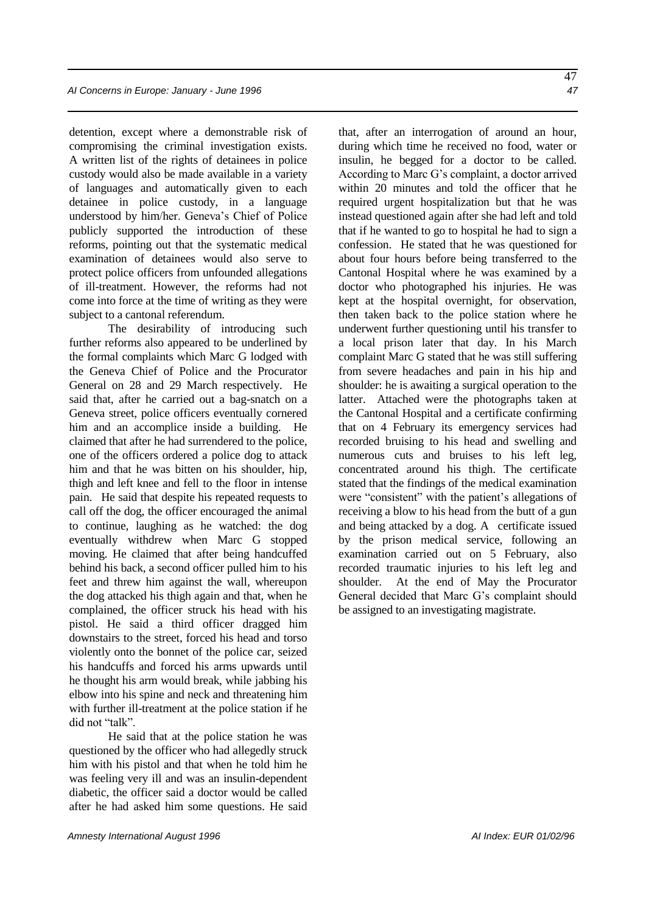detention, except where a demonstrable risk of compromising the criminal investigation exists. A written list of the rights of detainees in police custody would also be made available in a variety of languages and automatically given to each detainee in police custody, in a language understood by him/her. Geneva's Chief of Police publicly supported the introduction of these reforms, pointing out that the systematic medical examination of detainees would also serve to protect police officers from unfounded allegations of ill-treatment. However, the reforms had not come into force at the time of writing as they were subject to a cantonal referendum.

The desirability of introducing such further reforms also appeared to be underlined by the formal complaints which Marc G lodged with the Geneva Chief of Police and the Procurator General on 28 and 29 March respectively. He said that, after he carried out a bag-snatch on a Geneva street, police officers eventually cornered him and an accomplice inside a building. He claimed that after he had surrendered to the police, one of the officers ordered a police dog to attack him and that he was bitten on his shoulder, hip, thigh and left knee and fell to the floor in intense pain. He said that despite his repeated requests to call off the dog, the officer encouraged the animal to continue, laughing as he watched: the dog eventually withdrew when Marc G stopped moving. He claimed that after being handcuffed behind his back, a second officer pulled him to his feet and threw him against the wall, whereupon the dog attacked his thigh again and that, when he complained, the officer struck his head with his pistol. He said a third officer dragged him downstairs to the street, forced his head and torso violently onto the bonnet of the police car, seized his handcuffs and forced his arms upwards until he thought his arm would break, while jabbing his elbow into his spine and neck and threatening him with further ill-treatment at the police station if he did not "talk".

He said that at the police station he was questioned by the officer who had allegedly struck him with his pistol and that when he told him he was feeling very ill and was an insulin-dependent diabetic, the officer said a doctor would be called after he had asked him some questions. He said that, after an interrogation of around an hour, during which time he received no food, water or insulin, he begged for a doctor to be called. According to Marc G's complaint, a doctor arrived within 20 minutes and told the officer that he required urgent hospitalization but that he was instead questioned again after she had left and told that if he wanted to go to hospital he had to sign a confession. He stated that he was questioned for about four hours before being transferred to the Cantonal Hospital where he was examined by a doctor who photographed his injuries. He was kept at the hospital overnight, for observation, then taken back to the police station where he underwent further questioning until his transfer to a local prison later that day. In his March complaint Marc G stated that he was still suffering from severe headaches and pain in his hip and shoulder: he is awaiting a surgical operation to the latter. Attached were the photographs taken at the Cantonal Hospital and a certificate confirming that on 4 February its emergency services had recorded bruising to his head and swelling and numerous cuts and bruises to his left leg, concentrated around his thigh. The certificate stated that the findings of the medical examination were "consistent" with the patient's allegations of receiving a blow to his head from the butt of a gun and being attacked by a dog. A certificate issued by the prison medical service, following an examination carried out on 5 February, also recorded traumatic injuries to his left leg and shoulder. At the end of May the Procurator General decided that Marc G's complaint should be assigned to an investigating magistrate.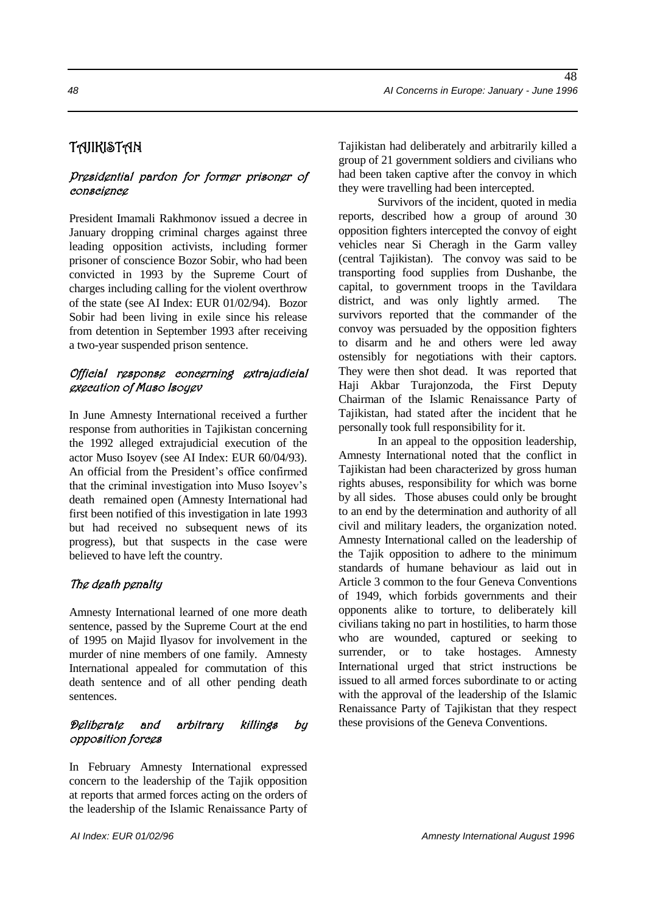# TAJIKISTAN

#### Presidential pardon for former prisoner of conscience

President Imamali Rakhmonov issued a decree in January dropping criminal charges against three leading opposition activists, including former prisoner of conscience Bozor Sobir, who had been convicted in 1993 by the Supreme Court of charges including calling for the violent overthrow of the state (see AI Index: EUR 01/02/94). Bozor Sobir had been living in exile since his release from detention in September 1993 after receiving a two-year suspended prison sentence.

#### Official response concerning extrajudicial execution of Muso Isoyev

In June Amnesty International received a further response from authorities in Tajikistan concerning the 1992 alleged extrajudicial execution of the actor Muso Isoyev (see AI Index: EUR 60/04/93). An official from the President's office confirmed that the criminal investigation into Muso Isoyev's death remained open (Amnesty International had first been notified of this investigation in late 1993 but had received no subsequent news of its progress), but that suspects in the case were believed to have left the country.

### The death penalty

Amnesty International learned of one more death sentence, passed by the Supreme Court at the end of 1995 on Majid Ilyasov for involvement in the murder of nine members of one family. Amnesty International appealed for commutation of this death sentence and of all other pending death sentences.

### Deliberate and arbitrary killings by opposition forces

In February Amnesty International expressed concern to the leadership of the Tajik opposition at reports that armed forces acting on the orders of the leadership of the Islamic Renaissance Party of Tajikistan had deliberately and arbitrarily killed a group of 21 government soldiers and civilians who had been taken captive after the convoy in which they were travelling had been intercepted.

Survivors of the incident, quoted in media reports, described how a group of around 30 opposition fighters intercepted the convoy of eight vehicles near Si Cheragh in the Garm valley (central Tajikistan). The convoy was said to be transporting food supplies from Dushanbe, the capital, to government troops in the Tavildara district, and was only lightly armed. The survivors reported that the commander of the convoy was persuaded by the opposition fighters to disarm and he and others were led away ostensibly for negotiations with their captors. They were then shot dead. It was reported that Haji Akbar Turajonzoda, the First Deputy Chairman of the Islamic Renaissance Party of Tajikistan, had stated after the incident that he personally took full responsibility for it.

In an appeal to the opposition leadership, Amnesty International noted that the conflict in Tajikistan had been characterized by gross human rights abuses, responsibility for which was borne by all sides. Those abuses could only be brought to an end by the determination and authority of all civil and military leaders, the organization noted. Amnesty International called on the leadership of the Tajik opposition to adhere to the minimum standards of humane behaviour as laid out in Article 3 common to the four Geneva Conventions of 1949, which forbids governments and their opponents alike to torture, to deliberately kill civilians taking no part in hostilities, to harm those who are wounded, captured or seeking to surrender, or to take hostages. Amnesty International urged that strict instructions be issued to all armed forces subordinate to or acting with the approval of the leadership of the Islamic Renaissance Party of Tajikistan that they respect these provisions of the Geneva Conventions.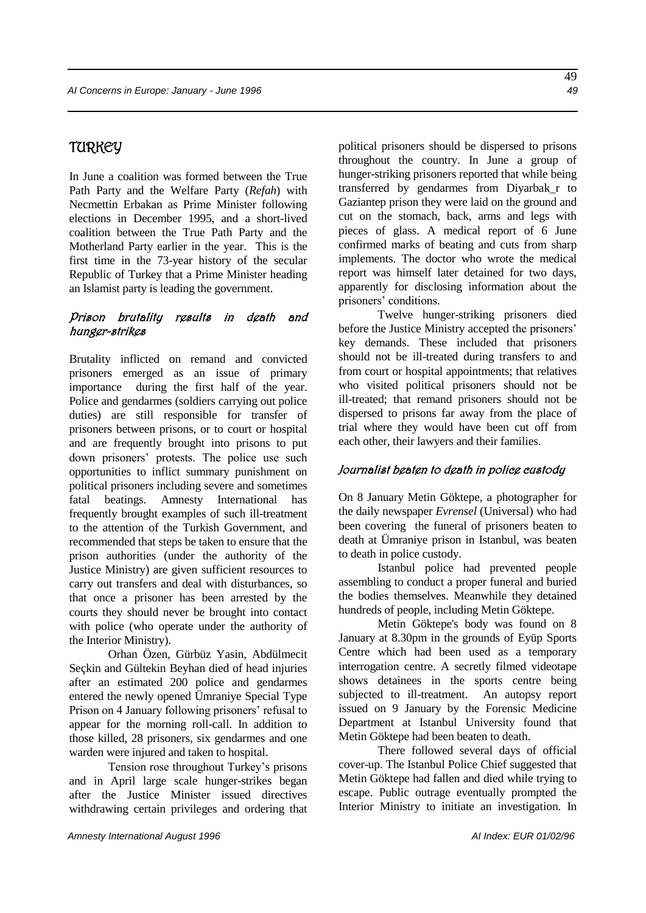### TURKEY

In June a coalition was formed between the True Path Party and the Welfare Party (*Refah*) with Necmettin Erbakan as Prime Minister following elections in December 1995, and a short-lived coalition between the True Path Party and the Motherland Party earlier in the year. This is the first time in the 73-year history of the secular Republic of Turkey that a Prime Minister heading an Islamist party is leading the government.

#### Prison brutality results in death and hunger-strikes

Brutality inflicted on remand and convicted prisoners emerged as an issue of primary importance during the first half of the year. Police and gendarmes (soldiers carrying out police duties) are still responsible for transfer of prisoners between prisons, or to court or hospital and are frequently brought into prisons to put down prisoners' protests. The police use such opportunities to inflict summary punishment on political prisoners including severe and sometimes fatal beatings. Amnesty International has frequently brought examples of such ill-treatment to the attention of the Turkish Government, and recommended that steps be taken to ensure that the prison authorities (under the authority of the Justice Ministry) are given sufficient resources to carry out transfers and deal with disturbances, so that once a prisoner has been arrested by the courts they should never be brought into contact with police (who operate under the authority of the Interior Ministry).

Orhan Özen, Gürbüz Yasin, Abdülmecit Seçkin and Gültekin Beyhan died of head injuries after an estimated 200 police and gendarmes entered the newly opened Ümraniye Special Type Prison on 4 January following prisoners' refusal to appear for the morning roll-call. In addition to those killed, 28 prisoners, six gendarmes and one warden were injured and taken to hospital.

Tension rose throughout Turkey's prisons and in April large scale hunger-strikes began after the Justice Minister issued directives withdrawing certain privileges and ordering that political prisoners should be dispersed to prisons throughout the country. In June a group of hunger-striking prisoners reported that while being transferred by gendarmes from Diyarbak\_r to Gaziantep prison they were laid on the ground and cut on the stomach, back, arms and legs with pieces of glass. A medical report of 6 June confirmed marks of beating and cuts from sharp implements. The doctor who wrote the medical report was himself later detained for two days, apparently for disclosing information about the prisoners' conditions.

Twelve hunger-striking prisoners died before the Justice Ministry accepted the prisoners' key demands. These included that prisoners should not be ill-treated during transfers to and from court or hospital appointments; that relatives who visited political prisoners should not be ill-treated; that remand prisoners should not be dispersed to prisons far away from the place of trial where they would have been cut off from each other, their lawyers and their families.

#### Journalist beaten to death in police custody

On 8 January Metin Göktepe, a photographer for the daily newspaper *Evrensel* (Universal) who had been covering the funeral of prisoners beaten to death at Ümraniye prison in Istanbul, was beaten to death in police custody.

Istanbul police had prevented people assembling to conduct a proper funeral and buried the bodies themselves. Meanwhile they detained hundreds of people, including Metin Göktepe.

Metin Göktepe's body was found on 8 January at 8.30pm in the grounds of Eyüp Sports Centre which had been used as a temporary interrogation centre. A secretly filmed videotape shows detainees in the sports centre being subjected to ill-treatment. An autopsy report issued on 9 January by the Forensic Medicine Department at Istanbul University found that Metin Göktepe had been beaten to death.

There followed several days of official cover-up. The Istanbul Police Chief suggested that Metin Göktepe had fallen and died while trying to escape. Public outrage eventually prompted the Interior Ministry to initiate an investigation. In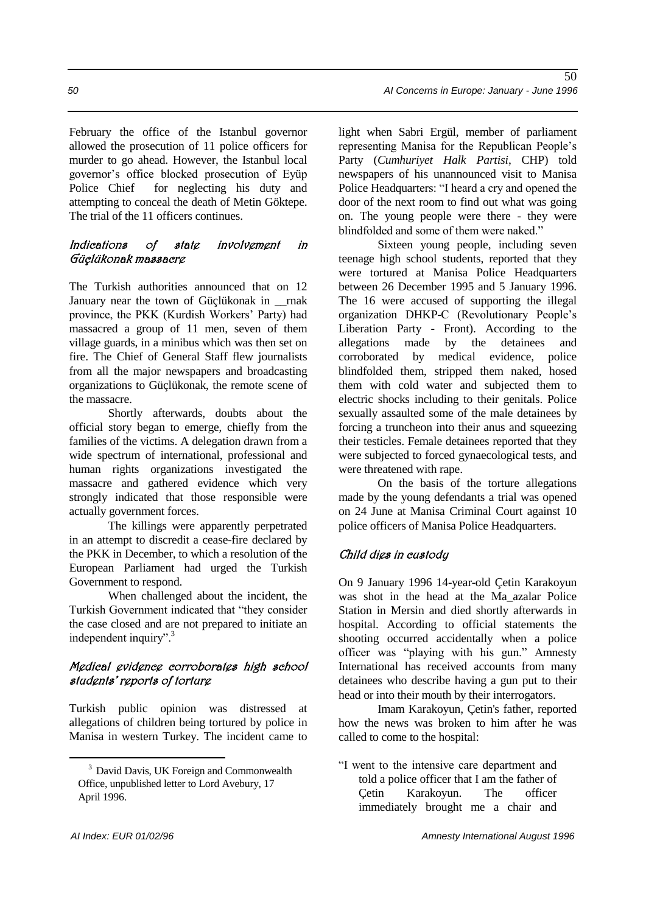February the office of the Istanbul governor allowed the prosecution of 11 police officers for murder to go ahead. However, the Istanbul local governor's office blocked prosecution of Eyüp Police Chief for neglecting his duty and attempting to conceal the death of Metin Göktepe. The trial of the 11 officers continues.

#### Indications of state involvement in Güçlükonak massacre

The Turkish authorities announced that on 12 January near the town of Güçlükonak in \_\_rnak province, the PKK (Kurdish Workers' Party) had massacred a group of 11 men, seven of them village guards, in a minibus which was then set on fire. The Chief of General Staff flew journalists from all the major newspapers and broadcasting organizations to Güçlükonak, the remote scene of the massacre.

Shortly afterwards, doubts about the official story began to emerge, chiefly from the families of the victims. A delegation drawn from a wide spectrum of international, professional and human rights organizations investigated the massacre and gathered evidence which very strongly indicated that those responsible were actually government forces.

The killings were apparently perpetrated in an attempt to discredit a cease-fire declared by the PKK in December, to which a resolution of the European Parliament had urged the Turkish Government to respond.

When challenged about the incident, the Turkish Government indicated that "they consider the case closed and are not prepared to initiate an independent inquiry".<sup>3</sup>

#### Medical evidence corroborates high school students' reports of torture

Turkish public opinion was distressed at allegations of children being tortured by police in Manisa in western Turkey. The incident came to light when Sabri Ergül, member of parliament representing Manisa for the Republican People's Party (*Cumhuriyet Halk Partisi*, CHP) told newspapers of his unannounced visit to Manisa Police Headquarters: "I heard a cry and opened the door of the next room to find out what was going on. The young people were there - they were blindfolded and some of them were naked."

Sixteen young people, including seven teenage high school students, reported that they were tortured at Manisa Police Headquarters between 26 December 1995 and 5 January 1996. The 16 were accused of supporting the illegal organization DHKP-C (Revolutionary People's Liberation Party - Front). According to the allegations made by the detainees and corroborated by medical evidence, police blindfolded them, stripped them naked, hosed them with cold water and subjected them to electric shocks including to their genitals. Police sexually assaulted some of the male detainees by forcing a truncheon into their anus and squeezing their testicles. Female detainees reported that they were subjected to forced gynaecological tests, and were threatened with rape.

On the basis of the torture allegations made by the young defendants a trial was opened on 24 June at Manisa Criminal Court against 10 police officers of Manisa Police Headquarters.

### Child dies in custody

On 9 January 1996 14-year-old Çetin Karakoyun was shot in the head at the Ma\_azalar Police Station in Mersin and died shortly afterwards in hospital. According to official statements the shooting occurred accidentally when a police officer was "playing with his gun." Amnesty International has received accounts from many detainees who describe having a gun put to their head or into their mouth by their interrogators.

Imam Karakoyun, Çetin's father, reported how the news was broken to him after he was called to come to the hospital:

"I went to the intensive care department and told a police officer that I am the father of Çetin Karakoyun. The officer immediately brought me a chair and

<u>.</u>

<sup>&</sup>lt;sup>3</sup> David Davis, UK Foreign and Commonwealth Office, unpublished letter to Lord Avebury, 17 April 1996.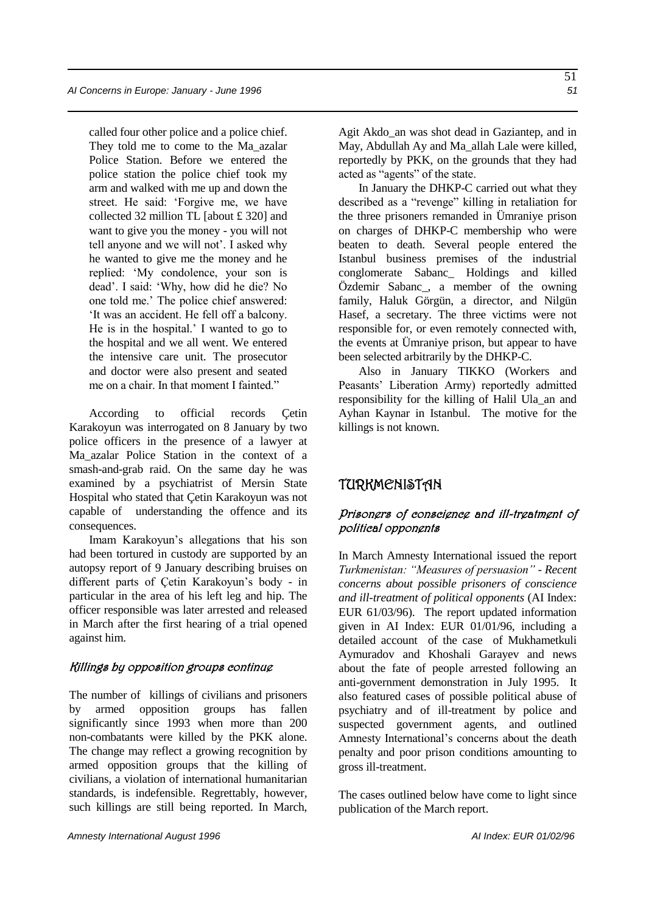called four other police and a police chief. They told me to come to the Ma\_azalar Police Station. Before we entered the police station the police chief took my arm and walked with me up and down the street. He said: 'Forgive me, we have collected 32 million TL [about £ 320] and want to give you the money - you will not tell anyone and we will not'. I asked why he wanted to give me the money and he replied: 'My condolence, your son is dead'. I said: 'Why, how did he die? No one told me.' The police chief answered: 'It was an accident. He fell off a balcony. He is in the hospital.' I wanted to go to the hospital and we all went. We entered the intensive care unit. The prosecutor and doctor were also present and seated me on a chair. In that moment I fainted."

According to official records Çetin Karakoyun was interrogated on 8 January by two police officers in the presence of a lawyer at Ma\_azalar Police Station in the context of a smash-and-grab raid. On the same day he was examined by a psychiatrist of Mersin State Hospital who stated that Çetin Karakoyun was not capable of understanding the offence and its consequences.

Imam Karakoyun's allegations that his son had been tortured in custody are supported by an autopsy report of 9 January describing bruises on different parts of Çetin Karakoyun's body - in particular in the area of his left leg and hip. The officer responsible was later arrested and released in March after the first hearing of a trial opened against him.

#### Killings by opposition groups continue

The number of killings of civilians and prisoners by armed opposition groups has fallen significantly since 1993 when more than 200 non-combatants were killed by the PKK alone. The change may reflect a growing recognition by armed opposition groups that the killing of civilians, a violation of international humanitarian standards, is indefensible. Regrettably, however, such killings are still being reported. In March,

Agit Akdo\_an was shot dead in Gaziantep, and in May, Abdullah Ay and Ma\_allah Lale were killed, reportedly by PKK, on the grounds that they had acted as "agents" of the state.

In January the DHKP-C carried out what they described as a "revenge" killing in retaliation for the three prisoners remanded in Ümraniye prison on charges of DHKP-C membership who were beaten to death. Several people entered the Istanbul business premises of the industrial conglomerate Sabanc\_ Holdings and killed Özdemir Sabanc\_, a member of the owning family, Haluk Görgün, a director, and Nilgün Hasef, a secretary. The three victims were not responsible for, or even remotely connected with, the events at Ümraniye prison, but appear to have been selected arbitrarily by the DHKP-C.

Also in January TIKKO (Workers and Peasants' Liberation Army) reportedly admitted responsibility for the killing of Halil Ula\_an and Ayhan Kaynar in Istanbul. The motive for the killings is not known.

# TURKMENISTAN

### Prisoners of conscience and ill-treatment of political opponents

In March Amnesty International issued the report *Turkmenistan: "Measures of persuasion" - Recent concerns about possible prisoners of conscience and ill-treatment of political opponents* (AI Index: EUR 61/03/96). The report updated information given in AI Index: EUR 01/01/96, including a detailed account of the case of Mukhametkuli Aymuradov and Khoshali Garayev and news about the fate of people arrested following an anti-government demonstration in July 1995. It also featured cases of possible political abuse of psychiatry and of ill-treatment by police and suspected government agents, and outlined Amnesty International's concerns about the death penalty and poor prison conditions amounting to gross ill-treatment.

The cases outlined below have come to light since publication of the March report.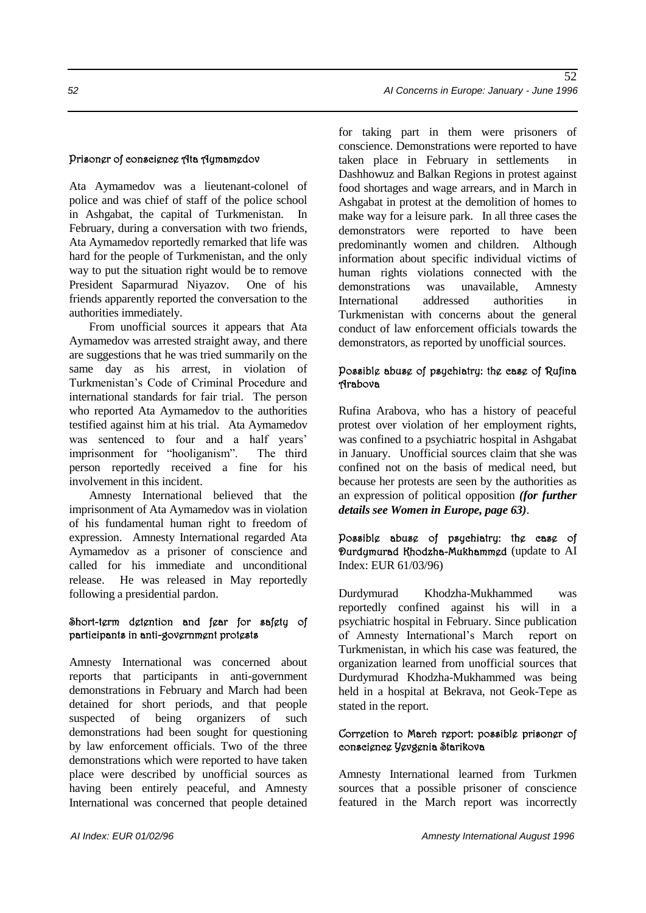#### Prisoner of conscience Ata Aymamedov

Ata Aymamedov was a lieutenant-colonel of police and was chief of staff of the police school in Ashgabat, the capital of Turkmenistan. In February, during a conversation with two friends, Ata Aymamedov reportedly remarked that life was hard for the people of Turkmenistan, and the only way to put the situation right would be to remove President Saparmurad Niyazov. One of his friends apparently reported the conversation to the authorities immediately.

From unofficial sources it appears that Ata Aymamedov was arrested straight away, and there are suggestions that he was tried summarily on the same day as his arrest, in violation of Turkmenistan's Code of Criminal Procedure and international standards for fair trial. The person who reported Ata Aymamedov to the authorities testified against him at his trial. Ata Aymamedov was sentenced to four and a half years' imprisonment for "hooliganism". The third person reportedly received a fine for his involvement in this incident.

Amnesty International believed that the imprisonment of Ata Aymamedov was in violation of his fundamental human right to freedom of expression. Amnesty International regarded Ata Aymamedov as a prisoner of conscience and called for his immediate and unconditional release. He was released in May reportedly following a presidential pardon.

#### Short-term detention and fear for safety of participants in anti-government protests

Amnesty International was concerned about reports that participants in anti-government demonstrations in February and March had been detained for short periods, and that people suspected of being organizers of such demonstrations had been sought for questioning by law enforcement officials. Two of the three demonstrations which were reported to have taken place were described by unofficial sources as having been entirely peaceful, and Amnesty International was concerned that people detained for taking part in them were prisoners of conscience. Demonstrations were reported to have taken place in February in settlements Dashhowuz and Balkan Regions in protest against food shortages and wage arrears, and in March in Ashgabat in protest at the demolition of homes to make way for a leisure park. In all three cases the demonstrators were reported to have been predominantly women and children. Although information about specific individual victims of human rights violations connected with the demonstrations was unavailable, Amnesty International addressed authorities in Turkmenistan with concerns about the general conduct of law enforcement officials towards the demonstrators, as reported by unofficial sources.

#### Possible abuse of psychiatry: the case of Rufina Arabova

Rufina Arabova, who has a history of peaceful protest over violation of her employment rights, was confined to a psychiatric hospital in Ashgabat in January. Unofficial sources claim that she was confined not on the basis of medical need, but because her protests are seen by the authorities as an expression of political opposition *(for further details see Women in Europe, page 63)*.

Possible abuse of psychiatry: the case of Durdymurad Khodzha-Mukhammed (update to AI Index: EUR 61/03/96)

Durdymurad Khodzha-Mukhammed was reportedly confined against his will in a psychiatric hospital in February. Since publication of Amnesty International's March report on Turkmenistan, in which his case was featured, the organization learned from unofficial sources that Durdymurad Khodzha-Mukhammed was being held in a hospital at Bekrava, not Geok-Tepe as stated in the report.

#### Correction to March report: possible prisoner of conscience Yevgenia Starikova

Amnesty International learned from Turkmen sources that a possible prisoner of conscience featured in the March report was incorrectly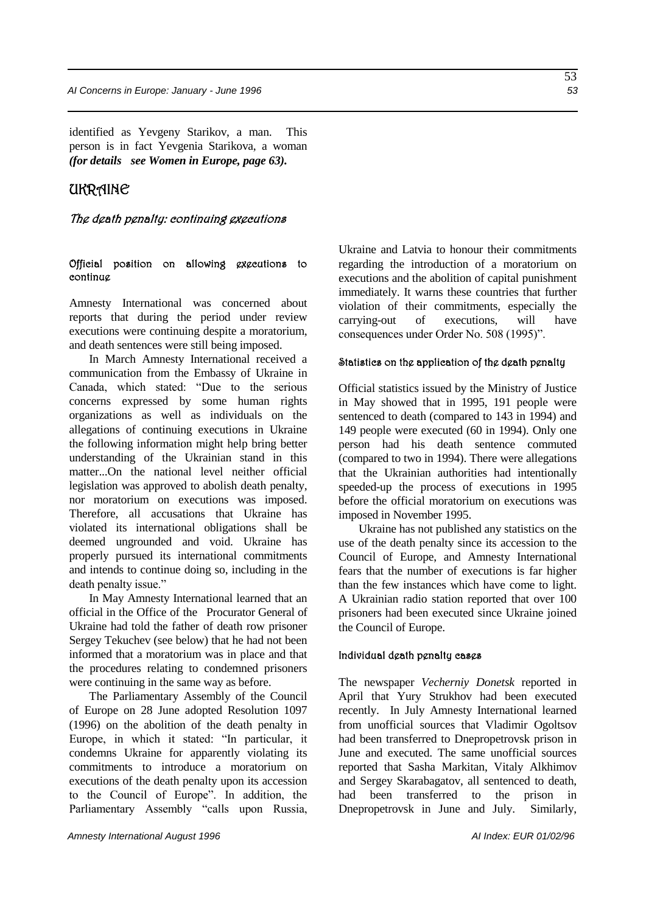identified as Yevgeny Starikov, a man. This person is in fact Yevgenia Starikova, a woman *(for details see Women in Europe, page 63).*

### UKRAINE

#### The death penalty: continuing executions

#### Official position on allowing executions to continue

Amnesty International was concerned about reports that during the period under review executions were continuing despite a moratorium, and death sentences were still being imposed.

In March Amnesty International received a communication from the Embassy of Ukraine in Canada, which stated: "Due to the serious concerns expressed by some human rights organizations as well as individuals on the allegations of continuing executions in Ukraine the following information might help bring better understanding of the Ukrainian stand in this matter...On the national level neither official legislation was approved to abolish death penalty, nor moratorium on executions was imposed. Therefore, all accusations that Ukraine has violated its international obligations shall be deemed ungrounded and void. Ukraine has properly pursued its international commitments and intends to continue doing so, including in the death penalty issue."

In May Amnesty International learned that an official in the Office of the Procurator General of Ukraine had told the father of death row prisoner Sergey Tekuchev (see below) that he had not been informed that a moratorium was in place and that the procedures relating to condemned prisoners were continuing in the same way as before.

The Parliamentary Assembly of the Council of Europe on 28 June adopted Resolution 1097 (1996) on the abolition of the death penalty in Europe, in which it stated: "In particular, it condemns Ukraine for apparently violating its commitments to introduce a moratorium on executions of the death penalty upon its accession to the Council of Europe". In addition, the Parliamentary Assembly "calls upon Russia,

Ukraine and Latvia to honour their commitments regarding the introduction of a moratorium on executions and the abolition of capital punishment immediately. It warns these countries that further violation of their commitments, especially the carrying-out of executions, will have consequences under Order No. 508 (1995)".

#### Statistics on the application of the death penalty

Official statistics issued by the Ministry of Justice in May showed that in 1995, 191 people were sentenced to death (compared to 143 in 1994) and 149 people were executed (60 in 1994). Only one person had his death sentence commuted (compared to two in 1994). There were allegations that the Ukrainian authorities had intentionally speeded-up the process of executions in 1995 before the official moratorium on executions was imposed in November 1995.

Ukraine has not published any statistics on the use of the death penalty since its accession to the Council of Europe, and Amnesty International fears that the number of executions is far higher than the few instances which have come to light. A Ukrainian radio station reported that over 100 prisoners had been executed since Ukraine joined the Council of Europe.

#### Individual death penalty cases

The newspaper *Vecherniy Donetsk* reported in April that Yury Strukhov had been executed recently. In July Amnesty International learned from unofficial sources that Vladimir Ogoltsov had been transferred to Dnepropetrovsk prison in June and executed. The same unofficial sources reported that Sasha Markitan, Vitaly Alkhimov and Sergey Skarabagatov, all sentenced to death, had been transferred to the prison in Dnepropetrovsk in June and July. Similarly,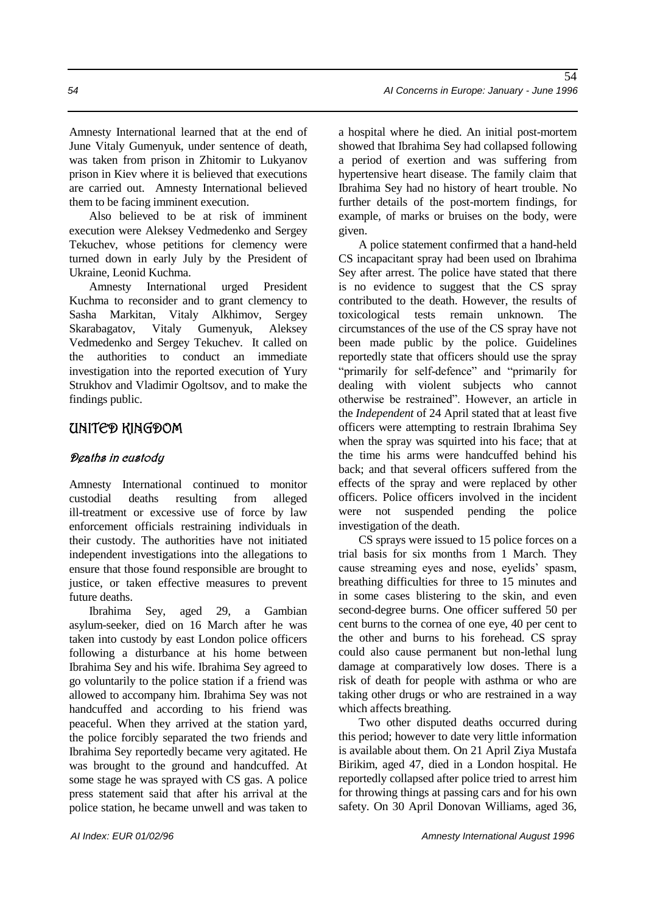Amnesty International learned that at the end of June Vitaly Gumenyuk, under sentence of death, was taken from prison in Zhitomir to Lukyanov prison in Kiev where it is believed that executions are carried out. Amnesty International believed them to be facing imminent execution.

Also believed to be at risk of imminent execution were Aleksey Vedmedenko and Sergey Tekuchev, whose petitions for clemency were turned down in early July by the President of Ukraine, Leonid Kuchma.

Amnesty International urged President Kuchma to reconsider and to grant clemency to Sasha Markitan, Vitaly Alkhimov, Sergey Skarabagatov, Vitaly Gumenyuk, Aleksey Vedmedenko and Sergey Tekuchev. It called on the authorities to conduct an immediate investigation into the reported execution of Yury Strukhov and Vladimir Ogoltsov, and to make the findings public.

### UNITED KINGDOM

### Deaths in custody

Amnesty International continued to monitor custodial deaths resulting from alleged ill-treatment or excessive use of force by law enforcement officials restraining individuals in their custody. The authorities have not initiated independent investigations into the allegations to ensure that those found responsible are brought to justice, or taken effective measures to prevent future deaths.

Ibrahima Sey, aged 29, a Gambian asylum-seeker, died on 16 March after he was taken into custody by east London police officers following a disturbance at his home between Ibrahima Sey and his wife. Ibrahima Sey agreed to go voluntarily to the police station if a friend was allowed to accompany him. Ibrahima Sey was not handcuffed and according to his friend was peaceful. When they arrived at the station yard, the police forcibly separated the two friends and Ibrahima Sey reportedly became very agitated. He was brought to the ground and handcuffed. At some stage he was sprayed with CS gas. A police press statement said that after his arrival at the police station, he became unwell and was taken to

a hospital where he died. An initial post-mortem showed that Ibrahima Sey had collapsed following a period of exertion and was suffering from hypertensive heart disease. The family claim that Ibrahima Sey had no history of heart trouble. No further details of the post-mortem findings, for example, of marks or bruises on the body, were given.

A police statement confirmed that a hand-held CS incapacitant spray had been used on Ibrahima Sey after arrest. The police have stated that there is no evidence to suggest that the CS spray contributed to the death. However, the results of toxicological tests remain unknown. The circumstances of the use of the CS spray have not been made public by the police. Guidelines reportedly state that officers should use the spray "primarily for self-defence" and "primarily for dealing with violent subjects who cannot otherwise be restrained". However, an article in the *Independent* of 24 April stated that at least five officers were attempting to restrain Ibrahima Sey when the spray was squirted into his face; that at the time his arms were handcuffed behind his back; and that several officers suffered from the effects of the spray and were replaced by other officers. Police officers involved in the incident were not suspended pending the police investigation of the death.

CS sprays were issued to 15 police forces on a trial basis for six months from 1 March. They cause streaming eyes and nose, eyelids' spasm, breathing difficulties for three to 15 minutes and in some cases blistering to the skin, and even second-degree burns. One officer suffered 50 per cent burns to the cornea of one eye, 40 per cent to the other and burns to his forehead. CS spray could also cause permanent but non-lethal lung damage at comparatively low doses. There is a risk of death for people with asthma or who are taking other drugs or who are restrained in a way which affects breathing.

Two other disputed deaths occurred during this period; however to date very little information is available about them. On 21 April Ziya Mustafa Birikim, aged 47, died in a London hospital. He reportedly collapsed after police tried to arrest him for throwing things at passing cars and for his own safety. On 30 April Donovan Williams, aged 36,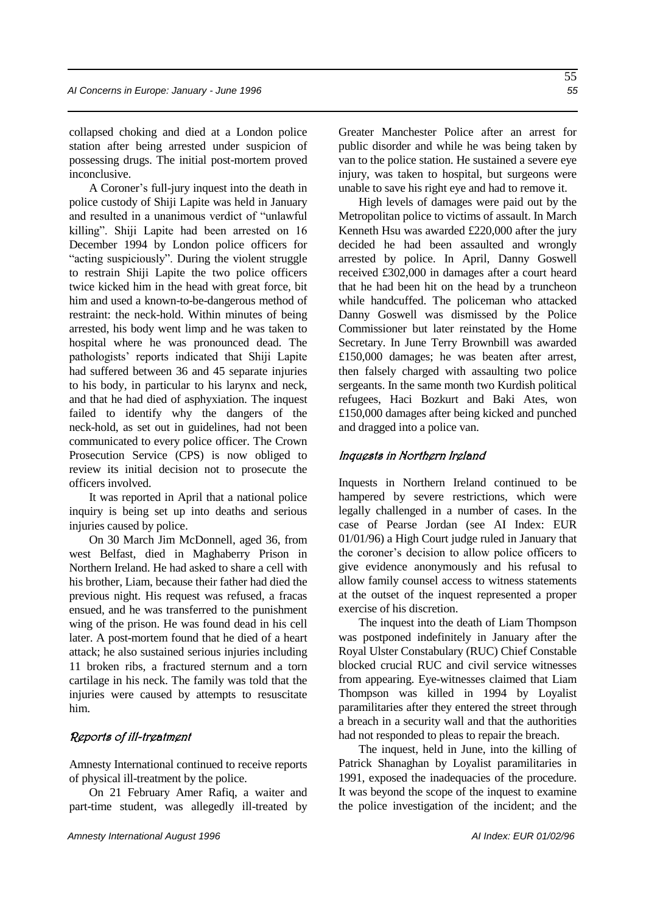collapsed choking and died at a London police station after being arrested under suspicion of possessing drugs. The initial post-mortem proved inconclusive.

A Coroner's full-jury inquest into the death in police custody of Shiji Lapite was held in January and resulted in a unanimous verdict of "unlawful killing". Shiji Lapite had been arrested on 16 December 1994 by London police officers for "acting suspiciously". During the violent struggle to restrain Shiji Lapite the two police officers twice kicked him in the head with great force, bit him and used a known-to-be-dangerous method of restraint: the neck-hold. Within minutes of being arrested, his body went limp and he was taken to hospital where he was pronounced dead. The pathologists' reports indicated that Shiji Lapite had suffered between 36 and 45 separate injuries to his body, in particular to his larynx and neck, and that he had died of asphyxiation. The inquest failed to identify why the dangers of the neck-hold, as set out in guidelines, had not been communicated to every police officer. The Crown Prosecution Service (CPS) is now obliged to review its initial decision not to prosecute the officers involved.

It was reported in April that a national police inquiry is being set up into deaths and serious injuries caused by police.

On 30 March Jim McDonnell, aged 36, from west Belfast, died in Maghaberry Prison in Northern Ireland. He had asked to share a cell with his brother, Liam, because their father had died the previous night. His request was refused, a fracas ensued, and he was transferred to the punishment wing of the prison. He was found dead in his cell later. A post-mortem found that he died of a heart attack; he also sustained serious injuries including 11 broken ribs, a fractured sternum and a torn cartilage in his neck. The family was told that the injuries were caused by attempts to resuscitate him.

#### Reports of ill-treatment

Amnesty International continued to receive reports of physical ill-treatment by the police.

On 21 February Amer Rafiq, a waiter and part-time student, was allegedly ill-treated by Greater Manchester Police after an arrest for public disorder and while he was being taken by van to the police station. He sustained a severe eye injury, was taken to hospital, but surgeons were unable to save his right eye and had to remove it.

High levels of damages were paid out by the Metropolitan police to victims of assault. In March Kenneth Hsu was awarded £220,000 after the jury decided he had been assaulted and wrongly arrested by police. In April, Danny Goswell received £302,000 in damages after a court heard that he had been hit on the head by a truncheon while handcuffed. The policeman who attacked Danny Goswell was dismissed by the Police Commissioner but later reinstated by the Home Secretary. In June Terry Brownbill was awarded £150,000 damages; he was beaten after arrest, then falsely charged with assaulting two police sergeants. In the same month two Kurdish political refugees, Haci Bozkurt and Baki Ates, won £150,000 damages after being kicked and punched and dragged into a police van.

#### Inquests in Northern Ireland

Inquests in Northern Ireland continued to be hampered by severe restrictions, which were legally challenged in a number of cases. In the case of Pearse Jordan (see AI Index: EUR 01/01/96) a High Court judge ruled in January that the coroner's decision to allow police officers to give evidence anonymously and his refusal to allow family counsel access to witness statements at the outset of the inquest represented a proper exercise of his discretion.

The inquest into the death of Liam Thompson was postponed indefinitely in January after the Royal Ulster Constabulary (RUC) Chief Constable blocked crucial RUC and civil service witnesses from appearing. Eye-witnesses claimed that Liam Thompson was killed in 1994 by Loyalist paramilitaries after they entered the street through a breach in a security wall and that the authorities had not responded to pleas to repair the breach.

The inquest, held in June, into the killing of Patrick Shanaghan by Loyalist paramilitaries in 1991, exposed the inadequacies of the procedure. It was beyond the scope of the inquest to examine the police investigation of the incident; and the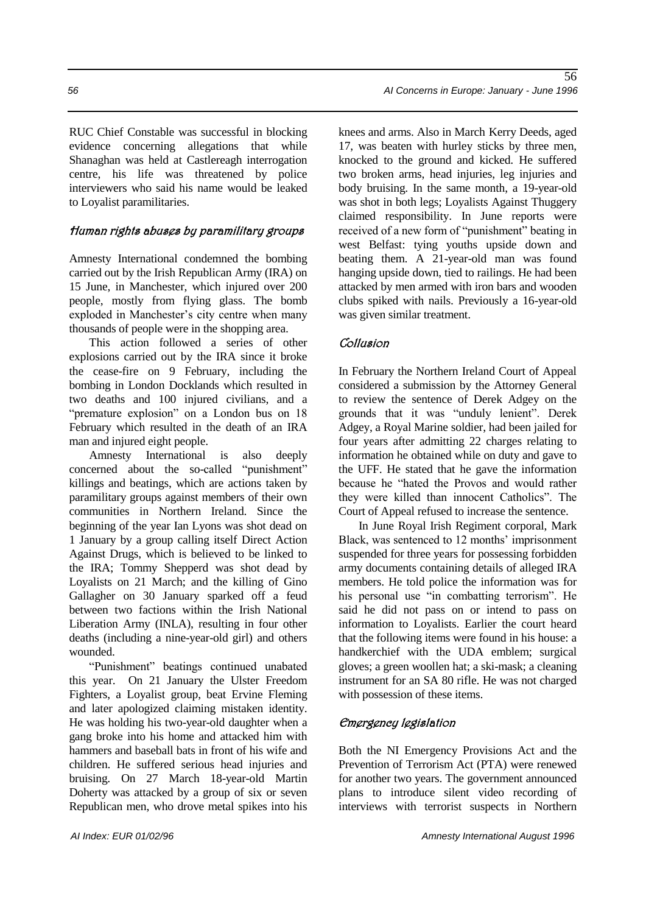RUC Chief Constable was successful in blocking evidence concerning allegations that while Shanaghan was held at Castlereagh interrogation centre, his life was threatened by police interviewers who said his name would be leaked to Loyalist paramilitaries.

### Human rights abuses by paramilitary groups

Amnesty International condemned the bombing carried out by the Irish Republican Army (IRA) on 15 June, in Manchester, which injured over 200 people, mostly from flying glass. The bomb exploded in Manchester's city centre when many thousands of people were in the shopping area.

This action followed a series of other explosions carried out by the IRA since it broke the cease-fire on 9 February, including the bombing in London Docklands which resulted in two deaths and 100 injured civilians, and a "premature explosion" on a London bus on 18 February which resulted in the death of an IRA man and injured eight people.

Amnesty International is also deeply concerned about the so-called "punishment" killings and beatings, which are actions taken by paramilitary groups against members of their own communities in Northern Ireland. Since the beginning of the year Ian Lyons was shot dead on 1 January by a group calling itself Direct Action Against Drugs, which is believed to be linked to the IRA; Tommy Shepperd was shot dead by Loyalists on 21 March; and the killing of Gino Gallagher on 30 January sparked off a feud between two factions within the Irish National Liberation Army (INLA), resulting in four other deaths (including a nine-year-old girl) and others wounded.

"Punishment" beatings continued unabated this year. On 21 January the Ulster Freedom Fighters, a Loyalist group, beat Ervine Fleming and later apologized claiming mistaken identity. He was holding his two-year-old daughter when a gang broke into his home and attacked him with hammers and baseball bats in front of his wife and children. He suffered serious head injuries and bruising. On 27 March 18-year-old Martin Doherty was attacked by a group of six or seven Republican men, who drove metal spikes into his

knees and arms. Also in March Kerry Deeds, aged 17, was beaten with hurley sticks by three men, knocked to the ground and kicked. He suffered two broken arms, head injuries, leg injuries and body bruising. In the same month, a 19-year-old was shot in both legs; Loyalists Against Thuggery claimed responsibility. In June reports were received of a new form of "punishment" beating in west Belfast: tying youths upside down and beating them. A 21-year-old man was found hanging upside down, tied to railings. He had been attacked by men armed with iron bars and wooden clubs spiked with nails. Previously a 16-year-old was given similar treatment.

### **Collusion**

In February the Northern Ireland Court of Appeal considered a submission by the Attorney General to review the sentence of Derek Adgey on the grounds that it was "unduly lenient". Derek Adgey, a Royal Marine soldier, had been jailed for four years after admitting 22 charges relating to information he obtained while on duty and gave to the UFF. He stated that he gave the information because he "hated the Provos and would rather they were killed than innocent Catholics". The Court of Appeal refused to increase the sentence.

In June Royal Irish Regiment corporal, Mark Black, was sentenced to 12 months' imprisonment suspended for three years for possessing forbidden army documents containing details of alleged IRA members. He told police the information was for his personal use "in combatting terrorism". He said he did not pass on or intend to pass on information to Loyalists. Earlier the court heard that the following items were found in his house: a handkerchief with the UDA emblem; surgical gloves; a green woollen hat; a ski-mask; a cleaning instrument for an SA 80 rifle. He was not charged with possession of these items.

### Emergency legislation

Both the NI Emergency Provisions Act and the Prevention of Terrorism Act (PTA) were renewed for another two years. The government announced plans to introduce silent video recording of interviews with terrorist suspects in Northern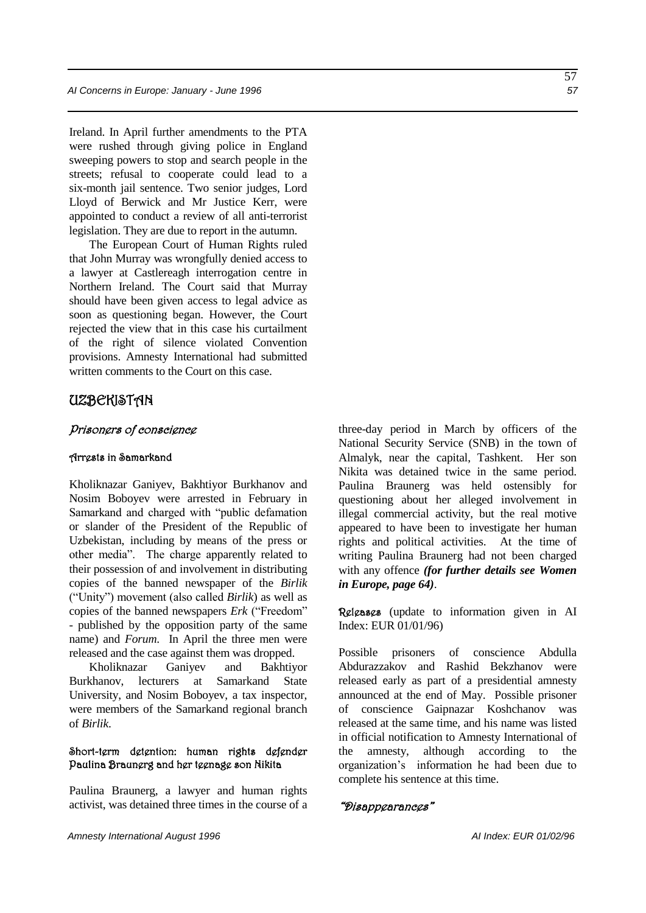Ireland. In April further amendments to the PTA were rushed through giving police in England sweeping powers to stop and search people in the streets; refusal to cooperate could lead to a six-month jail sentence. Two senior judges, Lord Lloyd of Berwick and Mr Justice Kerr, were appointed to conduct a review of all anti-terrorist legislation. They are due to report in the autumn.

The European Court of Human Rights ruled that John Murray was wrongfully denied access to a lawyer at Castlereagh interrogation centre in Northern Ireland. The Court said that Murray should have been given access to legal advice as soon as questioning began. However, the Court rejected the view that in this case his curtailment of the right of silence violated Convention provisions. Amnesty International had submitted written comments to the Court on this case.

#### UZBEKISTAN

#### Prisoners of conscience

#### Arrests in Samarkand

Kholiknazar Ganiyev, Bakhtiyor Burkhanov and Nosim Boboyev were arrested in February in Samarkand and charged with "public defamation or slander of the President of the Republic of Uzbekistan, including by means of the press or other media". The charge apparently related to their possession of and involvement in distributing copies of the banned newspaper of the *Birlik* ("Unity") movement (also called *Birlik*) as well as copies of the banned newspapers *Erk* ("Freedom" - published by the opposition party of the same name) and *Forum*. In April the three men were released and the case against them was dropped.

Kholiknazar Ganiyev and Bakhtiyor Burkhanov, lecturers at Samarkand State University, and Nosim Boboyev, a tax inspector, were members of the Samarkand regional branch of *Birlik*.

#### Short-term detention: human rights defender Paulina Braunerg and her teenage son Nikita

Paulina Braunerg, a lawyer and human rights activist, was detained three times in the course of a

three-day period in March by officers of the National Security Service (SNB) in the town of Almalyk, near the capital, Tashkent. Her son Nikita was detained twice in the same period. Paulina Braunerg was held ostensibly for questioning about her alleged involvement in illegal commercial activity, but the real motive appeared to have been to investigate her human rights and political activities. At the time of writing Paulina Braunerg had not been charged with any offence *(for further details see Women in Europe, page 64)*.

Releases (update to information given in AI Index: EUR 01/01/96)

Possible prisoners of conscience Abdulla Abdurazzakov and Rashid Bekzhanov were released early as part of a presidential amnesty announced at the end of May. Possible prisoner of conscience Gaipnazar Koshchanov was released at the same time, and his name was listed in official notification to Amnesty International of the amnesty, although according to the organization's information he had been due to complete his sentence at this time.

#### "Disappearances"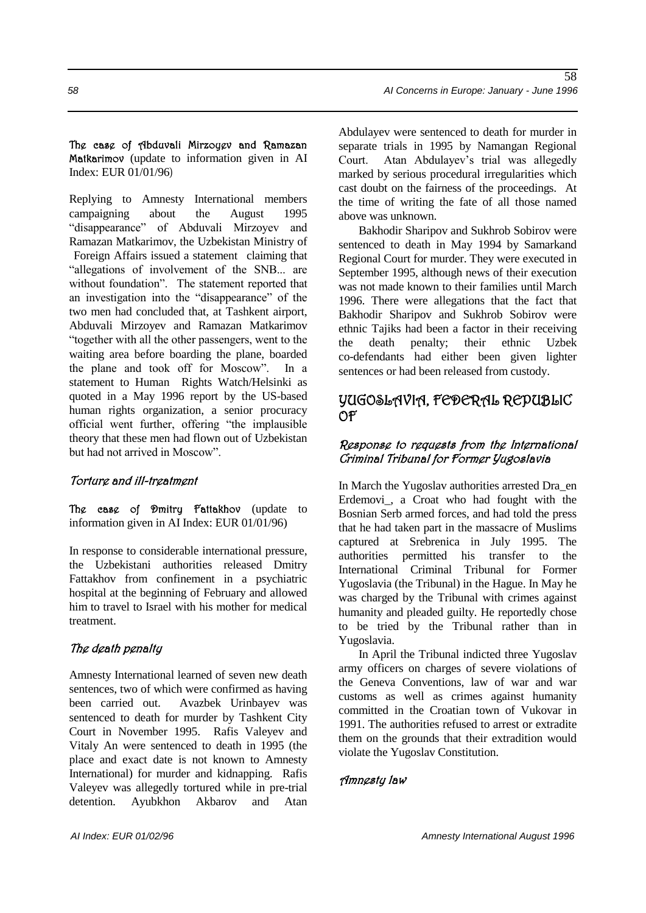The case of Abduvali Mirzoyev and Ramazan Matkarimov (update to information given in AI Index: EUR 01/01/96)

Replying to Amnesty International members campaigning about the August 1995 "disappearance" of Abduvali Mirzoyev and Ramazan Matkarimov, the Uzbekistan Ministry of Foreign Affairs issued a statement claiming that "allegations of involvement of the SNB... are without foundation". The statement reported that an investigation into the "disappearance" of the two men had concluded that, at Tashkent airport, Abduvali Mirzoyev and Ramazan Matkarimov "together with all the other passengers, went to the waiting area before boarding the plane, boarded the plane and took off for Moscow". In a statement to Human Rights Watch/Helsinki as quoted in a May 1996 report by the US-based human rights organization, a senior procuracy official went further, offering "the implausible theory that these men had flown out of Uzbekistan but had not arrived in Moscow".

#### Torture and ill-treatment

The case of Dmitry Fattakhov (update to information given in AI Index: EUR 01/01/96)

In response to considerable international pressure, the Uzbekistani authorities released Dmitry Fattakhov from confinement in a psychiatric hospital at the beginning of February and allowed him to travel to Israel with his mother for medical treatment.

#### The death penalty

Amnesty International learned of seven new death sentences, two of which were confirmed as having been carried out. Avazbek Urinbayev was sentenced to death for murder by Tashkent City Court in November 1995. Rafis Valeyev and Vitaly An were sentenced to death in 1995 (the place and exact date is not known to Amnesty International) for murder and kidnapping. Rafis Valeyev was allegedly tortured while in pre-trial detention. Ayubkhon Akbarov and Atan

Abdulayev were sentenced to death for murder in separate trials in 1995 by Namangan Regional Court. Atan Abdulayev's trial was allegedly marked by serious procedural irregularities which cast doubt on the fairness of the proceedings. At the time of writing the fate of all those named above was unknown.

Bakhodir Sharipov and Sukhrob Sobirov were sentenced to death in May 1994 by Samarkand Regional Court for murder. They were executed in September 1995, although news of their execution was not made known to their families until March 1996. There were allegations that the fact that Bakhodir Sharipov and Sukhrob Sobirov were ethnic Tajiks had been a factor in their receiving the death penalty; their ethnic Uzbek co-defendants had either been given lighter sentences or had been released from custody.

### YUGOSLAVIA, FEDERAL REPUBLIC OF

### Response to requests from the International Criminal Tribunal for Former Yugoslavia

In March the Yugoslav authorities arrested Dra\_en Erdemovi\_, a Croat who had fought with the Bosnian Serb armed forces, and had told the press that he had taken part in the massacre of Muslims captured at Srebrenica in July 1995. The authorities permitted his transfer to the International Criminal Tribunal for Former Yugoslavia (the Tribunal) in the Hague. In May he was charged by the Tribunal with crimes against humanity and pleaded guilty. He reportedly chose to be tried by the Tribunal rather than in Yugoslavia.

In April the Tribunal indicted three Yugoslav army officers on charges of severe violations of the Geneva Conventions, law of war and war customs as well as crimes against humanity committed in the Croatian town of Vukovar in 1991. The authorities refused to arrest or extradite them on the grounds that their extradition would violate the Yugoslav Constitution.

#### Amnesty law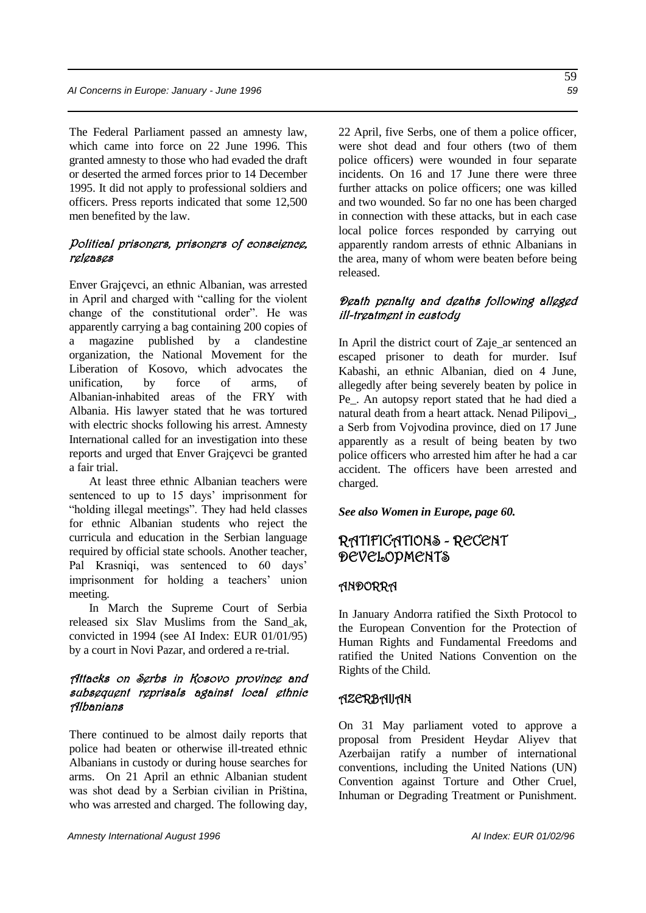The Federal Parliament passed an amnesty law, which came into force on 22 June 1996. This granted amnesty to those who had evaded the draft or deserted the armed forces prior to 14 December 1995. It did not apply to professional soldiers and officers. Press reports indicated that some 12,500 men benefited by the law.

#### Political prisoners, prisoners of conscience, releases

Enver Grajçevci, an ethnic Albanian, was arrested in April and charged with "calling for the violent change of the constitutional order". He was apparently carrying a bag containing 200 copies of a magazine published by a clandestine organization, the National Movement for the Liberation of Kosovo, which advocates the unification, by force of arms, of Albanian-inhabited areas of the FRY with Albania. His lawyer stated that he was tortured with electric shocks following his arrest. Amnesty International called for an investigation into these reports and urged that Enver Grajçevci be granted a fair trial.

At least three ethnic Albanian teachers were sentenced to up to 15 days' imprisonment for "holding illegal meetings". They had held classes for ethnic Albanian students who reject the curricula and education in the Serbian language required by official state schools. Another teacher, Pal Krasniqi, was sentenced to 60 days' imprisonment for holding a teachers' union meeting.

In March the Supreme Court of Serbia released six Slav Muslims from the Sand\_ak, convicted in 1994 (see AI Index: EUR 01/01/95) by a court in Novi Pazar, and ordered a re-trial.

#### Attacks on Serbs in Kosovo province and subsequent reprisals against local ethnic Albanians

There continued to be almost daily reports that police had beaten or otherwise ill-treated ethnic Albanians in custody or during house searches for arms. On 21 April an ethnic Albanian student was shot dead by a Serbian civilian in Priština, who was arrested and charged. The following day,

22 April, five Serbs, one of them a police officer, were shot dead and four others (two of them police officers) were wounded in four separate incidents. On 16 and 17 June there were three further attacks on police officers; one was killed and two wounded. So far no one has been charged in connection with these attacks, but in each case local police forces responded by carrying out apparently random arrests of ethnic Albanians in the area, many of whom were beaten before being released.

#### Death penalty and deaths following alleged ill-treatment in custody

In April the district court of Zaje\_ar sentenced an escaped prisoner to death for murder. Isuf Kabashi, an ethnic Albanian, died on 4 June, allegedly after being severely beaten by police in Pe\_. An autopsy report stated that he had died a natural death from a heart attack. Nenad Pilipovi\_, a Serb from Vojvodina province, died on 17 June apparently as a result of being beaten by two police officers who arrested him after he had a car accident. The officers have been arrested and charged.

*See also Women in Europe, page 60.*

### RATIFICATIONS - RECENT DEVELOPMENTS

### ANDORRA

In January Andorra ratified the Sixth Protocol to the European Convention for the Protection of Human Rights and Fundamental Freedoms and ratified the United Nations Convention on the Rights of the Child.

### AZERBAIJAN

On 31 May parliament voted to approve a proposal from President Heydar Aliyev that Azerbaijan ratify a number of international conventions, including the United Nations (UN) Convention against Torture and Other Cruel, Inhuman or Degrading Treatment or Punishment.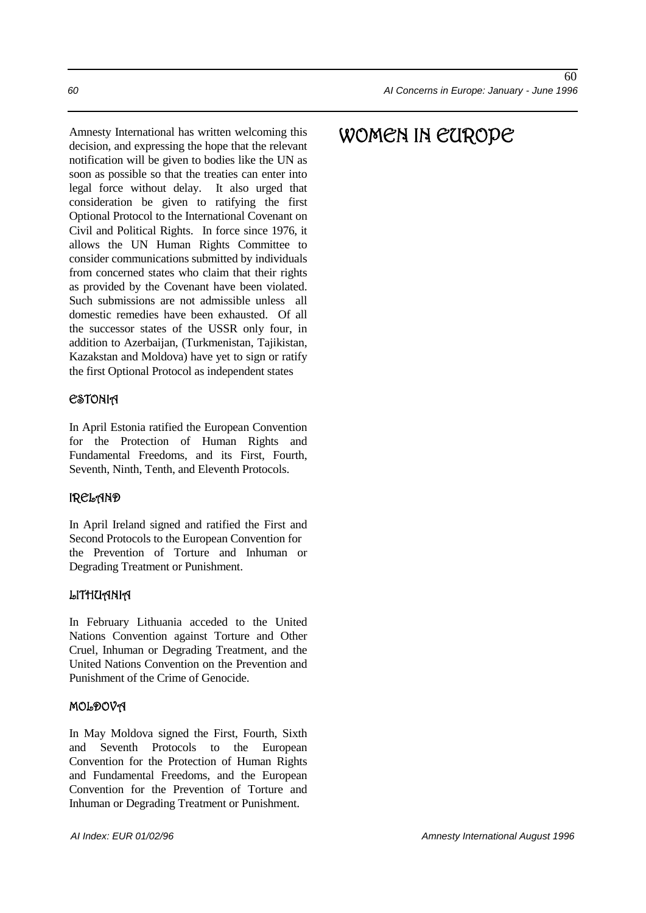Amnesty International has written welcoming this decision, and expressing the hope that the relevant notification will be given to bodies like the UN as soon as possible so that the treaties can enter into legal force without delay. It also urged that consideration be given to ratifying the first Optional Protocol to the International Covenant on Civil and Political Rights. In force since 1976, it allows the UN Human Rights Committee to consider communications submitted by individuals from concerned states who claim that their rights as provided by the Covenant have been violated. Such submissions are not admissible unless all domestic remedies have been exhausted. Of all the successor states of the USSR only four, in addition to Azerbaijan, (Turkmenistan, Tajikistan, Kazakstan and Moldova) have yet to sign or ratify the first Optional Protocol as independent states

### **CSTONIA**

In April Estonia ratified the European Convention for the Protection of Human Rights and Fundamental Freedoms, and its First, Fourth, Seventh, Ninth, Tenth, and Eleventh Protocols.

### **IRELAND**

In April Ireland signed and ratified the First and Second Protocols to the European Convention for the Prevention of Torture and Inhuman or Degrading Treatment or Punishment.

### LITHUANIA

In February Lithuania acceded to the United Nations Convention against Torture and Other Cruel, Inhuman or Degrading Treatment, and the United Nations Convention on the Prevention and Punishment of the Crime of Genocide.

#### MOLDOVA

In May Moldova signed the First, Fourth, Sixth and Seventh Protocols to the European Convention for the Protection of Human Rights and Fundamental Freedoms, and the European Convention for the Prevention of Torture and Inhuman or Degrading Treatment or Punishment.

# WOMEN IN EUROPE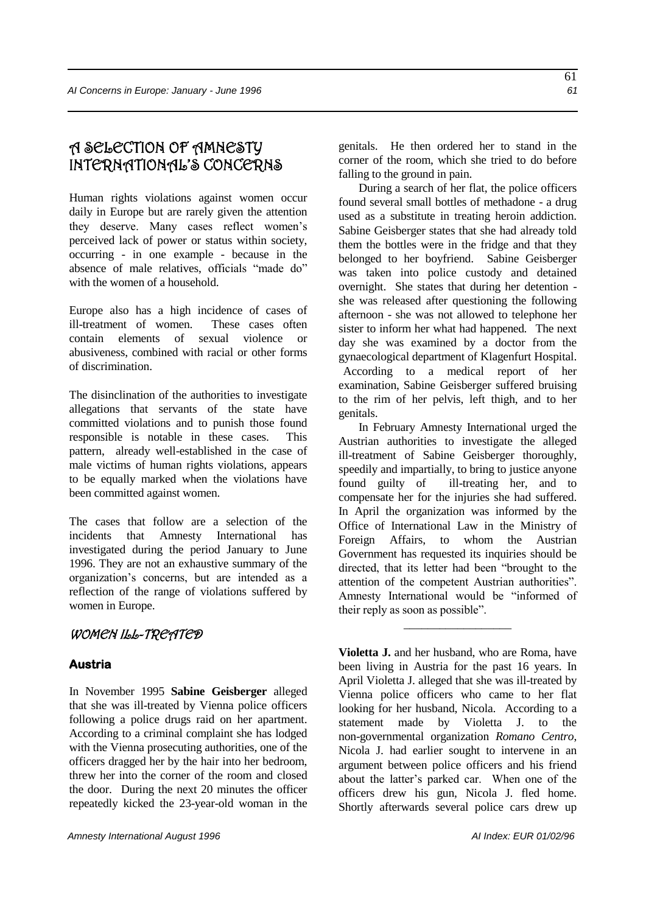# A SELECTION OF AMNESTY INTERNATIONAL'S CONCERNS

Human rights violations against women occur daily in Europe but are rarely given the attention they deserve. Many cases reflect women's perceived lack of power or status within society, occurring - in one example - because in the absence of male relatives, officials "made do" with the women of a household.

Europe also has a high incidence of cases of ill-treatment of women. These cases often contain elements of sexual violence or abusiveness, combined with racial or other forms of discrimination.

The disinclination of the authorities to investigate allegations that servants of the state have committed violations and to punish those found responsible is notable in these cases. This pattern, already well-established in the case of male victims of human rights violations, appears to be equally marked when the violations have been committed against women.

The cases that follow are a selection of the incidents that Amnesty International has investigated during the period January to June 1996. They are not an exhaustive summary of the organization's concerns, but are intended as a reflection of the range of violations suffered by women in Europe.

# WOMEN ILL-TREATED

# **Austria**

In November 1995 **Sabine Geisberger** alleged that she was ill-treated by Vienna police officers following a police drugs raid on her apartment. According to a criminal complaint she has lodged with the Vienna prosecuting authorities, one of the officers dragged her by the hair into her bedroom, threw her into the corner of the room and closed the door. During the next 20 minutes the officer repeatedly kicked the 23-year-old woman in the genitals. He then ordered her to stand in the corner of the room, which she tried to do before falling to the ground in pain.

During a search of her flat, the police officers found several small bottles of methadone - a drug used as a substitute in treating heroin addiction. Sabine Geisberger states that she had already told them the bottles were in the fridge and that they belonged to her boyfriend. Sabine Geisberger was taken into police custody and detained overnight. She states that during her detention she was released after questioning the following afternoon - she was not allowed to telephone her sister to inform her what had happened. The next day she was examined by a doctor from the gynaecological department of Klagenfurt Hospital. According to a medical report of her examination, Sabine Geisberger suffered bruising to the rim of her pelvis, left thigh, and to her genitals.

In February Amnesty International urged the Austrian authorities to investigate the alleged ill-treatment of Sabine Geisberger thoroughly, speedily and impartially, to bring to justice anyone found guilty of ill-treating her, and to compensate her for the injuries she had suffered. In April the organization was informed by the Office of International Law in the Ministry of Foreign Affairs, to whom the Austrian Government has requested its inquiries should be directed, that its letter had been "brought to the attention of the competent Austrian authorities". Amnesty International would be "informed of their reply as soon as possible".

**Violetta J.** and her husband, who are Roma, have been living in Austria for the past 16 years. In April Violetta J. alleged that she was ill-treated by Vienna police officers who came to her flat looking for her husband, Nicola. According to a statement made by Violetta J. to the non-governmental organization *Romano Centro*, Nicola J. had earlier sought to intervene in an argument between police officers and his friend about the latter's parked car. When one of the officers drew his gun, Nicola J. fled home. Shortly afterwards several police cars drew up

\_\_\_\_\_\_\_\_\_\_\_\_\_\_\_\_\_\_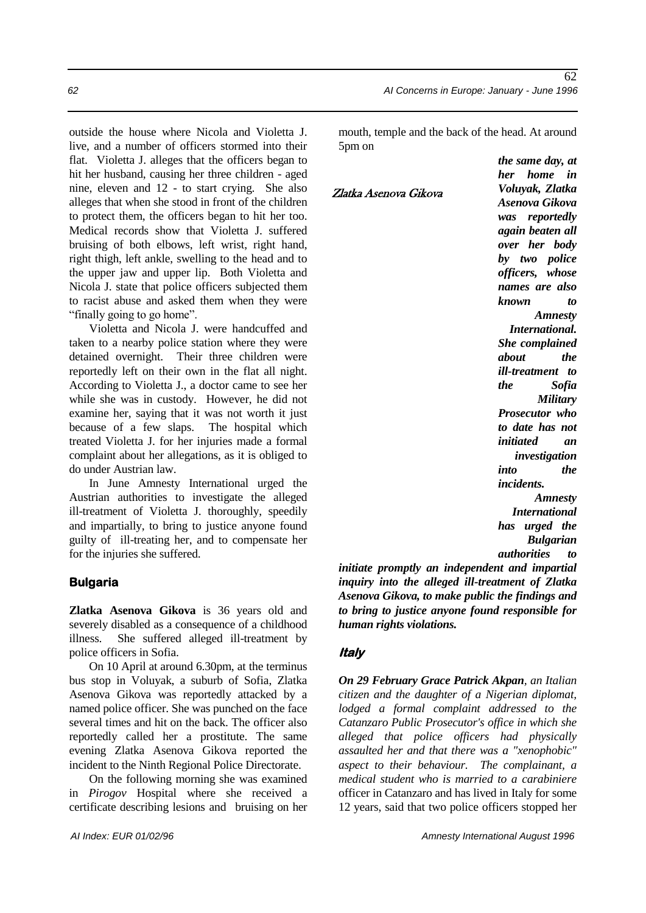outside the house where Nicola and Violetta J. live, and a number of officers stormed into their flat. Violetta J. alleges that the officers began to hit her husband, causing her three children - aged nine, eleven and 12 - to start crying. She also alleges that when she stood in front of the children to protect them, the officers began to hit her too. Medical records show that Violetta J. suffered bruising of both elbows, left wrist, right hand, right thigh, left ankle, swelling to the head and to the upper jaw and upper lip. Both Violetta and Nicola J. state that police officers subjected them to racist abuse and asked them when they were "finally going to go home".

Violetta and Nicola J. were handcuffed and taken to a nearby police station where they were detained overnight. Their three children were reportedly left on their own in the flat all night. According to Violetta J., a doctor came to see her while she was in custody. However, he did not examine her, saying that it was not worth it just because of a few slaps. The hospital which treated Violetta J. for her injuries made a formal complaint about her allegations, as it is obliged to do under Austrian law.

In June Amnesty International urged the Austrian authorities to investigate the alleged ill-treatment of Violetta J. thoroughly, speedily and impartially, to bring to justice anyone found guilty of ill-treating her, and to compensate her for the injuries she suffered.

#### **Bulgaria**

**Zlatka Asenova Gikova** is 36 years old and severely disabled as a consequence of a childhood illness. She suffered alleged ill-treatment by police officers in Sofia.

On 10 April at around 6.30pm, at the terminus bus stop in Voluyak, a suburb of Sofia, Zlatka Asenova Gikova was reportedly attacked by a named police officer. She was punched on the face several times and hit on the back. The officer also reportedly called her a prostitute. The same evening Zlatka Asenova Gikova reported the incident to the Ninth Regional Police Directorate.

On the following morning she was examined in *Pirogov* Hospital where she received a certificate describing lesions and bruising on her

mouth, temple and the back of the head. At around 5pm on

Zlatka Asenova Gikova

*her home in Voluyak, Zlatka Asenova Gikova was reportedly again beaten all over her body by two police officers, whose names are also known to Amnesty International. She complained about the ill-treatment to the Sofia Military Prosecutor who to date has not initiated an investigation into the incidents. Amnesty International has urged the Bulgarian* 

*authorities to* 

*the same day, at* 

*initiate promptly an independent and impartial inquiry into the alleged ill-treatment of Zlatka Asenova Gikova, to make public the findings and to bring to justice anyone found responsible for human rights violations.*

#### **Italy**

*On 29 February Grace Patrick Akpan, an Italian citizen and the daughter of a Nigerian diplomat, lodged a formal complaint addressed to the Catanzaro Public Prosecutor's office in which she alleged that police officers had physically assaulted her and that there was a "xenophobic" aspect to their behaviour. The complainant, a medical student who is married to a carabiniere* officer in Catanzaro and has lived in Italy for some 12 years, said that two police officers stopped her

62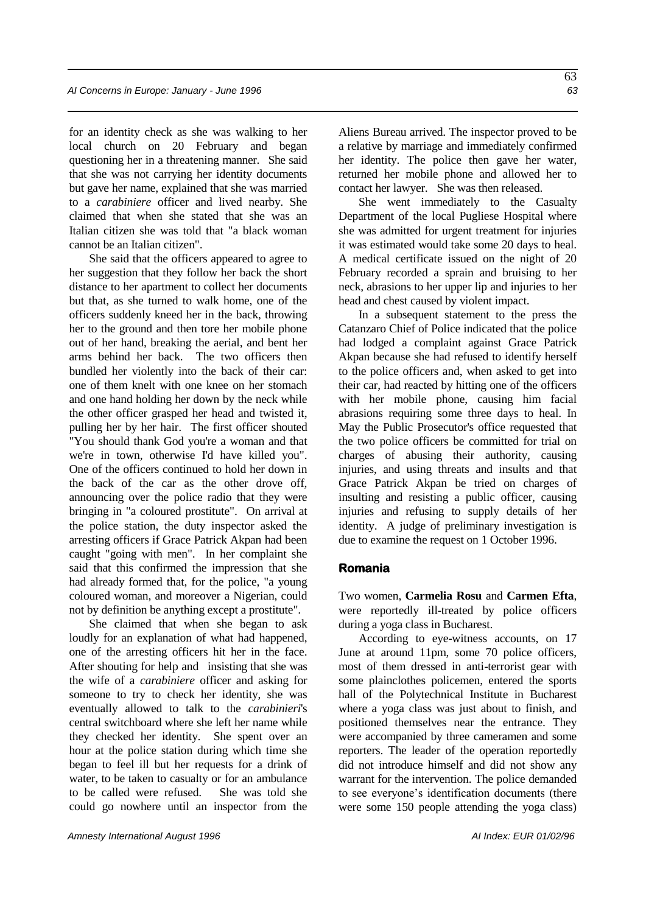for an identity check as she was walking to her local church on 20 February and began questioning her in a threatening manner. She said that she was not carrying her identity documents but gave her name, explained that she was married to a *carabiniere* officer and lived nearby. She claimed that when she stated that she was an Italian citizen she was told that "a black woman cannot be an Italian citizen".

She said that the officers appeared to agree to her suggestion that they follow her back the short distance to her apartment to collect her documents but that, as she turned to walk home, one of the officers suddenly kneed her in the back, throwing her to the ground and then tore her mobile phone out of her hand, breaking the aerial, and bent her arms behind her back. The two officers then bundled her violently into the back of their car: one of them knelt with one knee on her stomach and one hand holding her down by the neck while the other officer grasped her head and twisted it, pulling her by her hair. The first officer shouted "You should thank God you're a woman and that we're in town, otherwise I'd have killed you". One of the officers continued to hold her down in the back of the car as the other drove off, announcing over the police radio that they were bringing in "a coloured prostitute". On arrival at the police station, the duty inspector asked the arresting officers if Grace Patrick Akpan had been caught "going with men". In her complaint she said that this confirmed the impression that she had already formed that, for the police, "a young coloured woman, and moreover a Nigerian, could not by definition be anything except a prostitute".

She claimed that when she began to ask loudly for an explanation of what had happened, one of the arresting officers hit her in the face. After shouting for help and insisting that she was the wife of a *carabiniere* officer and asking for someone to try to check her identity, she was eventually allowed to talk to the *carabinieri*'s central switchboard where she left her name while they checked her identity. She spent over an hour at the police station during which time she began to feel ill but her requests for a drink of water, to be taken to casualty or for an ambulance to be called were refused. She was told she could go nowhere until an inspector from the

Aliens Bureau arrived. The inspector proved to be a relative by marriage and immediately confirmed her identity. The police then gave her water, returned her mobile phone and allowed her to contact her lawyer. She was then released.

She went immediately to the Casualty Department of the local Pugliese Hospital where she was admitted for urgent treatment for injuries it was estimated would take some 20 days to heal. A medical certificate issued on the night of 20 February recorded a sprain and bruising to her neck, abrasions to her upper lip and injuries to her head and chest caused by violent impact.

In a subsequent statement to the press the Catanzaro Chief of Police indicated that the police had lodged a complaint against Grace Patrick Akpan because she had refused to identify herself to the police officers and, when asked to get into their car, had reacted by hitting one of the officers with her mobile phone, causing him facial abrasions requiring some three days to heal. In May the Public Prosecutor's office requested that the two police officers be committed for trial on charges of abusing their authority, causing injuries, and using threats and insults and that Grace Patrick Akpan be tried on charges of insulting and resisting a public officer, causing injuries and refusing to supply details of her identity. A judge of preliminary investigation is due to examine the request on 1 October 1996.

#### **Romania**

Two women, **Carmelia Rosu** and **Carmen Efta**, were reportedly ill-treated by police officers during a yoga class in Bucharest.

According to eye-witness accounts, on 17 June at around 11pm, some 70 police officers, most of them dressed in anti-terrorist gear with some plainclothes policemen, entered the sports hall of the Polytechnical Institute in Bucharest where a yoga class was just about to finish, and positioned themselves near the entrance. They were accompanied by three cameramen and some reporters. The leader of the operation reportedly did not introduce himself and did not show any warrant for the intervention. The police demanded to see everyone's identification documents (there were some 150 people attending the yoga class)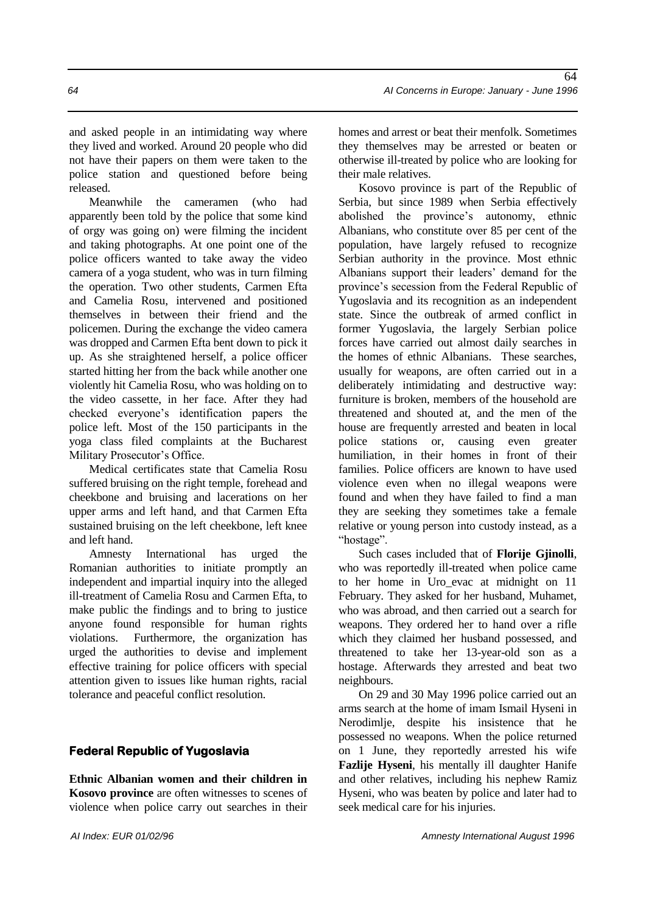and asked people in an intimidating way where they lived and worked. Around 20 people who did not have their papers on them were taken to the police station and questioned before being released.

Meanwhile the cameramen (who had apparently been told by the police that some kind of orgy was going on) were filming the incident and taking photographs. At one point one of the police officers wanted to take away the video camera of a yoga student, who was in turn filming the operation. Two other students, Carmen Efta and Camelia Rosu, intervened and positioned themselves in between their friend and the policemen. During the exchange the video camera was dropped and Carmen Efta bent down to pick it up. As she straightened herself, a police officer started hitting her from the back while another one violently hit Camelia Rosu, who was holding on to the video cassette, in her face. After they had checked everyone's identification papers the police left. Most of the 150 participants in the yoga class filed complaints at the Bucharest Military Prosecutor's Office.

Medical certificates state that Camelia Rosu suffered bruising on the right temple, forehead and cheekbone and bruising and lacerations on her upper arms and left hand, and that Carmen Efta sustained bruising on the left cheekbone, left knee and left hand.

Amnesty International has urged the Romanian authorities to initiate promptly an independent and impartial inquiry into the alleged ill-treatment of Camelia Rosu and Carmen Efta, to make public the findings and to bring to justice anyone found responsible for human rights violations. Furthermore, the organization has urged the authorities to devise and implement effective training for police officers with special attention given to issues like human rights, racial tolerance and peaceful conflict resolution.

### **Federal Republic of Yugoslavia**

**Ethnic Albanian women and their children in Kosovo province** are often witnesses to scenes of violence when police carry out searches in their homes and arrest or beat their menfolk. Sometimes they themselves may be arrested or beaten or otherwise ill-treated by police who are looking for their male relatives.

Kosovo province is part of the Republic of Serbia, but since 1989 when Serbia effectively abolished the province's autonomy, ethnic Albanians, who constitute over 85 per cent of the population, have largely refused to recognize Serbian authority in the province. Most ethnic Albanians support their leaders' demand for the province's secession from the Federal Republic of Yugoslavia and its recognition as an independent state. Since the outbreak of armed conflict in former Yugoslavia, the largely Serbian police forces have carried out almost daily searches in the homes of ethnic Albanians. These searches, usually for weapons, are often carried out in a deliberately intimidating and destructive way: furniture is broken, members of the household are threatened and shouted at, and the men of the house are frequently arrested and beaten in local police stations or, causing even greater humiliation, in their homes in front of their families. Police officers are known to have used violence even when no illegal weapons were found and when they have failed to find a man they are seeking they sometimes take a female relative or young person into custody instead, as a "hostage".

Such cases included that of **Florije Giinolli**, who was reportedly ill-treated when police came to her home in Uro\_evac at midnight on 11 February. They asked for her husband, Muhamet, who was abroad, and then carried out a search for weapons. They ordered her to hand over a rifle which they claimed her husband possessed, and threatened to take her 13-year-old son as a hostage. Afterwards they arrested and beat two neighbours.

On 29 and 30 May 1996 police carried out an arms search at the home of imam Ismail Hyseni in Nerodimlje, despite his insistence that he possessed no weapons. When the police returned on 1 June, they reportedly arrested his wife **Fazlije Hyseni**, his mentally ill daughter Hanife and other relatives, including his nephew Ramiz Hyseni, who was beaten by police and later had to seek medical care for his injuries.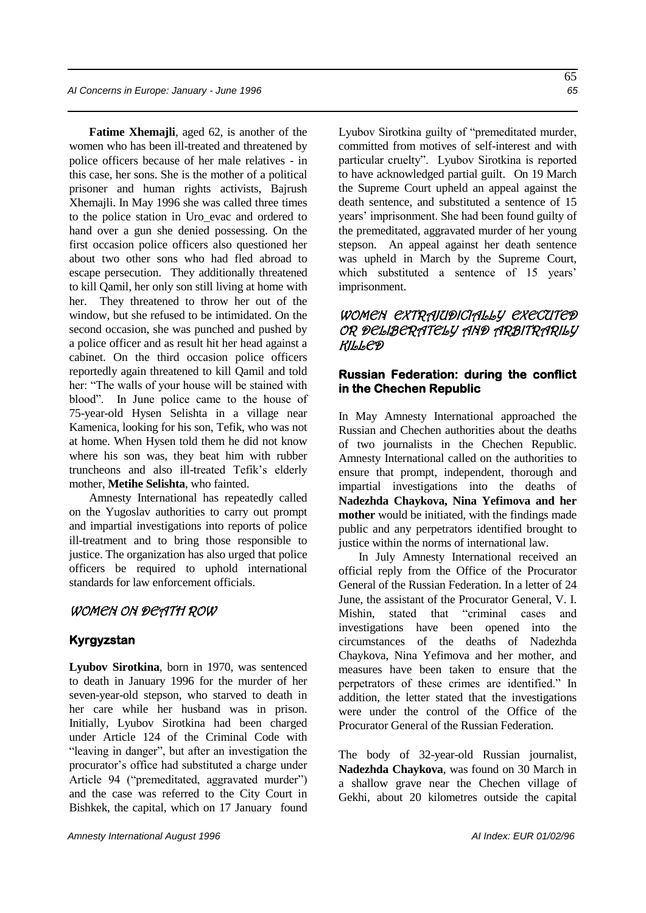**Fatime Xhemajli**, aged 62, is another of the women who has been ill-treated and threatened by police officers because of her male relatives - in this case, her sons. She is the mother of a political prisoner and human rights activists, Bajrush Xhemajli. In May 1996 she was called three times to the police station in Uro\_evac and ordered to hand over a gun she denied possessing. On the first occasion police officers also questioned her about two other sons who had fled abroad to escape persecution. They additionally threatened to kill Qamil, her only son still living at home with her. They threatened to throw her out of the window, but she refused to be intimidated. On the second occasion, she was punched and pushed by a police officer and as result hit her head against a cabinet. On the third occasion police officers reportedly again threatened to kill Qamil and told her: "The walls of your house will be stained with blood". In June police came to the house of 75-year-old Hysen Selishta in a village near Kamenica, looking for his son, Tefik, who was not at home. When Hysen told them he did not know where his son was, they beat him with rubber truncheons and also ill-treated Tefik's elderly mother, **Metihe Selishta**, who fainted.

Amnesty International has repeatedly called on the Yugoslav authorities to carry out prompt and impartial investigations into reports of police ill-treatment and to bring those responsible to justice. The organization has also urged that police officers be required to uphold international standards for law enforcement officials.

#### WOMEN ON DEATH ROW

#### **Kyrgyzstan**

**Lyubov Sirotkina**, born in 1970, was sentenced to death in January 1996 for the murder of her seven-year-old stepson, who starved to death in her care while her husband was in prison. Initially, Lyubov Sirotkina had been charged under Article 124 of the Criminal Code with "leaving in danger", but after an investigation the procurator's office had substituted a charge under Article 94 ("premeditated, aggravated murder") and the case was referred to the City Court in Bishkek, the capital, which on 17 January found Lyubov Sirotkina guilty of "premeditated murder, committed from motives of self-interest and with particular cruelty". Lyubov Sirotkina is reported to have acknowledged partial guilt. On 19 March the Supreme Court upheld an appeal against the death sentence, and substituted a sentence of 15 years' imprisonment. She had been found guilty of the premeditated, aggravated murder of her young stepson. An appeal against her death sentence was upheld in March by the Supreme Court, which substituted a sentence of 15 years' imprisonment.

### WOMEN EXTRAJUDICIALLY EXECUTED OR DELIBERATELY AND ARBITRARILY KILLED

#### **Russian Federation: during the conflict in the Chechen Republic**

In May Amnesty International approached the Russian and Chechen authorities about the deaths of two journalists in the Chechen Republic. Amnesty International called on the authorities to ensure that prompt, independent, thorough and impartial investigations into the deaths of **Nadezhda Chaykova, Nina Yefimova and her mother** would be initiated, with the findings made public and any perpetrators identified brought to justice within the norms of international law.

In July Amnesty International received an official reply from the Office of the Procurator General of the Russian Federation. In a letter of 24 June, the assistant of the Procurator General, V. I. Mishin, stated that "criminal cases and investigations have been opened into the circumstances of the deaths of Nadezhda Chaykova, Nina Yefimova and her mother, and measures have been taken to ensure that the perpetrators of these crimes are identified." In addition, the letter stated that the investigations were under the control of the Office of the Procurator General of the Russian Federation.

The body of 32-year-old Russian journalist, **Nadezhda Chaykova**, was found on 30 March in a shallow grave near the Chechen village of Gekhi, about 20 kilometres outside the capital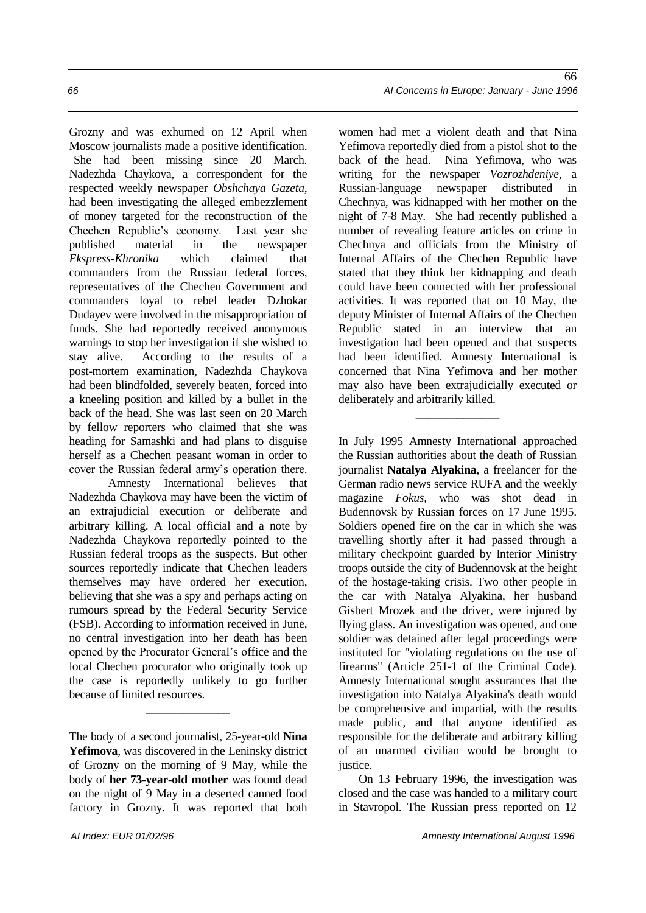Grozny and was exhumed on 12 April when Moscow journalists made a positive identification. She had been missing since 20 March. Nadezhda Chaykova, a correspondent for the respected weekly newspaper *Obshchaya Gazeta*, had been investigating the alleged embezzlement of money targeted for the reconstruction of the Chechen Republic's economy. Last year she published material in the newspaper *Ekspress-Khronika* which claimed that commanders from the Russian federal forces, representatives of the Chechen Government and commanders loyal to rebel leader Dzhokar Dudayev were involved in the misappropriation of funds. She had reportedly received anonymous warnings to stop her investigation if she wished to stay alive. According to the results of a post-mortem examination, Nadezhda Chaykova had been blindfolded, severely beaten, forced into a kneeling position and killed by a bullet in the back of the head. She was last seen on 20 March by fellow reporters who claimed that she was heading for Samashki and had plans to disguise herself as a Chechen peasant woman in order to cover the Russian federal army's operation there.

Amnesty International believes that Nadezhda Chaykova may have been the victim of an extrajudicial execution or deliberate and arbitrary killing. A local official and a note by Nadezhda Chaykova reportedly pointed to the Russian federal troops as the suspects. But other sources reportedly indicate that Chechen leaders themselves may have ordered her execution, believing that she was a spy and perhaps acting on rumours spread by the Federal Security Service (FSB). According to information received in June, no central investigation into her death has been opened by the Procurator General's office and the local Chechen procurator who originally took up the case is reportedly unlikely to go further because of limited resources.

The body of a second journalist, 25-year-old **Nina Yefimova**, was discovered in the Leninsky district of Grozny on the morning of 9 May, while the body of **her 73-year-old mother** was found dead on the night of 9 May in a deserted canned food factory in Grozny. It was reported that both

\_\_\_\_\_\_\_\_\_\_\_\_\_\_

women had met a violent death and that Nina Yefimova reportedly died from a pistol shot to the back of the head. Nina Yefimova, who was writing for the newspaper *Vozrozhdeniye*, a Russian-language newspaper distributed in Chechnya, was kidnapped with her mother on the night of 7-8 May. She had recently published a number of revealing feature articles on crime in Chechnya and officials from the Ministry of Internal Affairs of the Chechen Republic have stated that they think her kidnapping and death could have been connected with her professional activities. It was reported that on 10 May, the deputy Minister of Internal Affairs of the Chechen Republic stated in an interview that an investigation had been opened and that suspects had been identified. Amnesty International is concerned that Nina Yefimova and her mother may also have been extrajudicially executed or deliberately and arbitrarily killed.

\_\_\_\_\_\_\_\_\_\_\_\_\_\_

In July 1995 Amnesty International approached the Russian authorities about the death of Russian journalist **Natalya Alyakina**, a freelancer for the German radio news service RUFA and the weekly magazine *Fokus,* who was shot dead in Budennovsk by Russian forces on 17 June 1995. Soldiers opened fire on the car in which she was travelling shortly after it had passed through a military checkpoint guarded by Interior Ministry troops outside the city of Budennovsk at the height of the hostage-taking crisis. Two other people in the car with Natalya Alyakina, her husband Gisbert Mrozek and the driver, were injured by flying glass. An investigation was opened, and one soldier was detained after legal proceedings were instituted for "violating regulations on the use of firearms" (Article 251-1 of the Criminal Code). Amnesty International sought assurances that the investigation into Natalya Alyakina's death would be comprehensive and impartial, with the results made public, and that anyone identified as responsible for the deliberate and arbitrary killing of an unarmed civilian would be brought to justice.

On 13 February 1996, the investigation was closed and the case was handed to a military court in Stavropol. The Russian press reported on 12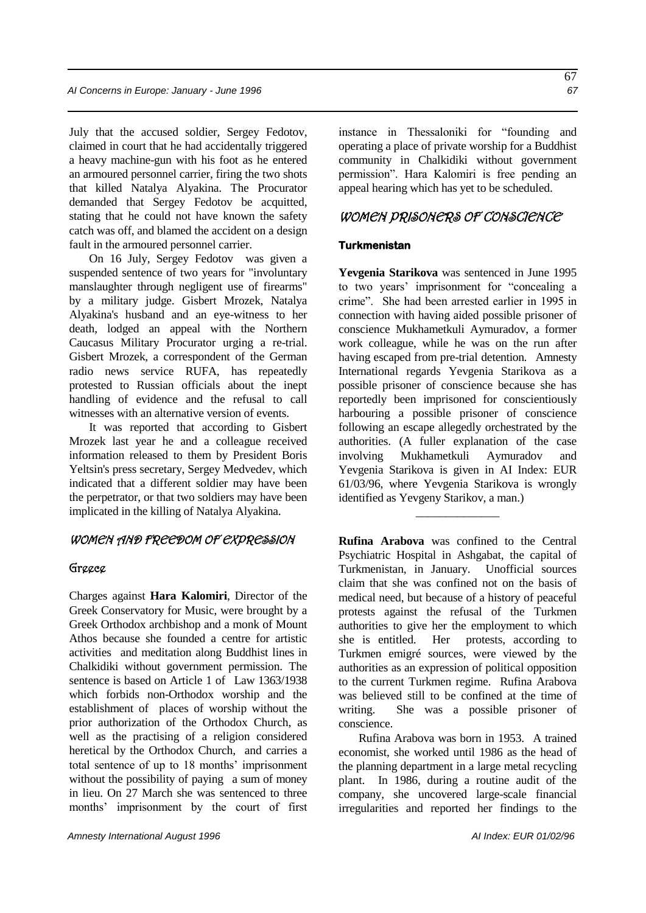July that the accused soldier, Sergey Fedotov, claimed in court that he had accidentally triggered a heavy machine-gun with his foot as he entered an armoured personnel carrier, firing the two shots that killed Natalya Alyakina. The Procurator demanded that Sergey Fedotov be acquitted, stating that he could not have known the safety catch was off, and blamed the accident on a design fault in the armoured personnel carrier.

On 16 July, Sergey Fedotov was given a suspended sentence of two years for "involuntary manslaughter through negligent use of firearms" by a military judge. Gisbert Mrozek, Natalya Alyakina's husband and an eye-witness to her death, lodged an appeal with the Northern Caucasus Military Procurator urging a re-trial. Gisbert Mrozek, a correspondent of the German radio news service RUFA, has repeatedly protested to Russian officials about the inept handling of evidence and the refusal to call witnesses with an alternative version of events.

It was reported that according to Gisbert Mrozek last year he and a colleague received information released to them by President Boris Yeltsin's press secretary, Sergey Medvedev, which indicated that a different soldier may have been the perpetrator, or that two soldiers may have been implicated in the killing of Natalya Alyakina.

#### WOMEN AND FREEDOM OF EXPRESSION

#### Greece

Charges against **Hara Kalomiri**, Director of the Greek Conservatory for Music, were brought by a Greek Orthodox archbishop and a monk of Mount Athos because she founded a centre for artistic activities and meditation along Buddhist lines in Chalkidiki without government permission. The sentence is based on Article 1 of Law 1363/1938 which forbids non-Orthodox worship and the establishment of places of worship without the prior authorization of the Orthodox Church, as well as the practising of a religion considered heretical by the Orthodox Church, and carries a total sentence of up to 18 months' imprisonment without the possibility of paying a sum of money in lieu. On 27 March she was sentenced to three months' imprisonment by the court of first

instance in Thessaloniki for "founding and operating a place of private worship for a Buddhist community in Chalkidiki without government permission". Hara Kalomiri is free pending an appeal hearing which has yet to be scheduled.

### WOMEN PRISONERS OF CONSCIENCE

#### **Turkmenistan**

**Yevgenia Starikova** was sentenced in June 1995 to two years' imprisonment for "concealing a crime". She had been arrested earlier in 1995 in connection with having aided possible prisoner of conscience Mukhametkuli Aymuradov, a former work colleague, while he was on the run after having escaped from pre-trial detention. Amnesty International regards Yevgenia Starikova as a possible prisoner of conscience because she has reportedly been imprisoned for conscientiously harbouring a possible prisoner of conscience following an escape allegedly orchestrated by the authorities. (A fuller explanation of the case involving Mukhametkuli Aymuradov and Yevgenia Starikova is given in AI Index: EUR 61/03/96, where Yevgenia Starikova is wrongly identified as Yevgeny Starikov, a man.)

**Rufina Arabova** was confined to the Central Psychiatric Hospital in Ashgabat, the capital of Turkmenistan, in January. Unofficial sources claim that she was confined not on the basis of medical need, but because of a history of peaceful protests against the refusal of the Turkmen authorities to give her the employment to which she is entitled. Her protests, according to Turkmen emigré sources, were viewed by the authorities as an expression of political opposition to the current Turkmen regime. Rufina Arabova was believed still to be confined at the time of writing. She was a possible prisoner of conscience.

\_\_\_\_\_\_\_\_\_\_\_\_\_\_

Rufina Arabova was born in 1953. A trained economist, she worked until 1986 as the head of the planning department in a large metal recycling plant. In 1986, during a routine audit of the company, she uncovered large-scale financial irregularities and reported her findings to the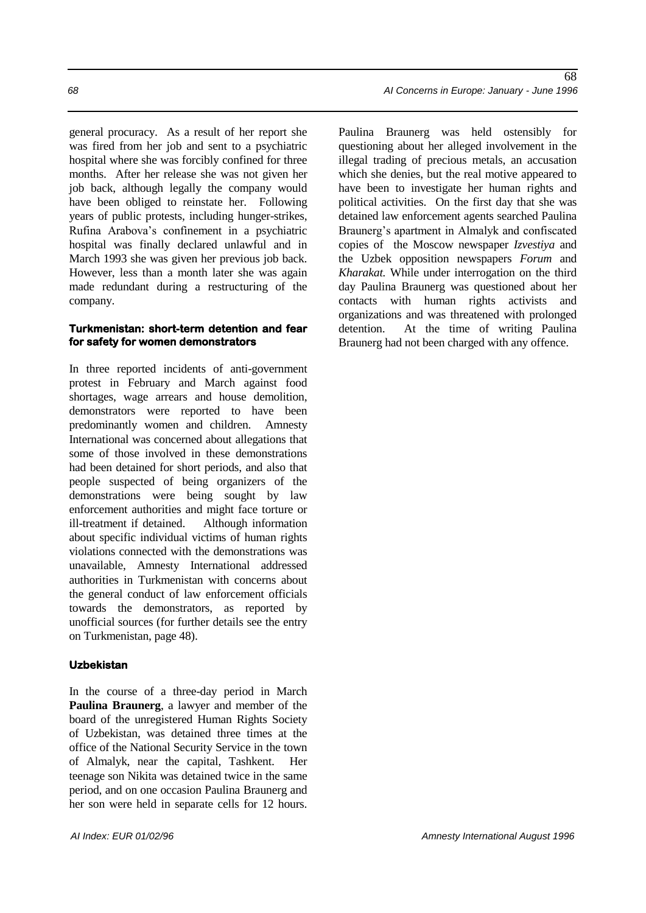general procuracy. As a result of her report she was fired from her job and sent to a psychiatric hospital where she was forcibly confined for three months. After her release she was not given her job back, although legally the company would have been obliged to reinstate her. Following years of public protests, including hunger-strikes, Rufina Arabova's confinement in a psychiatric hospital was finally declared unlawful and in March 1993 she was given her previous job back. However, less than a month later she was again made redundant during a restructuring of the company.

#### **Turkmenistan: short-term detention and fear for safety for women demonstrators**

In three reported incidents of anti-government protest in February and March against food shortages, wage arrears and house demolition, demonstrators were reported to have been predominantly women and children. Amnesty International was concerned about allegations that some of those involved in these demonstrations had been detained for short periods, and also that people suspected of being organizers of the demonstrations were being sought by law enforcement authorities and might face torture or ill-treatment if detained. Although information about specific individual victims of human rights violations connected with the demonstrations was unavailable, Amnesty International addressed authorities in Turkmenistan with concerns about the general conduct of law enforcement officials towards the demonstrators, as reported by unofficial sources (for further details see the entry on Turkmenistan, page 48).

#### **Uzbekistan**

In the course of a three-day period in March **Paulina Braunerg**, a lawyer and member of the board of the unregistered Human Rights Society of Uzbekistan, was detained three times at the office of the National Security Service in the town of Almalyk, near the capital, Tashkent. Her teenage son Nikita was detained twice in the same period, and on one occasion Paulina Braunerg and her son were held in separate cells for 12 hours.

Paulina Braunerg was held ostensibly for questioning about her alleged involvement in the illegal trading of precious metals, an accusation which she denies, but the real motive appeared to have been to investigate her human rights and political activities. On the first day that she was detained law enforcement agents searched Paulina Braunerg's apartment in Almalyk and confiscated copies of the Moscow newspaper *Izvestiya* and the Uzbek opposition newspapers *Forum* and *Kharakat.* While under interrogation on the third day Paulina Braunerg was questioned about her contacts with human rights activists and organizations and was threatened with prolonged detention. At the time of writing Paulina Braunerg had not been charged with any offence.